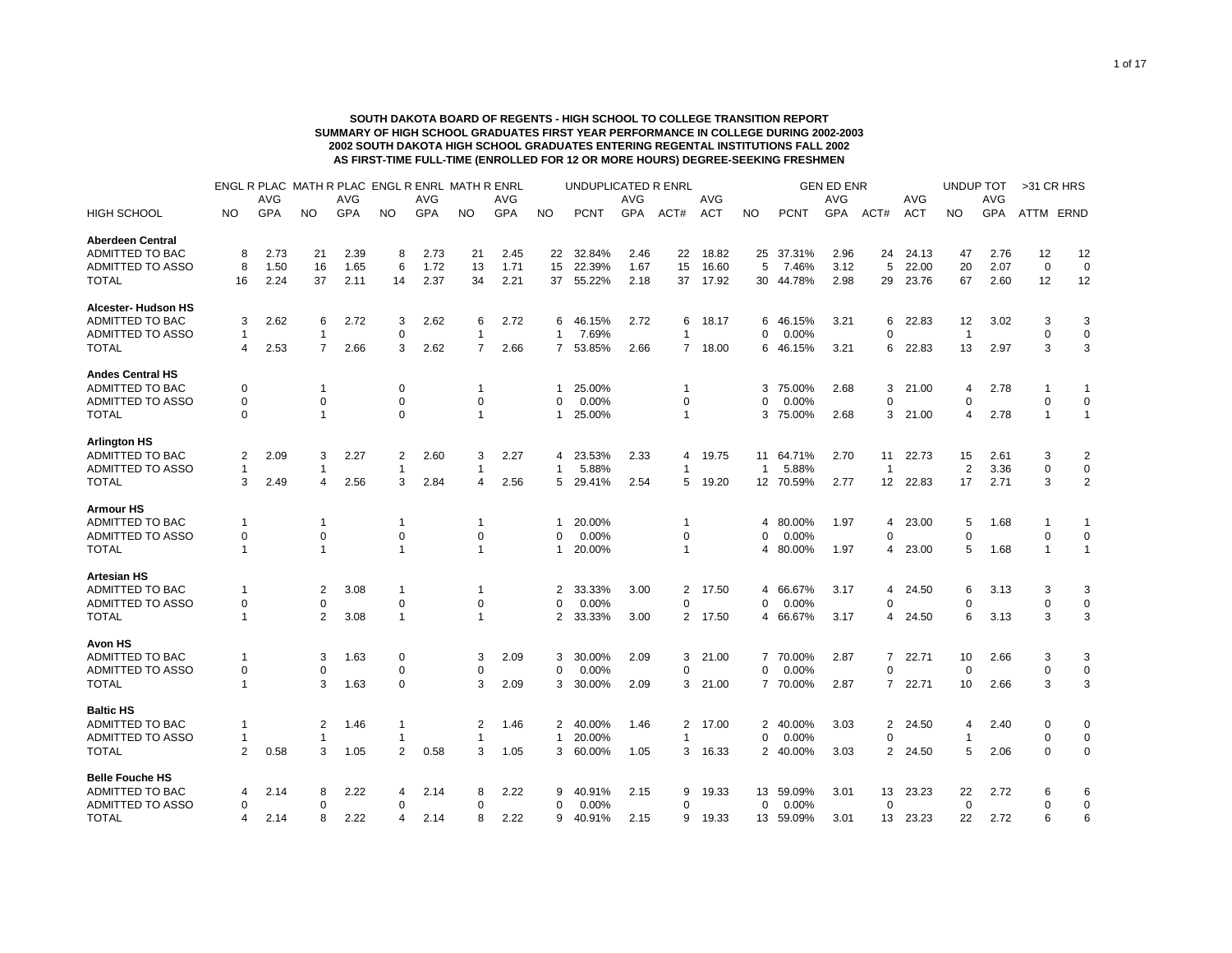## **SOUTH DAKOTA BOARD OF REGENTS - HIGH SCHOOL TO COLLEGE TRANSITION REPORT SUMMARY OF HIGH SCHOOL GRADUATES FIRST YEAR PERFORMANCE IN COLLEGE DURING 2002-2003 2002 SOUTH DAKOTA HIGH SCHOOL GRADUATES ENTERING REGENTAL INSTITUTIONS FALL 2002 AS FIRST-TIME FULL-TIME (ENROLLED FOR 12 OR MORE HOURS) DEGREE-SEEKING FRESHMEN**

|                         |                | ENGL R PLAC MATH R PLAC ENGL R ENRL MATH R ENRL |                |            |                |            |                |            |              | UNDUPLICATED R ENRL |            |                |            |              |             | <b>GEN ED ENR</b> |                |            | <b>UNDUP TOT</b> |            | >31 CR HRS   |                |
|-------------------------|----------------|-------------------------------------------------|----------------|------------|----------------|------------|----------------|------------|--------------|---------------------|------------|----------------|------------|--------------|-------------|-------------------|----------------|------------|------------------|------------|--------------|----------------|
|                         |                | AVG                                             |                | <b>AVG</b> |                | <b>AVG</b> |                | <b>AVG</b> |              |                     | <b>AVG</b> |                | <b>AVG</b> |              |             | <b>AVG</b>        |                | <b>AVG</b> |                  | <b>AVG</b> |              |                |
| <b>HIGH SCHOOL</b>      | NO             | <b>GPA</b>                                      | <b>NO</b>      | <b>GPA</b> | <b>NO</b>      | <b>GPA</b> | <b>NO</b>      | <b>GPA</b> | <b>NO</b>    | <b>PCNT</b>         | <b>GPA</b> | ACT#           | <b>ACT</b> | NO.          | <b>PCNT</b> | <b>GPA</b>        | ACT#           | <b>ACT</b> | NO.              | <b>GPA</b> | ATTM ERND    |                |
| <b>Aberdeen Central</b> |                |                                                 |                |            |                |            |                |            |              |                     |            |                |            |              |             |                   |                |            |                  |            |              |                |
| ADMITTED TO BAC         | 8              | 2.73                                            | 21             | 2.39       | 8              | 2.73       | 21             | 2.45       | 22           | 32.84%              | 2.46       | 22             | 18.82      | 25           | 37.31%      | 2.96              | 24             | 24.13      | 47               | 2.76       | 12           | 12             |
| ADMITTED TO ASSO        | 8              | 1.50                                            | 16             | 1.65       | 6              | 1.72       | 13             | 1.71       | 15           | 22.39%              | 1.67       | 15             | 16.60      | 5            | 7.46%       | 3.12              | 5              | 22.00      | 20               | 2.07       | $\mathbf 0$  | $\mathbf 0$    |
| <b>TOTAL</b>            | 16             | 2.24                                            | 37             | 2.11       | 14             | 2.37       | 34             | 2.21       | 37           | 55.22%              | 2.18       | 37             | 17.92      |              | 30 44.78%   | 2.98              | 29             | 23.76      | 67               | 2.60       | 12           | 12             |
| Alcester- Hudson HS     |                |                                                 |                |            |                |            |                |            |              |                     |            |                |            |              |             |                   |                |            |                  |            |              |                |
| <b>ADMITTED TO BAC</b>  | 3              | 2.62                                            | 6              | 2.72       | 3              | 2.62       | 6              | 2.72       | 6            | 46.15%              | 2.72       | 6              | 18.17      | 6            | 46.15%      | 3.21              | 6              | 22.83      | 12               | 3.02       | 3            | 3              |
| <b>ADMITTED TO ASSO</b> | $\overline{1}$ |                                                 | $\mathbf{1}$   |            | $\Omega$       |            | $\mathbf{1}$   |            | $\mathbf{1}$ | 7.69%               |            | 1              |            | O            | 0.00%       |                   | $\Omega$       |            | $\overline{1}$   |            | $\mathbf 0$  | $\mathbf 0$    |
| TOTAL                   | $\overline{4}$ | 2.53                                            | $\overline{7}$ | 2.66       | 3              | 2.62       | $\overline{7}$ | 2.66       | $7^{\circ}$  | 53.85%              | 2.66       |                | 7 18.00    |              | 6 46.15%    | 3.21              | 6              | 22.83      | 13               | 2.97       | 3            | 3              |
| <b>Andes Central HS</b> |                |                                                 |                |            |                |            |                |            |              |                     |            |                |            |              |             |                   |                |            |                  |            |              |                |
| ADMITTED TO BAC         | 0              |                                                 | -1             |            | 0              |            |                |            | 1            | 25.00%              |            | 1              |            | 3            | 75.00%      | 2.68              | 3              | 21.00      | 4                | 2.78       |              | 1              |
| ADMITTED TO ASSO        | 0              |                                                 | $\mathbf 0$    |            | 0              |            | $\Omega$       |            | 0            | 0.00%               |            | $\Omega$       |            | O            | 0.00%       |                   | 0              |            | 0                |            | $\Omega$     | 0              |
| <b>TOTAL</b>            | $\Omega$       |                                                 | $\mathbf{1}$   |            | $\Omega$       |            | $\mathbf{1}$   |            | 1            | 25.00%              |            | $\mathbf{1}$   |            | 3            | 75.00%      | 2.68              | 3              | 21.00      | 4                | 2.78       | $\mathbf{1}$ | $\mathbf{1}$   |
| <b>Arlington HS</b>     |                |                                                 |                |            |                |            |                |            |              |                     |            |                |            |              |             |                   |                |            |                  |            |              |                |
| ADMITTED TO BAC         | 2              | 2.09                                            | 3              | 2.27       | 2              | 2.60       | 3              | 2.27       | 4            | 23.53%              | 2.33       | 4              | 19.75      |              | 11 64.71%   | 2.70              | 11             | 22.73      | 15               | 2.61       | 3            | 2              |
| ADMITTED TO ASSO        | 1              |                                                 | 1              |            |                |            | 1              |            | 1            | 5.88%               |            |                |            | $\mathbf{1}$ | 5.88%       |                   | -1             |            | $\overline{2}$   | 3.36       | $\Omega$     | 0              |
| TOTAL                   | 3              | 2.49                                            | 4              | 2.56       | 3              | 2.84       | 4              | 2.56       | 5            | 29.41%              | 2.54       | 5              | 19.20      | 12           | 70.59%      | 2.77              | 12             | 22.83      | 17               | 2.71       | 3            | $\overline{2}$ |
| <b>Armour HS</b>        |                |                                                 |                |            |                |            |                |            |              |                     |            |                |            |              |             |                   |                |            |                  |            |              |                |
| ADMITTED TO BAC         | $\mathbf 1$    |                                                 | $\mathbf{1}$   |            | -1             |            | -1             |            | 1            | 20.00%              |            | -1             |            | 4            | 80.00%      | 1.97              | 4              | 23.00      | 5                | 1.68       | -1           | 1              |
| ADMITTED TO ASSO        | 0              |                                                 | 0              |            | 0              |            | $\Omega$       |            | 0            | 0.00%               |            | $\Omega$       |            | 0            | 0.00%       |                   | $\Omega$       |            | 0                |            | $\mathbf 0$  | $\mathbf 0$    |
| <b>TOTAL</b>            | $\overline{1}$ |                                                 | $\mathbf{1}$   |            | $\overline{1}$ |            | $\overline{1}$ |            | $\mathbf 1$  | 20.00%              |            | $\mathbf{1}$   |            | 4            | 80.00%      | 1.97              | 4              | 23.00      | 5                | 1.68       | $\mathbf{1}$ | $\mathbf{1}$   |
| <b>Artesian HS</b>      |                |                                                 |                |            |                |            |                |            |              |                     |            |                |            |              |             |                   |                |            |                  |            |              |                |
| ADMITTED TO BAC         | $\mathbf 1$    |                                                 | 2              | 3.08       | -1             |            | -1             |            | 2            | 33.33%              | 3.00       | 2              | 17.50      |              | 4 66.67%    | 3.17              | 4              | 24.50      | 6                | 3.13       | 3            | 3              |
| ADMITTED TO ASSO        | 0              |                                                 | $\mathbf 0$    |            | 0              |            | 0              |            | $\mathbf 0$  | 0.00%               |            | 0              |            | 0            | 0.00%       |                   | $\Omega$       |            | $\Omega$         |            | $\mathbf 0$  | $\mathbf 0$    |
| <b>TOTAL</b>            | -1             |                                                 | $\overline{2}$ | 3.08       | $\mathbf{1}$   |            | -1             |            | 2            | 33.33%              | 3.00       |                | 2 17.50    |              | 4 66.67%    | 3.17              | 4              | 24.50      | 6                | 3.13       | 3            | 3              |
| <b>Avon HS</b>          |                |                                                 |                |            |                |            |                |            |              |                     |            |                |            |              |             |                   |                |            |                  |            |              |                |
| ADMITTED TO BAC         | $\overline{1}$ |                                                 | 3              | 1.63       | 0              |            | 3              | 2.09       | 3            | 30.00%              | 2.09       | 3              | 21.00      |              | 7 70.00%    | 2.87              | 7              | 22.71      | 10               | 2.66       | 3            | 3              |
| ADMITTED TO ASSO        | 0              |                                                 | $\Omega$       |            | $\mathbf 0$    |            | $\Omega$       |            | $\mathbf 0$  | 0.00%               |            | $\Omega$       |            | 0            | 0.00%       |                   | $\Omega$       |            | $\Omega$         |            | $\mathbf 0$  | $\mathbf 0$    |
| <b>TOTAL</b>            | $\overline{1}$ |                                                 | 3              | 1.63       | $\mathbf 0$    |            | 3              | 2.09       | 3            | 30.00%              | 2.09       | 3              | 21.00      |              | 7 70.00%    | 2.87              | $\overline{7}$ | 22.71      | 10               | 2.66       | 3            | 3              |
| <b>Baltic HS</b>        |                |                                                 |                |            |                |            |                |            |              |                     |            |                |            |              |             |                   |                |            |                  |            |              |                |
| ADMITTED TO BAC         | -1             |                                                 | $\overline{2}$ | 1.46       | -1             |            | 2              | 1.46       | 2            | 40.00%              | 1.46       | $\overline{2}$ | 17.00      | 2            | 40.00%      | 3.03              | 2              | 24.50      | 4                | 2.40       | 0            | 0              |
| ADMITTED TO ASSO        | $\mathbf 1$    |                                                 | -1             |            |                |            | -1             |            | $\mathbf{1}$ | 20.00%              |            | 1              |            | $\Omega$     | 0.00%       |                   | $\Omega$       |            | -1               |            | $\Omega$     | 0              |
| TOTAL                   | 2              | 0.58                                            | 3              | 1.05       | 2              | 0.58       | 3              | 1.05       | 3            | 60.00%              | 1.05       | 3              | 16.33      | 2            | 40.00%      | 3.03              | 2              | 24.50      | 5                | 2.06       | 0            | 0              |
| <b>Belle Fouche HS</b>  |                |                                                 |                |            |                |            |                |            |              |                     |            |                |            |              |             |                   |                |            |                  |            |              |                |
| ADMITTED TO BAC         | 4              | 2.14                                            | 8              | 2.22       | 4              | 2.14       | 8              | 2.22       | 9            | 40.91%              | 2.15       | 9              | 19.33      | 13           | 59.09%      | 3.01              | 13             | 23.23      | 22               | 2.72       | 6            | 6              |
| ADMITTED TO ASSO        | 0              |                                                 | 0              |            | ∩              |            | $\Omega$       |            | 0            | 0.00%               |            | $\Omega$       |            | $\Omega$     | 0.00%       |                   | 0              |            | $\mathbf 0$      |            | $\Omega$     | $\mathbf 0$    |
| <b>TOTAL</b>            | 4              | 2.14                                            | 8              | 2.22       | 4              | 2.14       | 8              | 2.22       | 9            | 40.91%              | 2.15       | 9              | 19.33      | 13           | 59.09%      | 3.01              | 13             | 23.23      | 22               | 2.72       | 6            | 6              |
|                         |                |                                                 |                |            |                |            |                |            |              |                     |            |                |            |              |             |                   |                |            |                  |            |              |                |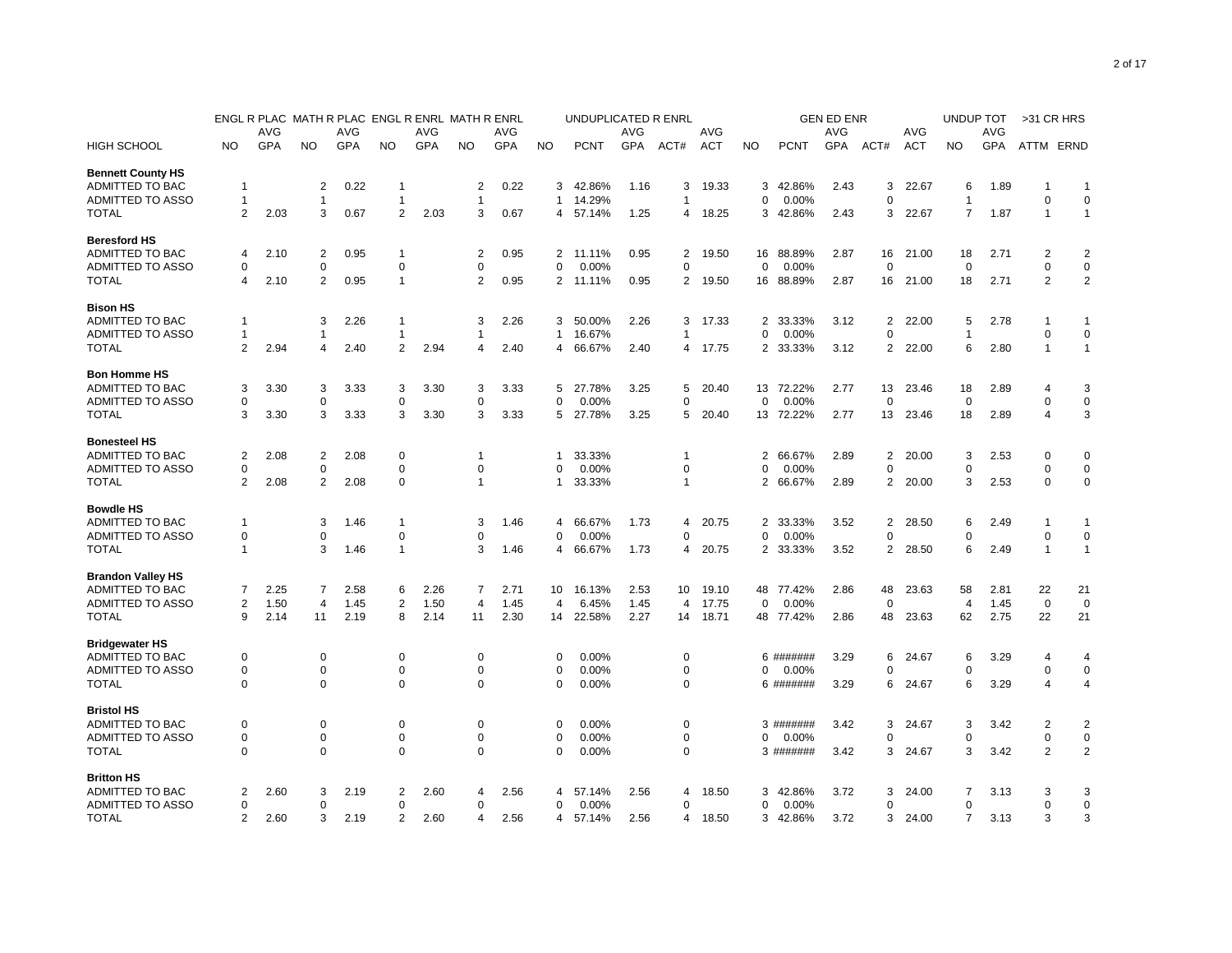|                          |                |      |                |      | ENGL R PLAC MATH R PLAC ENGL R ENRL MATH R ENRL |            |                |            |                | UNDUPLICATED R ENRL |      |             |         |                |             | <b>GEN ED ENR</b> |                |            | UNDUP TOT      |      | >31 CR HRS               |                |
|--------------------------|----------------|------|----------------|------|-------------------------------------------------|------------|----------------|------------|----------------|---------------------|------|-------------|---------|----------------|-------------|-------------------|----------------|------------|----------------|------|--------------------------|----------------|
|                          |                | AVG  |                | AVG  |                                                 | <b>AVG</b> |                | AVG        |                |                     | AVG  |             | AVG     |                |             | <b>AVG</b>        |                | AVG        |                | AVG  |                          |                |
| <b>HIGH SCHOOL</b>       | NO             | GPA  | NO.            | GPA  | NO.                                             | GPA        | <b>NO</b>      | <b>GPA</b> | <b>NO</b>      | <b>PCNT</b>         | GPA  | ACT#        | ACT     | <b>NO</b>      | <b>PCNT</b> | GPA               | ACT#           | <b>ACT</b> | NO             | GPA  | ATTM ERND                |                |
| <b>Bennett County HS</b> |                |      |                |      |                                                 |            |                |            |                |                     |      |             |         |                |             |                   |                |            |                |      |                          |                |
| ADMITTED TO BAC          | -1             |      | $\overline{2}$ | 0.22 | -1                                              |            | 2              | 0.22       | 3              | 42.86%              | 1.16 | 3           | 19.33   | 3              | 42.86%      | 2.43              | 3              | 22.67      | 6              | 1.89 | -1                       | $\mathbf{1}$   |
| ADMITTED TO ASSO         | -1             |      | $\mathbf{1}$   |      | $\mathbf{1}$                                    |            | $\overline{1}$ |            | $\mathbf{1}$   | 14.29%              |      | 1           |         | 0              | 0.00%       |                   | 0              |            | 1              |      | $\mathbf 0$              | $\mathbf 0$    |
| <b>TOTAL</b>             | 2              | 2.03 | 3              | 0.67 | $\overline{2}$                                  | 2.03       | 3              | 0.67       | 4              | 57.14%              | 1.25 |             | 4 18.25 |                | 3 42.86%    | 2.43              | 3              | 22.67      | 7              | 1.87 | $\overline{1}$           | $\mathbf{1}$   |
| <b>Beresford HS</b>      |                |      |                |      |                                                 |            |                |            |                |                     |      |             |         |                |             |                   |                |            |                |      |                          |                |
| ADMITTED TO BAC          | 4              | 2.10 | $\overline{2}$ | 0.95 | $\mathbf{1}$                                    |            | 2              | 0.95       | $\overline{2}$ | 11.11%              | 0.95 | 2           | 19.50   | 16             | 88.89%      | 2.87              | 16             | 21.00      | 18             | 2.71 | 2                        | $\overline{2}$ |
| ADMITTED TO ASSO         | $\Omega$       |      | 0              |      | 0                                               |            | 0              |            | 0              | 0.00%               |      | 0           |         | 0              | 0.00%       |                   | 0              |            | 0              |      | 0                        | $\mathbf 0$    |
| <b>TOTAL</b>             | 4              | 2.10 | $\overline{2}$ | 0.95 | $\mathbf{1}$                                    |            | $\overline{2}$ | 0.95       | $\overline{2}$ | 11.11%              | 0.95 | 2           | 19.50   | 16             | 88.89%      | 2.87              | 16             | 21.00      | 18             | 2.71 | $\overline{2}$           | $\overline{2}$ |
| <b>Bison HS</b>          |                |      |                |      |                                                 |            |                |            |                |                     |      |             |         |                |             |                   |                |            |                |      |                          |                |
| ADMITTED TO BAC          | 1              |      | 3              | 2.26 | $\mathbf{1}$                                    |            | 3              | 2.26       | 3              | 50.00%              | 2.26 | 3           | 17.33   | 2              | 33.33%      | 3.12              | $\overline{2}$ | 22.00      | 5              | 2.78 | $\mathbf 1$              | 1              |
| ADMITTED TO ASSO         | 1              |      | -1             |      | 1                                               |            | 1              |            | $\mathbf{1}$   | 16.67%              |      |             |         | 0              | 0.00%       |                   | 0              |            |                |      | $\mathbf 0$              | $\mathbf 0$    |
| <b>TOTAL</b>             | 2              | 2.94 | $\overline{4}$ | 2.40 | $\overline{2}$                                  | 2.94       | 4              | 2.40       | 4              | 66.67%              | 2.40 | 4           | 17.75   |                | 2 33.33%    | 3.12              | $\overline{2}$ | 22.00      | 6              | 2.80 | $\overline{1}$           | $\mathbf{1}$   |
| <b>Bon Homme HS</b>      |                |      |                |      |                                                 |            |                |            |                |                     |      |             |         |                |             |                   |                |            |                |      |                          |                |
| ADMITTED TO BAC          | 3              | 3.30 | 3              | 3.33 | 3                                               | 3.30       | 3              | 3.33       | 5              | 27.78%              | 3.25 | 5           | 20.40   |                | 13 72.22%   | 2.77              | 13             | 23.46      | 18             | 2.89 | $\overline{\mathcal{A}}$ | 3              |
| ADMITTED TO ASSO         | 0              |      | $\mathbf 0$    |      | $\mathbf 0$                                     |            | 0              |            | $\mathbf 0$    | 0.00%               |      | 0           |         | $\Omega$       | 0.00%       |                   | 0              |            | $\mathbf 0$    |      | $\mathbf 0$              | $\mathbf 0$    |
| <b>TOTAL</b>             | 3              | 3.30 | 3              | 3.33 | 3                                               | 3.30       | 3              | 3.33       | 5              | 27.78%              | 3.25 | 5           | 20.40   |                | 13 72.22%   | 2.77              | 13             | 23.46      | 18             | 2.89 | $\overline{4}$           | 3              |
| <b>Bonesteel HS</b>      |                |      |                |      |                                                 |            |                |            |                |                     |      |             |         |                |             |                   |                |            |                |      |                          |                |
| ADMITTED TO BAC          | 2              | 2.08 | $\overline{2}$ | 2.08 | 0                                               |            | 1              |            | 1              | 33.33%              |      | 1           |         | 2              | 66.67%      | 2.89              | 2              | 20.00      | 3              | 2.53 | $\Omega$                 | $\Omega$       |
| ADMITTED TO ASSO         | 0              |      | $\mathbf 0$    |      | $\mathbf 0$                                     |            | $\mathbf 0$    |            | $\Omega$       | 0.00%               |      | $\Omega$    |         | $\Omega$       | 0.00%       |                   | $\mathbf 0$    |            | $\Omega$       |      | $\mathbf 0$              | $\mathbf 0$    |
| <b>TOTAL</b>             | 2              | 2.08 | $\overline{2}$ | 2.08 | 0                                               |            | $\mathbf{1}$   |            | 1              | 33.33%              |      | 1           |         | $\overline{2}$ | 66.67%      | 2.89              | 2              | 20.00      | 3              | 2.53 | $\mathbf 0$              | $\mathbf 0$    |
| <b>Bowdle HS</b>         |                |      |                |      |                                                 |            |                |            |                |                     |      |             |         |                |             |                   |                |            |                |      |                          |                |
| ADMITTED TO BAC          | -1             |      | 3              | 1.46 | -1                                              |            | 3              | 1.46       | 4              | 66.67%              | 1.73 | 4           | 20.75   | 2              | 33.33%      | 3.52              | 2              | 28.50      | 6              | 2.49 | 1                        | 1              |
| ADMITTED TO ASSO         | 0              |      | 0              |      | $\mathbf 0$                                     |            | 0              |            | 0              | 0.00%               |      | 0           |         | O              | 0.00%       |                   | 0              |            | 0              |      | $\mathbf 0$              | 0              |
| <b>TOTAL</b>             | 1              |      | 3              | 1.46 | $\mathbf{1}$                                    |            | 3              | 1.46       | 4              | 66.67%              | 1.73 | 4           | 20.75   | 2              | 33.33%      | 3.52              | $\overline{2}$ | 28.50      | 6              | 2.49 | $\overline{1}$           | $\mathbf{1}$   |
| <b>Brandon Valley HS</b> |                |      |                |      |                                                 |            |                |            |                |                     |      |             |         |                |             |                   |                |            |                |      |                          |                |
| <b>ADMITTED TO BAC</b>   | 7              | 2.25 | 7              | 2.58 | 6                                               | 2.26       | 7              | 2.71       | 10             | 16.13%              | 2.53 | 10          | 19.10   | 48             | 77.42%      | 2.86              | 48             | 23.63      | 58             | 2.81 | 22                       | 21             |
| ADMITTED TO ASSO         | 2              | 1.50 | $\overline{4}$ | 1.45 | 2                                               | 1.50       | 4              | 1.45       | 4              | 6.45%               | 1.45 | 4           | 17.75   | 0              | 0.00%       |                   | 0              |            | 4              | 1.45 | $\mathbf 0$              | $\mathbf 0$    |
| <b>TOTAL</b>             | 9              | 2.14 | 11             | 2.19 | 8                                               | 2.14       | 11             | 2.30       | 14             | 22.58%              | 2.27 | 14          | 18.71   |                | 48 77.42%   | 2.86              | 48             | 23.63      | 62             | 2.75 | 22                       | 21             |
| <b>Bridgewater HS</b>    |                |      |                |      |                                                 |            |                |            |                |                     |      |             |         |                |             |                   |                |            |                |      |                          |                |
| ADMITTED TO BAC          | 0              |      | 0              |      | 0                                               |            | 0              |            | 0              | 0.00%               |      | 0           |         |                | 6 #######   | 3.29              | 6              | 24.67      | 6              | 3.29 | $\overline{4}$           | 4              |
| <b>ADMITTED TO ASSO</b>  | 0              |      | $\mathbf 0$    |      | $\mathbf 0$                                     |            | $\mathbf 0$    |            | $\Omega$       | 0.00%               |      | $\mathbf 0$ |         | $\Omega$       | 0.00%       |                   | $\Omega$       |            | $\Omega$       |      | $\mathbf 0$              | $\mathbf 0$    |
| <b>TOTAL</b>             | 0              |      | 0              |      | 0                                               |            | 0              |            | 0              | 0.00%               |      | 0           |         |                | 6 #######   | 3.29              | 6              | 24.67      | 6              | 3.29 | $\overline{4}$           | 4              |
| <b>Bristol HS</b>        |                |      |                |      |                                                 |            |                |            |                |                     |      |             |         |                |             |                   |                |            |                |      |                          |                |
| ADMITTED TO BAC          | 0              |      | 0              |      | 0                                               |            | 0              |            | 0              | 0.00%               |      | 0           |         |                | 3 #######   | 3.42              | 3              | 24.67      | 3              | 3.42 | 2                        | 2              |
| ADMITTED TO ASSO         | $\mathbf 0$    |      | $\mathbf 0$    |      | $\mathbf 0$                                     |            | $\mathbf 0$    |            | $\Omega$       | 0.00%               |      | 0           |         | $\Omega$       | 0.00%       |                   | $\mathbf 0$    |            | $\Omega$       |      | $\mathbf 0$              | $\pmb{0}$      |
| <b>TOTAL</b>             | $\Omega$       |      | 0              |      | $\mathbf 0$                                     |            | 0              |            | 0              | 0.00%               |      | 0           |         |                | 3 #######   | 3.42              | 3              | 24.67      | 3              | 3.42 | $\overline{2}$           | $\overline{2}$ |
| <b>Britton HS</b>        |                |      |                |      |                                                 |            |                |            |                |                     |      |             |         |                |             |                   |                |            |                |      |                          |                |
| ADMITTED TO BAC          | 2              | 2.60 | 3              | 2.19 | 2                                               | 2.60       | 4              | 2.56       | 4              | 57.14%              | 2.56 | 4           | 18.50   | 3              | 42.86%      | 3.72              | 3              | 24.00      | 7              | 3.13 | 3                        | 3              |
| ADMITTED TO ASSO         | $\Omega$       |      | 0              |      | 0                                               |            | $\Omega$       |            | 0              | 0.00%               |      | $\Omega$    |         | O              | 0.00%       |                   | 0              |            | $\Omega$       |      | $\mathbf 0$              | $\pmb{0}$      |
| <b>TOTAL</b>             | $\overline{2}$ | 2.60 | 3              | 2.19 | $\overline{2}$                                  | 2.60       | 4              | 2.56       | 4              | 57.14%              | 2.56 |             | 4 18.50 | 3              | 42.86%      | 3.72              | 3              | 24.00      | $\overline{7}$ | 3.13 | 3                        | 3              |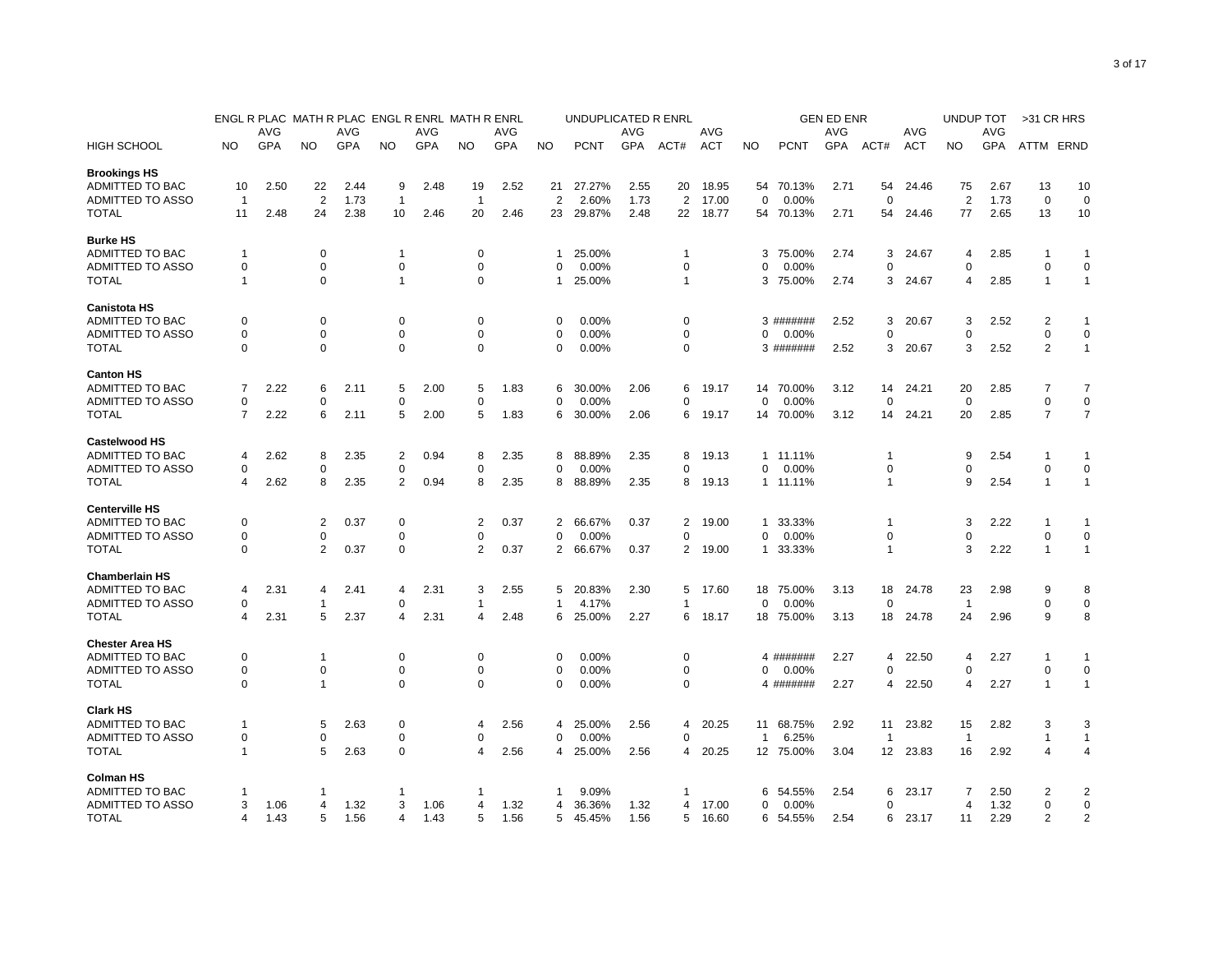|                         |                |            |                |            | ENGL R PLAC MATH R PLAC ENGL R ENRL MATH R ENRL |      |                |            |                | UNDUPLICATED R ENRL |            |                |       |              |             | <b>GEN ED ENR</b> |                 |            | UNDUP TOT      |            | >31 CR HRS     |                |
|-------------------------|----------------|------------|----------------|------------|-------------------------------------------------|------|----------------|------------|----------------|---------------------|------------|----------------|-------|--------------|-------------|-------------------|-----------------|------------|----------------|------------|----------------|----------------|
|                         |                | AVG        |                | <b>AVG</b> |                                                 | AVG  |                | AVG        |                |                     | AVG        |                | AVG   |              |             | <b>AVG</b>        |                 | AVG        |                | AVG        |                |                |
| HIGH SCHOOL             | NO             | <b>GPA</b> | NO.            | GPA        | NO.                                             | GPA  | NO.            | <b>GPA</b> | <b>NO</b>      | <b>PCNT</b>         | <b>GPA</b> | ACT#           | ACT   | NO           | <b>PCNT</b> | GPA               | ACT#            | <b>ACT</b> | NO             | <b>GPA</b> | ATTM ERND      |                |
| <b>Brookings HS</b>     |                |            |                |            |                                                 |      |                |            |                |                     |            |                |       |              |             |                   |                 |            |                |            |                |                |
| ADMITTED TO BAC         | 10             | 2.50       | 22             | 2.44       | 9                                               | 2.48 | 19             | 2.52       | 21             | 27.27%              | 2.55       | 20             | 18.95 |              | 54 70.13%   | 2.71              | 54              | 24.46      | 75             | 2.67       | 13             | 10             |
| <b>ADMITTED TO ASSO</b> | $\overline{1}$ |            | $\overline{2}$ | 1.73       | $\overline{1}$                                  |      | $\overline{1}$ |            | $\overline{2}$ | 2.60%               | 1.73       | $\overline{2}$ | 17.00 | $\mathbf 0$  | 0.00%       |                   | $\mathbf 0$     |            | $\overline{2}$ | 1.73       | $\mathbf 0$    | $\mathbf 0$    |
| <b>TOTAL</b>            | 11             | 2.48       | 24             | 2.38       | 10                                              | 2.46 | 20             | 2.46       | 23             | 29.87%              | 2.48       | 22             | 18.77 |              | 54 70.13%   | 2.71              | 54              | 24.46      | 77             | 2.65       | 13             | 10             |
| <b>Burke HS</b>         |                |            |                |            |                                                 |      |                |            |                |                     |            |                |       |              |             |                   |                 |            |                |            |                |                |
| ADMITTED TO BAC         | 1              |            | 0              |            | $\overline{1}$                                  |      | 0              |            | 1              | 25.00%              |            | 1              |       | 3            | 75.00%      | 2.74              | 3               | 24.67      | 4              | 2.85       | -1             | $\mathbf 1$    |
| ADMITTED TO ASSO        | 0              |            | $\mathbf 0$    |            | 0                                               |      | $\mathbf 0$    |            | $\Omega$       | 0.00%               |            | 0              |       | O            | 0.00%       |                   | 0               |            | $\Omega$       |            | $\mathbf 0$    | $\mathbf 0$    |
| <b>TOTAL</b>            | 1              |            | $\Omega$       |            | $\overline{1}$                                  |      | $\mathbf 0$    |            | 1              | 25.00%              |            | $\mathbf{1}$   |       | 3            | 75.00%      | 2.74              | 3               | 24.67      | 4              | 2.85       | $\mathbf{1}$   | $\mathbf{1}$   |
| <b>Canistota HS</b>     |                |            |                |            |                                                 |      |                |            |                |                     |            |                |       |              |             |                   |                 |            |                |            |                |                |
| ADMITTED TO BAC         | 0              |            | $\mathbf 0$    |            | $\mathbf 0$                                     |      | $\Omega$       |            | $\Omega$       | 0.00%               |            | 0              |       |              | 3 #######   | 2.52              | 3               | 20.67      | 3              | 2.52       | $\overline{2}$ | -1             |
| ADMITTED TO ASSO        | 0              |            | $\mathbf 0$    |            | $\mathbf 0$                                     |      | 0              |            | $\mathbf 0$    | 0.00%               |            | $\Omega$       |       | 0            | 0.00%       |                   | 0               |            | $\Omega$       |            | $\mathbf 0$    | $\mathbf 0$    |
| TOTAL                   | $\Omega$       |            | $\Omega$       |            | $\mathbf 0$                                     |      | $\Omega$       |            | $\Omega$       | 0.00%               |            | 0              |       |              | 3 #######   | 2.52              | 3               | 20.67      | 3              | 2.52       | $\overline{2}$ | $\mathbf{1}$   |
| <b>Canton HS</b>        |                |            |                |            |                                                 |      |                |            |                |                     |            |                |       |              |             |                   |                 |            |                |            |                |                |
| <b>ADMITTED TO BAC</b>  | 7              | 2.22       | 6              | 2.11       | 5                                               | 2.00 | 5              | 1.83       | 6              | 30.00%              | 2.06       | 6              | 19.17 | 14           | 70.00%      | 3.12              | 14              | 24.21      | 20             | 2.85       | $\overline{7}$ | $\overline{7}$ |
| ADMITTED TO ASSO        | $\mathbf 0$    |            | $\Omega$       |            | 0                                               |      | $\mathbf 0$    |            | $\mathbf 0$    | 0.00%               |            | 0              |       | 0            | 0.00%       |                   | 0               |            | $\mathbf 0$    |            | $\mathbf 0$    | $\mathbf 0$    |
| <b>TOTAL</b>            | 7              | 2.22       | 6              | 2.11       | 5                                               | 2.00 | 5              | 1.83       | 6              | 30.00%              | 2.06       | 6              | 19.17 |              | 14 70.00%   | 3.12              | 14              | 24.21      | 20             | 2.85       | $\overline{7}$ | $\overline{7}$ |
| <b>Castelwood HS</b>    |                |            |                |            |                                                 |      |                |            |                |                     |            |                |       |              |             |                   |                 |            |                |            |                |                |
| ADMITTED TO BAC         | 4              | 2.62       | 8              | 2.35       | $\overline{\mathbf{c}}$                         | 0.94 | 8              | 2.35       | 8              | 88.89%              | 2.35       | 8              | 19.13 | $\mathbf{1}$ | 11.11%      |                   | 1               |            | 9              | 2.54       | -1             | $\mathbf 1$    |
| ADMITTED TO ASSO        | 0              |            | $\Omega$       |            | $\mathbf 0$                                     |      | $\Omega$       |            | $\mathbf 0$    | 0.00%               |            | $\Omega$       |       | 0            | 0.00%       |                   | 0               |            | $\Omega$       |            | $\mathbf 0$    | $\mathbf 0$    |
| <b>TOTAL</b>            | 4              | 2.62       | 8              | 2.35       | $\overline{2}$                                  | 0.94 | 8              | 2.35       | 8              | 88.89%              | 2.35       | 8              | 19.13 |              | 1 11.11%    |                   | 1               |            | 9              | 2.54       | $\overline{1}$ | $\mathbf{1}$   |
| <b>Centerville HS</b>   |                |            |                |            |                                                 |      |                |            |                |                     |            |                |       |              |             |                   |                 |            |                |            |                |                |
| ADMITTED TO BAC         | 0              |            | 2              | 0.37       | 0                                               |      | 2              | 0.37       | 2              | 66.67%              | 0.37       | 2              | 19.00 | 1            | 33.33%      |                   | 1               |            | 3              | 2.22       | -1             | 1              |
| <b>ADMITTED TO ASSO</b> | $\Omega$       |            | 0              |            | $\Omega$                                        |      | $\Omega$       |            | $\Omega$       | 0.00%               |            | $\Omega$       |       | $\Omega$     | 0.00%       |                   | $\mathbf 0$     |            | $\Omega$       |            | $\mathbf 0$    | $\mathbf 0$    |
| TOTAL                   | 0              |            | 2              | 0.37       | 0                                               |      | 2              | 0.37       | 2              | 66.67%              | 0.37       | 2              | 19.00 | 1            | 33.33%      |                   | 1               |            | 3              | 2.22       | $\overline{1}$ | $\mathbf{1}$   |
| <b>Chamberlain HS</b>   |                |            |                |            |                                                 |      |                |            |                |                     |            |                |       |              |             |                   |                 |            |                |            |                |                |
| ADMITTED TO BAC         | 4              | 2.31       | 4              | 2.41       | $\overline{\mathbf{4}}$                         | 2.31 | 3              | 2.55       | 5              | 20.83%              | 2.30       | 5              | 17.60 | 18           | 75.00%      | 3.13              | 18              | 24.78      | 23             | 2.98       | 9              | 8              |
| ADMITTED TO ASSO        | 0              |            | -1             |            | 0                                               |      | -1             |            | $\mathbf{1}$   | 4.17%               |            |                |       | $\Omega$     | 0.00%       |                   | 0               |            | -1             |            | $\mathbf 0$    | 0              |
| <b>TOTAL</b>            | 4              | 2.31       | 5              | 2.37       | 4                                               | 2.31 | 4              | 2.48       | 6              | 25.00%              | 2.27       | 6              | 18.17 |              | 18 75.00%   | 3.13              | 18              | 24.78      | 24             | 2.96       | 9              | 8              |
| <b>Chester Area HS</b>  |                |            |                |            |                                                 |      |                |            |                |                     |            |                |       |              |             |                   |                 |            |                |            |                |                |
| ADMITTED TO BAC         | 0              |            | $\mathbf{1}$   |            | $\mathbf 0$                                     |      | $\Omega$       |            | 0              | 0.00%               |            | 0              |       |              | 4 #######   | 2.27              | 4               | 22.50      | 4              | 2.27       | 1              | -1             |
| ADMITTED TO ASSO        | 0              |            | $\mathbf 0$    |            | $\mathbf 0$                                     |      | 0              |            | $\Omega$       | 0.00%               |            | 0              |       | 0            | 0.00%       |                   | 0               |            | $\Omega$       |            | $\mathbf 0$    | 0              |
| <b>TOTAL</b>            | 0              |            | $\overline{1}$ |            | $\mathbf 0$                                     |      | $\mathbf 0$    |            | $\mathbf 0$    | 0.00%               |            | $\mathbf 0$    |       |              | 4 #######   | 2.27              | 4               | 22.50      | $\overline{4}$ | 2.27       | $\overline{1}$ | $\mathbf{1}$   |
| <b>Clark HS</b>         |                |            |                |            |                                                 |      |                |            |                |                     |            |                |       |              |             |                   |                 |            |                |            |                |                |
| ADMITTED TO BAC         | $\mathbf{1}$   |            | 5              | 2.63       | 0                                               |      | 4              | 2.56       | 4              | 25.00%              | 2.56       | 4              | 20.25 | 11           | 68.75%      | 2.92              | 11              | 23.82      | 15             | 2.82       | 3              | 3              |
| ADMITTED TO ASSO        | 0              |            | 0              |            | $\mathbf 0$                                     |      | 0              |            | 0              | 0.00%               |            | 0              |       | $\mathbf{1}$ | 6.25%       |                   | -1              |            | -1             |            | $\overline{1}$ | $\mathbf{1}$   |
| <b>TOTAL</b>            | $\mathbf{1}$   |            | 5              | 2.63       | $\mathbf 0$                                     |      | 4              | 2.56       | 4              | 25.00%              | 2.56       | 4              | 20.25 |              | 12 75.00%   | 3.04              | 12 <sup>2</sup> | 23.83      | 16             | 2.92       | $\overline{4}$ | 4              |
| <b>Colman HS</b>        |                |            |                |            |                                                 |      |                |            |                |                     |            |                |       |              |             |                   |                 |            |                |            |                |                |
| ADMITTED TO BAC         | -1             |            | -1             |            | -1                                              |      | -1             |            | 1              | 9.09%               |            | 1              |       | 6            | 54.55%      | 2.54              | 6               | 23.17      | 7              | 2.50       | $\overline{2}$ | 2              |
| ADMITTED TO ASSO        | 3              | 1.06       | 4              | 1.32       | 3                                               | 1.06 | 4              | 1.32       | 4              | 36.36%              | 1.32       | 4              | 17.00 | 0            | 0.00%       |                   | 0               |            | 4              | 1.32       | $\mathbf 0$    | $\pmb{0}$      |
| <b>TOTAL</b>            | 4              | 1.43       | 5              | 1.56       | 4                                               | 1.43 | 5              | 1.56       | 5              | 45.45%              | 1.56       | 5              | 16.60 | 6            | 54.55%      | 2.54              | 6               | 23.17      | 11             | 2.29       | $\overline{2}$ | $\overline{2}$ |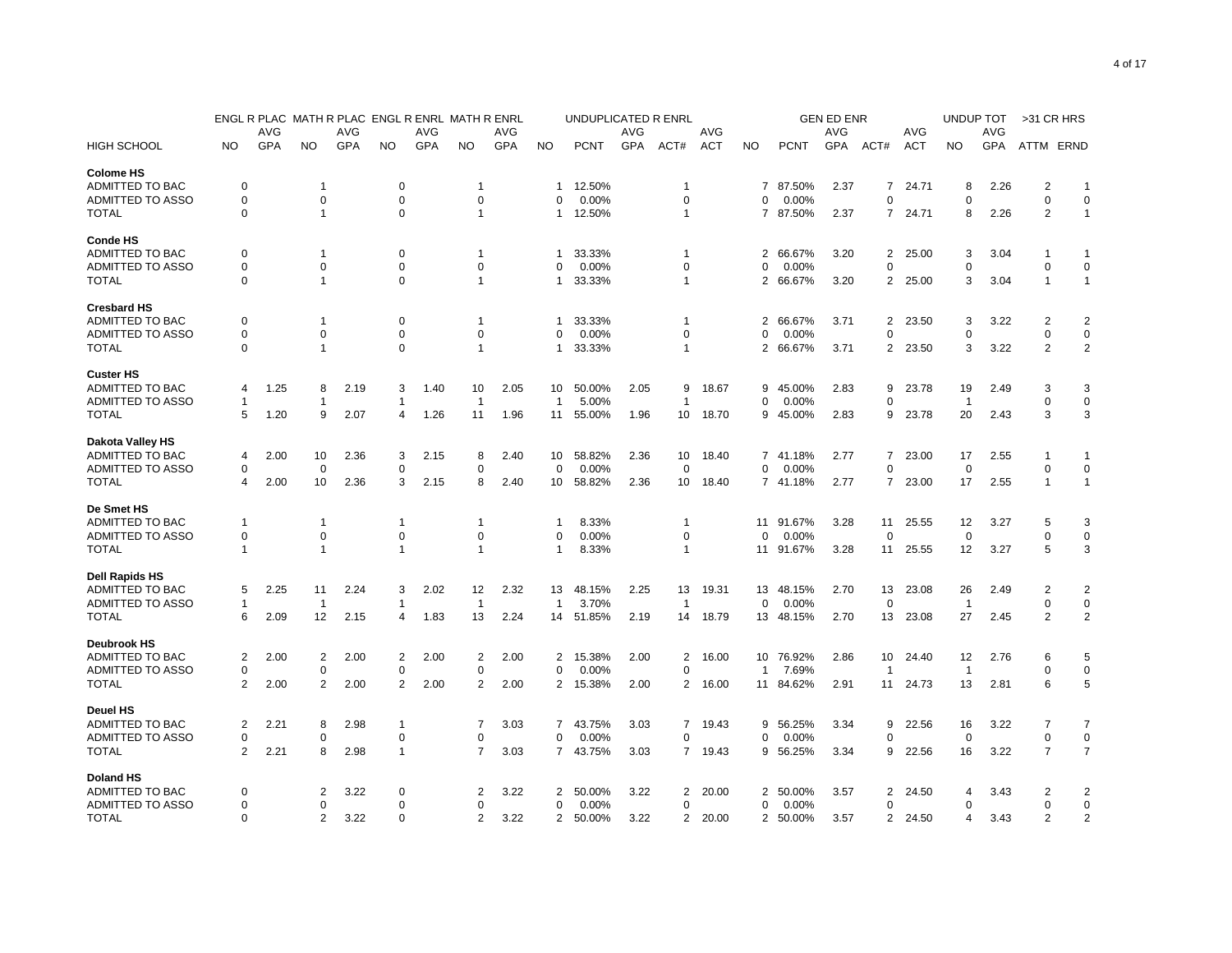|                                       |             |      | ENGL R PLAC MATH R PLAC ENGL R ENRL MATH R ENRL |      |                |      |                |            |                | UNDUPLICATED R ENRL |      |                |            |                |             | <b>GEN ED ENR</b> |                |            | UNDUP TOT      |      | >31 CR HRS     |                |
|---------------------------------------|-------------|------|-------------------------------------------------|------|----------------|------|----------------|------------|----------------|---------------------|------|----------------|------------|----------------|-------------|-------------------|----------------|------------|----------------|------|----------------|----------------|
|                                       |             | AVG  |                                                 | AVG  |                | AVG  |                | AVG        |                |                     | AVG  |                | AVG        |                |             | <b>AVG</b>        |                | AVG        |                | AVG  |                |                |
| <b>HIGH SCHOOL</b>                    | <b>NO</b>   | GPA  | <b>NO</b>                                       | GPA  | <b>NO</b>      | GPA  | <b>NO</b>      | <b>GPA</b> | <b>NO</b>      | <b>PCNT</b>         | GPA  | ACT#           | <b>ACT</b> | <b>NO</b>      | <b>PCNT</b> | GPA               | ACT#           | <b>ACT</b> | <b>NO</b>      | GPA  | ATTM ERND      |                |
| <b>Colome HS</b>                      |             |      |                                                 |      |                |      |                |            |                |                     |      |                |            |                |             |                   |                |            |                |      |                |                |
| ADMITTED TO BAC                       | 0           |      | $\mathbf 1$                                     |      | 0              |      | -1             |            | 1              | 12.50%              |      | -1             |            | $\overline{7}$ | 87.50%      | 2.37              | 7              | 24.71      | 8              | 2.26 | 2              | $\mathbf{1}$   |
| ADMITTED TO ASSO                      | 0           |      | $\mathbf 0$                                     |      | $\mathbf 0$    |      | $\mathbf 0$    |            | 0              | 0.00%               |      | $\mathbf 0$    |            | O              | 0.00%       |                   | $\Omega$       |            | $\Omega$       |      | $\mathbf 0$    | $\mathbf 0$    |
| <b>TOTAL</b>                          | $\Omega$    |      | $\overline{1}$                                  |      | $\mathbf 0$    |      | $\overline{1}$ |            | $\mathbf{1}$   | 12.50%              |      | 1              |            |                | 7 87.50%    | 2.37              | $\overline{7}$ | 24.71      | 8              | 2.26 | 2              | $\mathbf{1}$   |
| <b>Conde HS</b>                       |             |      |                                                 |      |                |      |                |            |                |                     |      |                |            |                |             |                   |                |            |                |      |                |                |
| ADMITTED TO BAC                       | 0           |      | -1                                              |      | 0              |      | 1              |            | 1              | 33.33%              |      | 1              |            | 2              | 66.67%      | 3.20              | 2              | 25.00      | 3              | 3.04 | 1              | 1              |
| ADMITTED TO ASSO                      | 0           |      | $\mathbf 0$                                     |      | $\mathbf 0$    |      | 0              |            | 0              | 0.00%               |      | 0              |            | O              | 0.00%       |                   | 0              |            | $\Omega$       |      | $\mathbf 0$    | $\mathbf 0$    |
| <b>TOTAL</b>                          | $\Omega$    |      | $\mathbf{1}$                                    |      | $\Omega$       |      | $\mathbf{1}$   |            | 1              | 33.33%              |      | 1              |            |                | 2 66.67%    | 3.20              | $\overline{2}$ | 25.00      | 3              | 3.04 | $\mathbf{1}$   | $\mathbf{1}$   |
| <b>Cresbard HS</b>                    |             |      |                                                 |      |                |      |                |            |                |                     |      |                |            |                |             |                   |                |            |                |      |                |                |
| ADMITTED TO BAC                       | 0           |      | -1                                              |      | $\mathbf 0$    |      | 1              |            |                | 33.33%              |      | 1              |            | 2              | 66.67%      | 3.71              | $\overline{2}$ | 23.50      | 3              | 3.22 | $\overline{2}$ | $\overline{2}$ |
| ADMITTED TO ASSO                      | 0           |      | 0                                               |      | 0              |      | 0              |            | 0              | 0.00%               |      | $\Omega$       |            | O              | 0.00%       |                   | 0              |            | $\Omega$       |      | 0              | 0              |
| <b>TOTAL</b>                          | $\Omega$    |      | $\mathbf{1}$                                    |      | $\Omega$       |      | $\mathbf{1}$   |            | 1              | 33.33%              |      | 1              |            | 2              | 66.67%      | 3.71              | 2              | 23.50      | 3              | 3.22 | 2              | $\overline{2}$ |
| <b>Custer HS</b>                      |             |      |                                                 |      |                |      |                |            |                |                     |      |                |            |                |             |                   |                |            |                |      |                |                |
| ADMITTED TO BAC                       | 4           | 1.25 | 8                                               | 2.19 | 3              | 1.40 | 10             | 2.05       | 10             | 50.00%              | 2.05 | 9              | 18.67      | 9              | 45.00%      | 2.83              | 9              | 23.78      | 19             | 2.49 | 3              | 3              |
| ADMITTED TO ASSO                      | -1          |      | -1                                              |      | -1             |      | -1             |            | $\mathbf{1}$   | 5.00%               |      | 1              |            | $\Omega$       | 0.00%       |                   | 0              |            | -1             |      | $\mathbf 0$    | $\mathbf 0$    |
| <b>TOTAL</b>                          | 5           | 1.20 | 9                                               | 2.07 | 4              | 1.26 | 11             | 1.96       | 11             | 55.00%              | 1.96 | 10             | 18.70      | 9              | 45.00%      | 2.83              | 9              | 23.78      | 20             | 2.43 | 3              | 3              |
|                                       |             |      |                                                 |      |                |      |                |            |                |                     |      |                |            |                |             |                   |                |            |                |      |                |                |
| <b>Dakota Valley HS</b>               |             |      |                                                 |      |                |      |                |            |                |                     |      |                |            |                |             |                   |                |            |                |      |                |                |
| ADMITTED TO BAC                       | 4           | 2.00 | 10                                              | 2.36 | 3              | 2.15 | 8              | 2.40       | 10             | 58.82%              | 2.36 | 10             | 18.40      |                | 7 41.18%    | 2.77              | 7              | 23.00      | 17             | 2.55 | -1             | $\mathbf 1$    |
| ADMITTED TO ASSO                      | 0           |      | $\mathbf 0$                                     |      | 0              |      | 0              |            | $\Omega$       | 0.00%               |      | $\Omega$       |            | $\Omega$       | 0.00%       |                   | 0              |            | $\Omega$       |      | $\mathbf 0$    | $\mathbf 0$    |
| <b>TOTAL</b>                          | 4           | 2.00 | 10                                              | 2.36 | 3              | 2.15 | 8              | 2.40       | 10             | 58.82%              | 2.36 | 10             | 18.40      |                | 7 41.18%    | 2.77              | 7              | 23.00      | 17             | 2.55 | $\overline{1}$ | $\mathbf{1}$   |
| De Smet HS                            |             |      |                                                 |      |                |      |                |            |                |                     |      |                |            |                |             |                   |                |            |                |      |                |                |
| ADMITTED TO BAC                       | -1          |      | -1                                              |      | -1             |      | -1             |            | 1              | 8.33%               |      | 1              |            | 11             | 91.67%      | 3.28              | 11             | 25.55      | 12             | 3.27 | 5              | 3              |
| ADMITTED TO ASSO                      | $\Omega$    |      | $\mathbf 0$                                     |      | $\mathbf 0$    |      | 0              |            | $\Omega$       | 0.00%               |      | $\Omega$       |            | $\Omega$       | 0.00%       |                   | $\Omega$       |            | $\Omega$       |      | $\mathbf 0$    | $\mathbf 0$    |
| <b>TOTAL</b>                          | $\mathbf 1$ |      | $\overline{1}$                                  |      | $\mathbf{1}$   |      | $\overline{1}$ |            | 1              | 8.33%               |      | $\mathbf{1}$   |            |                | 11 91.67%   | 3.28              | 11             | 25.55      | 12             | 3.27 | 5              | 3              |
| <b>Dell Rapids HS</b>                 |             |      |                                                 |      |                |      |                |            |                |                     |      |                |            |                |             |                   |                |            |                |      |                |                |
| ADMITTED TO BAC                       | 5           | 2.25 | 11                                              | 2.24 | 3              | 2.02 | 12             | 2.32       | 13             | 48.15%              | 2.25 | 13             | 19.31      | 13             | 48.15%      | 2.70              | 13             | 23.08      | 26             | 2.49 | $\overline{2}$ | $\overline{2}$ |
| ADMITTED TO ASSO                      | $\mathbf 1$ |      | $\overline{1}$                                  |      | 1              |      | $\overline{1}$ |            | $\mathbf{1}$   | 3.70%               |      | $\mathbf{1}$   |            | $\Omega$       | 0.00%       |                   | $\Omega$       |            | $\overline{1}$ |      | $\mathbf 0$    | $\pmb{0}$      |
| <b>TOTAL</b>                          | 6           | 2.09 | 12                                              | 2.15 | 4              | 1.83 | 13             | 2.24       | 14             | 51.85%              | 2.19 | 14             | 18.79      |                | 13 48.15%   | 2.70              | 13             | 23.08      | 27             | 2.45 | 2              | $\overline{2}$ |
|                                       |             |      |                                                 |      |                |      |                |            |                |                     |      |                |            |                |             |                   |                |            |                |      |                |                |
| <b>Deubrook HS</b><br>ADMITTED TO BAC | 2           | 2.00 | $\overline{2}$                                  | 2.00 | 2              | 2.00 | 2              | 2.00       | 2              | 15.38%              | 2.00 | 2              | 16.00      | 10             | 76.92%      | 2.86              | 10             | 24.40      | 12             | 2.76 | 6              | 5              |
| ADMITTED TO ASSO                      | 0           |      | $\mathbf 0$                                     |      | 0              |      | $\mathbf 0$    |            | $\mathbf 0$    | 0.00%               |      | 0              |            | $\overline{1}$ | 7.69%       |                   | -1             |            | $\mathbf{1}$   |      | $\mathbf 0$    | $\pmb{0}$      |
| <b>TOTAL</b>                          | 2           | 2.00 | $\overline{2}$                                  | 2.00 | $\overline{2}$ | 2.00 | 2              | 2.00       | 2              | 15.38%              | 2.00 | 2              | 16.00      | 11             | 84.62%      | 2.91              | 11             | 24.73      | 13             | 2.81 | 6              | 5              |
|                                       |             |      |                                                 |      |                |      |                |            |                |                     |      |                |            |                |             |                   |                |            |                |      |                |                |
| <b>Deuel HS</b>                       |             |      |                                                 |      |                |      |                |            |                |                     |      |                |            |                |             |                   |                |            |                |      |                |                |
| ADMITTED TO BAC                       | 2           | 2.21 | 8                                               | 2.98 | $\mathbf{1}$   |      | 7              | 3.03       | $\overline{7}$ | 43.75%              | 3.03 | $\overline{7}$ | 19.43      | 9              | 56.25%      | 3.34              | 9              | 22.56      | 16             | 3.22 | 7              | 7              |
| ADMITTED TO ASSO                      | 0           |      | 0                                               |      | 0              |      | 0              |            | 0              | 0.00%               |      | 0              |            | 0              | $0.00\%$    |                   | 0              |            | 0              |      | $\mathbf 0$    | $\pmb{0}$      |
| <b>TOTAL</b>                          | 2           | 2.21 | 8                                               | 2.98 | $\overline{1}$ |      | $\overline{7}$ | 3.03       | $\overline{7}$ | 43.75%              | 3.03 | $7^{\circ}$    | 19.43      | 9              | 56.25%      | 3.34              | 9              | 22.56      | 16             | 3.22 | $\overline{7}$ | $\overline{7}$ |
| Doland HS                             |             |      |                                                 |      |                |      |                |            |                |                     |      |                |            |                |             |                   |                |            |                |      |                |                |
| ADMITTED TO BAC                       | 0           |      | $\overline{2}$                                  | 3.22 | 0              |      | 2              | 3.22       | 2              | 50.00%              | 3.22 | 2              | 20.00      | 2              | 50.00%      | 3.57              | 2              | 24.50      | 4              | 3.43 | $\overline{2}$ | 2              |
| ADMITTED TO ASSO                      | 0           |      | 0                                               |      | 0              |      | 0              |            | 0              | 0.00%               |      | 0              |            | 0              | 0.00%       |                   | 0              |            | $\Omega$       |      | 0              | $\mathbf 0$    |
| <b>TOTAL</b>                          | $\Omega$    |      | $\overline{2}$                                  | 3.22 | $\Omega$       |      | $\overline{2}$ | 3.22       | $\overline{2}$ | 50.00%              | 3.22 | $\overline{2}$ | 20.00      |                | 2 50.00%    | 3.57              | $\overline{2}$ | 24.50      | 4              | 3.43 | $\overline{2}$ | 2              |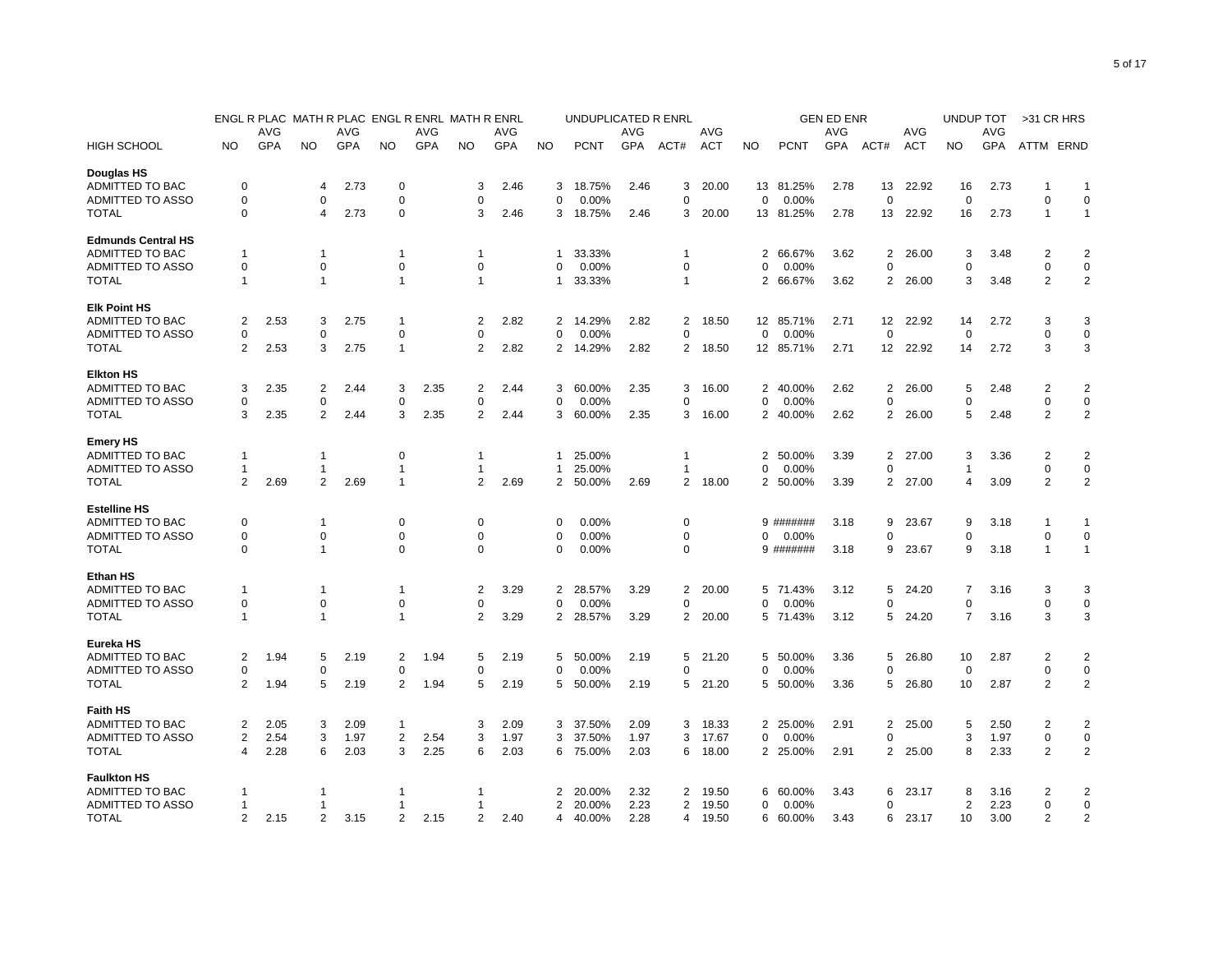|                           |          |      |                |      |                |      | ENGL R PLAC MATH R PLAC ENGL R ENRL MATH R ENRL |      |              | UNDUPLICATED R ENRL |      |                |            |                   |             | <b>GEN ED ENR</b> |                |            | UNDUP TOT      |      | >31 CR HRS     |                |
|---------------------------|----------|------|----------------|------|----------------|------|-------------------------------------------------|------|--------------|---------------------|------|----------------|------------|-------------------|-------------|-------------------|----------------|------------|----------------|------|----------------|----------------|
|                           |          | AVG  |                | AVG  |                | AVG  |                                                 | AVG  |              |                     | AVG  |                | AVG        |                   |             | AVG               |                | AVG        |                | AVG  |                |                |
| <b>HIGH SCHOOL</b>        | NO.      | GPA  | NO.            | GPA  | NO.            | GPA  | NO.                                             | GPA  | NO.          | <b>PCNT</b>         | GPA  | ACT#           | <b>ACT</b> | NO                | <b>PCNT</b> | GPA               | ACT#           | <b>ACT</b> | <b>NO</b>      | GPA  | ATTM ERND      |                |
| Douglas HS                |          |      |                |      |                |      |                                                 |      |              |                     |      |                |            |                   |             |                   |                |            |                |      |                |                |
| ADMITTED TO BAC           | 0        |      | $\overline{a}$ | 2.73 | 0              |      | 3                                               | 2.46 | 3            | 18.75%              | 2.46 | 3              | 20.00      |                   | 13 81.25%   | 2.78              | 13             | 22.92      | 16             | 2.73 |                | $\mathbf 1$    |
| ADMITTED TO ASSO          | 0        |      | $\mathbf 0$    |      | 0              |      | $\Omega$                                        |      | $\mathbf 0$  | 0.00%               |      | 0              |            | 0                 | 0.00%       |                   | $\mathbf 0$    |            | 0              |      | $\Omega$       | $\mathbf 0$    |
| <b>TOTAL</b>              | 0        |      | $\overline{4}$ | 2.73 | 0              |      | 3                                               | 2.46 | 3            | 18.75%              | 2.46 | 3              | 20.00      |                   | 13 81.25%   | 2.78              | 13             | 22.92      | 16             | 2.73 | $\overline{1}$ | $\mathbf{1}$   |
| <b>Edmunds Central HS</b> |          |      |                |      |                |      |                                                 |      |              |                     |      |                |            |                   |             |                   |                |            |                |      |                |                |
| <b>ADMITTED TO BAC</b>    | 1        |      | -1             |      | 1              |      | 1                                               |      | $\mathbf{1}$ | 33.33%              |      | 1              |            | 2                 | 66.67%      | 3.62              | 2              | 26.00      | 3              | 3.48 | 2              | $\overline{2}$ |
| ADMITTED TO ASSO          | 0        |      | 0              |      | 0              |      | 0                                               |      | 0            | 0.00%               |      | 0              |            | 0                 | 0.00%       |                   | 0              |            | 0              |      | 0              | 0              |
| <b>TOTAL</b>              | 1        |      | $\overline{1}$ |      | $\overline{1}$ |      | $\mathbf{1}$                                    |      | $\mathbf{1}$ | 33.33%              |      | 1              |            |                   | 2 66.67%    | 3.62              | $\overline{2}$ | 26.00      | 3              | 3.48 | $\overline{2}$ | $\overline{2}$ |
| <b>Elk Point HS</b>       |          |      |                |      |                |      |                                                 |      |              |                     |      |                |            |                   |             |                   |                |            |                |      |                |                |
| ADMITTED TO BAC           | 2        | 2.53 | 3              | 2.75 | $\mathbf 1$    |      | $\overline{2}$                                  | 2.82 | 2            | 14.29%              | 2.82 | $\overline{2}$ | 18.50      | $12 \overline{ }$ | 85.71%      | 2.71              | 12             | 22.92      | 14             | 2.72 | 3              | 3              |
| ADMITTED TO ASSO          | 0        |      | $\mathbf 0$    |      | 0              |      | $\mathbf 0$                                     |      | $\mathbf 0$  | 0.00%               |      | 0              |            | $\mathbf 0$       | 0.00%       |                   | $\mathbf 0$    |            | 0              |      | 0              | $\mathbf 0$    |
| <b>TOTAL</b>              | 2        | 2.53 | 3              | 2.75 | $\mathbf{1}$   |      | 2                                               | 2.82 | 2            | 14.29%              | 2.82 | $\overline{2}$ | 18.50      |                   | 12 85.71%   | 2.71              | 12             | 22.92      | 14             | 2.72 | 3              | 3              |
| <b>Elkton HS</b>          |          |      |                |      |                |      |                                                 |      |              |                     |      |                |            |                   |             |                   |                |            |                |      |                |                |
| ADMITTED TO BAC           | 3        | 2.35 | $\overline{2}$ | 2.44 | 3              | 2.35 | 2                                               | 2.44 | 3            | 60.00%              | 2.35 | 3              | 16.00      |                   | 2 40.00%    | 2.62              | 2              | 26.00      | 5              | 2.48 | $\overline{2}$ | $\overline{2}$ |
| <b>ADMITTED TO ASSO</b>   | $\Omega$ |      | $\mathbf 0$    |      | 0              |      | $\mathbf 0$                                     |      | 0            | 0.00%               |      | 0              |            | $\Omega$          | 0.00%       |                   | $\mathbf 0$    |            | $\Omega$       |      | $\mathbf 0$    | $\mathbf 0$    |
| <b>TOTAL</b>              | 3        | 2.35 | 2              | 2.44 | 3              | 2.35 | 2                                               | 2.44 | 3            | 60.00%              | 2.35 | 3              | 16.00      | 2                 | 40.00%      | 2.62              | 2              | 26.00      | 5              | 2.48 | 2              | $\overline{2}$ |
| <b>Emery HS</b>           |          |      |                |      |                |      |                                                 |      |              |                     |      |                |            |                   |             |                   |                |            |                |      |                |                |
| ADMITTED TO BAC           | 1        |      | -1             |      | 0              |      | $\mathbf 1$                                     |      | -1           | 25.00%              |      | 1              |            | 2                 | 50.00%      | 3.39              | 2              | 27.00      | 3              | 3.36 | $\overline{2}$ | $\overline{2}$ |
| ADMITTED TO ASSO          | 1        |      | $\overline{1}$ |      | $\overline{1}$ |      | -1                                              |      | $\mathbf{1}$ | 25.00%              |      | 1              |            | $\Omega$          | 0.00%       |                   | $\mathbf 0$    |            |                |      | $\mathbf 0$    | $\mathbf 0$    |
| <b>TOTAL</b>              | 2        | 2.69 | 2              | 2.69 | $\overline{1}$ |      | 2                                               | 2.69 | 2            | 50.00%              | 2.69 | $\overline{2}$ | 18.00      | 2                 | 50.00%      | 3.39              | 2              | 27.00      | 4              | 3.09 | 2              | $\overline{2}$ |
| <b>Estelline HS</b>       |          |      |                |      |                |      |                                                 |      |              |                     |      |                |            |                   |             |                   |                |            |                |      |                |                |
| <b>ADMITTED TO BAC</b>    | $\Omega$ |      | -1             |      | 0              |      | $\Omega$                                        |      | 0            | 0.00%               |      | 0              |            |                   | 9 #######   | 3.18              | 9              | 23.67      | 9              | 3.18 | -1             | -1             |
| ADMITTED TO ASSO          | $\Omega$ |      | $\mathbf 0$    |      | 0              |      | 0                                               |      | 0            | 0.00%               |      | 0              |            | 0                 | $0.00\%$    |                   | 0              |            | $\Omega$       |      | 0              | 0              |
| <b>TOTAL</b>              | $\Omega$ |      | $\overline{1}$ |      | 0              |      | $\Omega$                                        |      | $\mathbf 0$  | 0.00%               |      | 0              |            |                   | 9 #######   | 3.18              | 9              | 23.67      | 9              | 3.18 | $\mathbf{1}$   | $\mathbf{1}$   |
| Ethan HS                  |          |      |                |      |                |      |                                                 |      |              |                     |      |                |            |                   |             |                   |                |            |                |      |                |                |
| ADMITTED TO BAC           | -1       |      | $\overline{1}$ |      | $\overline{1}$ |      | 2                                               | 3.29 | 2            | 28.57%              | 3.29 | $\overline{2}$ | 20.00      | 5                 | 71.43%      | 3.12              | 5              | 24.20      | 7              | 3.16 | 3              | 3              |
| <b>ADMITTED TO ASSO</b>   | 0        |      | $\mathbf 0$    |      | 0              |      | $\mathbf 0$                                     |      | 0            | 0.00%               |      | 0              |            | 0                 | 0.00%       |                   | $\Omega$       |            | $\Omega$       |      | $\Omega$       | $\mathbf 0$    |
| <b>TOTAL</b>              | 1        |      | $\overline{1}$ |      | $\overline{1}$ |      | 2                                               | 3.29 | 2            | 28.57%              | 3.29 | 2              | 20.00      |                   | 5 71.43%    | 3.12              | 5              | 24.20      | 7              | 3.16 | 3              | 3              |
| Eureka HS                 |          |      |                |      |                |      |                                                 |      |              |                     |      |                |            |                   |             |                   |                |            |                |      |                |                |
| ADMITTED TO BAC           | 2        | 1.94 | 5              | 2.19 | 2              | 1.94 | 5                                               | 2.19 | 5            | 50.00%              | 2.19 | 5              | 21.20      | 5                 | 50.00%      | 3.36              | 5              | 26.80      | 10             | 2.87 | 2              | 2              |
| <b>ADMITTED TO ASSO</b>   | $\Omega$ |      | $\mathbf 0$    |      | 0              |      | 0                                               |      | $\mathbf 0$  | 0.00%               |      | $\Omega$       |            | 0                 | 0.00%       |                   | $\mathbf 0$    |            | $\Omega$       |      | $\mathbf 0$    | $\mathbf 0$    |
| <b>TOTAL</b>              | 2        | 1.94 | 5              | 2.19 | 2              | 1.94 | 5                                               | 2.19 | 5            | 50.00%              | 2.19 | 5              | 21.20      | 5                 | 50.00%      | 3.36              | 5              | 26.80      | 10             | 2.87 | 2              | $\overline{2}$ |
| <b>Faith HS</b>           |          |      |                |      |                |      |                                                 |      |              |                     |      |                |            |                   |             |                   |                |            |                |      |                |                |
| ADMITTED TO BAC           | 2        | 2.05 | 3              | 2.09 | $\mathbf 1$    |      | 3                                               | 2.09 | 3            | 37.50%              | 2.09 | 3              | 18.33      | 2                 | 25.00%      | 2.91              | 2              | 25.00      | 5              | 2.50 | 2              | 2              |
| ADMITTED TO ASSO          | 2        | 2.54 | 3              | 1.97 | $\overline{2}$ | 2.54 | 3                                               | 1.97 | 3            | 37.50%              | 1.97 | 3              | 17.67      | 0                 | 0.00%       |                   | $\mathbf 0$    |            | 3              | 1.97 | $\mathbf 0$    | $\pmb{0}$      |
| <b>TOTAL</b>              | 4        | 2.28 | 6              | 2.03 | 3              | 2.25 | 6                                               | 2.03 | 6            | 75.00%              | 2.03 | 6              | 18.00      |                   | 2 25.00%    | 2.91              | 2              | 25.00      | 8              | 2.33 | 2              | $\overline{2}$ |
| <b>Faulkton HS</b>        |          |      |                |      |                |      |                                                 |      |              |                     |      |                |            |                   |             |                   |                |            |                |      |                |                |
| ADMITTED TO BAC           |          |      | -1             |      | 1              |      | 1                                               |      | 2            | 20.00%              | 2.32 | 2              | 19.50      | 6                 | 60.00%      | 3.43              | 6              | 23.17      | 8              | 3.16 | 2              | 2              |
| ADMITTED TO ASSO          | 1        |      | -1             |      | 1              |      | -1                                              |      | 2            | 20.00%              | 2.23 | 2              | 19.50      | 0                 | $0.00\%$    |                   | $\Omega$       |            | $\overline{2}$ | 2.23 | $\Omega$       | $\mathbf 0$    |
| <b>TOTAL</b>              | 2        | 2.15 | 2              | 3.15 | $\overline{2}$ | 2.15 | $\overline{2}$                                  | 2.40 | 4            | 40.00%              | 2.28 | 4              | 19.50      |                   | 6 60.00%    | 3.43              | 6              | 23.17      | 10             | 3.00 | $\overline{2}$ | $\overline{2}$ |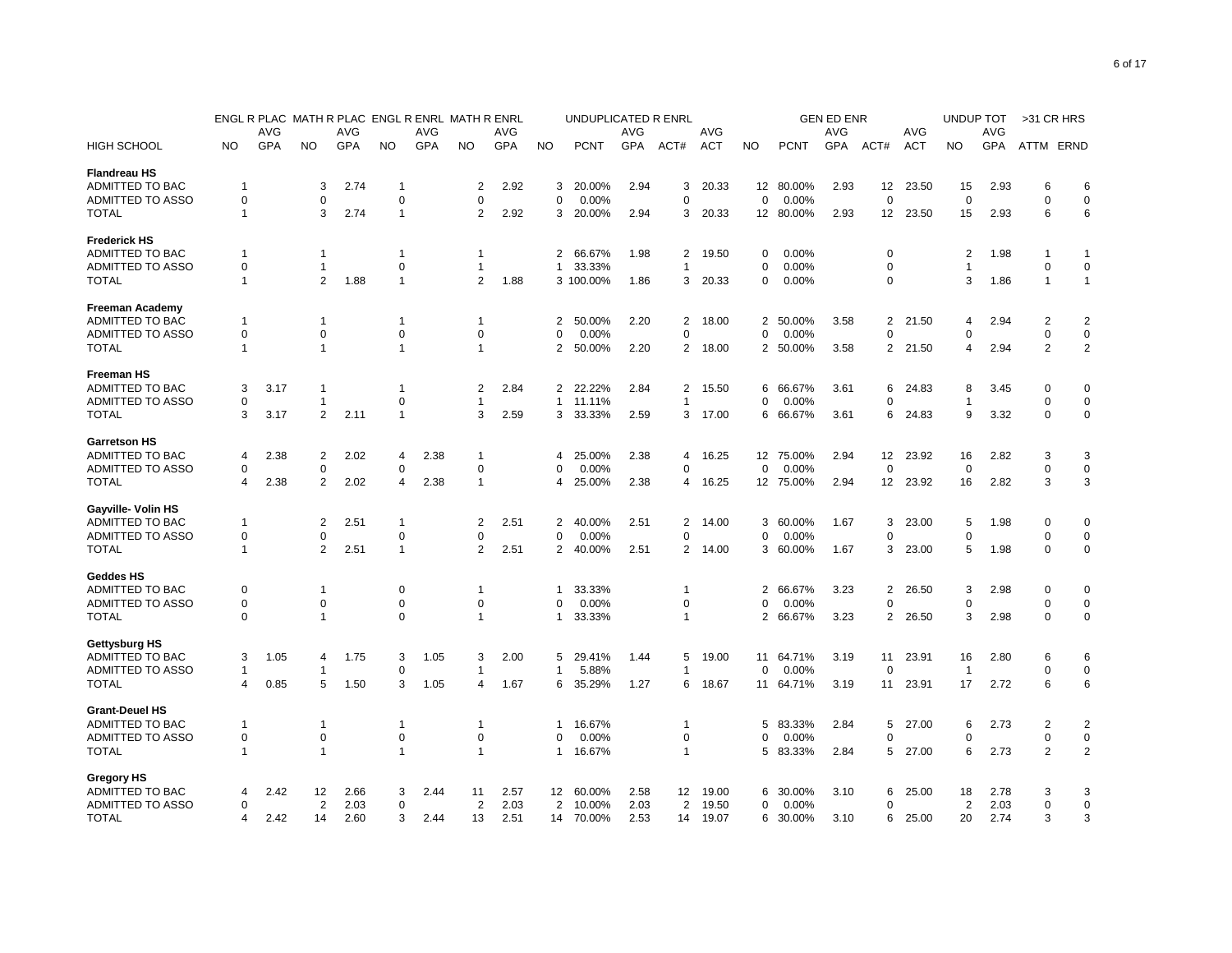|                        |             |      |                |      | ENGL R PLAC MATH R PLAC ENGL R ENRL MATH R ENRL |      |                |            |                | UNDUPLICATED R ENRL |      |                |            |           |             | <b>GEN ED ENR</b> |                 |            | UNDUP TOT      |            | >31 CR HRS     |                |
|------------------------|-------------|------|----------------|------|-------------------------------------------------|------|----------------|------------|----------------|---------------------|------|----------------|------------|-----------|-------------|-------------------|-----------------|------------|----------------|------------|----------------|----------------|
|                        |             | AVG  |                | AVG  |                                                 | AVG  |                | AVG        |                |                     | AVG  |                | AVG        |           |             | <b>AVG</b>        |                 | AVG        |                | AVG        |                |                |
| <b>HIGH SCHOOL</b>     | <b>NO</b>   | GPA  | <b>NO</b>      | GPA  | <b>NO</b>                                       | GPA  | <b>NO</b>      | <b>GPA</b> | <b>NO</b>      | <b>PCNT</b>         | GPA  | ACT#           | <b>ACT</b> | <b>NO</b> | <b>PCNT</b> | GPA               | ACT#            | <b>ACT</b> | <b>NO</b>      | <b>GPA</b> | ATTM ERND      |                |
| <b>Flandreau HS</b>    |             |      |                |      |                                                 |      |                |            |                |                     |      |                |            |           |             |                   |                 |            |                |            |                |                |
| ADMITTED TO BAC        | $\mathbf 1$ |      | 3              | 2.74 | 1                                               |      | 2              | 2.92       | 3              | 20.00%              | 2.94 | 3              | 20.33      |           | 12 80.00%   | 2.93              | 12              | 23.50      | 15             | 2.93       | 6              | 6              |
| ADMITTED TO ASSO       | $\mathbf 0$ |      | $\mathbf 0$    |      | 0                                               |      | $\Omega$       |            | $\mathbf 0$    | 0.00%               |      | 0              |            | $\Omega$  | 0.00%       |                   | $\Omega$        |            | $\Omega$       |            | $\Omega$       | $\mathbf 0$    |
| <b>TOTAL</b>           | -1          |      | 3              | 2.74 | $\mathbf{1}$                                    |      | 2              | 2.92       | 3              | 20.00%              | 2.94 | 3              | 20.33      |           | 12 80.00%   | 2.93              | 12 <sup>2</sup> | 23.50      | 15             | 2.93       | 6              | 6              |
| <b>Frederick HS</b>    |             |      |                |      |                                                 |      |                |            |                |                     |      |                |            |           |             |                   |                 |            |                |            |                |                |
| ADMITTED TO BAC        | 1           |      | -1             |      | 1                                               |      | $\mathbf{1}$   |            | $\overline{2}$ | 66.67%              | 1.98 | 2              | 19.50      | 0         | 0.00%       |                   | 0               |            | 2              | 1.98       | -1             | 1              |
| ADMITTED TO ASSO       | 0           |      | $\mathbf{1}$   |      | 0                                               |      | $\mathbf{1}$   |            | $\mathbf{1}$   | 33.33%              |      | 1              |            | 0         | 0.00%       |                   | 0               |            | 1              |            | $\mathbf 0$    | $\mathbf 0$    |
| <b>TOTAL</b>           | $\mathbf 1$ |      | $\overline{2}$ | 1.88 | $\mathbf{1}$                                    |      | $\overline{2}$ | 1.88       |                | 3 100.00%           | 1.86 | 3              | 20.33      | 0         | 0.00%       |                   | 0               |            | 3              | 1.86       | $\overline{1}$ | $\mathbf{1}$   |
| <b>Freeman Academy</b> |             |      |                |      |                                                 |      |                |            |                |                     |      |                |            |           |             |                   |                 |            |                |            |                |                |
| ADMITTED TO BAC        | 1           |      | $\mathbf 1$    |      | -1                                              |      | 1              |            | 2              | 50.00%              | 2.20 | 2              | 18.00      | 2         | 50.00%      | 3.58              | $\overline{2}$  | 21.50      | 4              | 2.94       | $\overline{2}$ | $\overline{2}$ |
| ADMITTED TO ASSO       | 0           |      | 0              |      | 0                                               |      | 0              |            | 0              | 0.00%               |      | 0              |            | 0         | 0.00%       |                   | 0               |            | $\Omega$       |            | 0              | 0              |
| <b>TOTAL</b>           | $\mathbf 1$ |      | $\mathbf{1}$   |      | $\mathbf{1}$                                    |      | $\mathbf{1}$   |            | 2              | 50.00%              | 2.20 | 2              | 18.00      |           | 2 50.00%    | 3.58              | 2               | 21.50      | 4              | 2.94       | $\overline{2}$ | $\overline{2}$ |
| <b>Freeman HS</b>      |             |      |                |      |                                                 |      |                |            |                |                     |      |                |            |           |             |                   |                 |            |                |            |                |                |
| ADMITTED TO BAC        | 3           | 3.17 | 1              |      | 1                                               |      | 2              | 2.84       | $\mathbf{2}$   | 22.22%              | 2.84 | 2              | 15.50      | 6         | 66.67%      | 3.61              | 6               | 24.83      | 8              | 3.45       | $\mathbf 0$    | 0              |
| ADMITTED TO ASSO       | $\Omega$    |      | -1             |      | $\mathbf 0$                                     |      | 1              |            | $\mathbf{1}$   | 11.11%              |      | 1              |            | 0         | 0.00%       |                   | 0               |            |                |            | $\mathbf 0$    | $\mathbf 0$    |
| <b>TOTAL</b>           | 3           | 3.17 | 2              | 2.11 | $\mathbf{1}$                                    |      | 3              | 2.59       | 3              | 33.33%              | 2.59 | 3              | 17.00      | 6         | 66.67%      | 3.61              | 6               | 24.83      | 9              | 3.32       | $\mathbf 0$    | $\mathbf 0$    |
| <b>Garretson HS</b>    |             |      |                |      |                                                 |      |                |            |                |                     |      |                |            |           |             |                   |                 |            |                |            |                |                |
| ADMITTED TO BAC        | 4           | 2.38 | $\overline{2}$ | 2.02 | 4                                               | 2.38 | $\overline{1}$ |            | 4              | 25.00%              | 2.38 | 4              | 16.25      |           | 12 75.00%   | 2.94              | 12              | 23.92      | 16             | 2.82       | 3              | 3              |
| ADMITTED TO ASSO       | 0           |      | $\mathbf 0$    |      | $\mathbf 0$                                     |      | $\mathbf 0$    |            | $\Omega$       | 0.00%               |      | 0              |            | $\Omega$  | 0.00%       |                   | 0               |            | $\Omega$       |            | $\mathbf 0$    | $\mathbf 0$    |
| <b>TOTAL</b>           | 4           | 2.38 | $\overline{2}$ | 2.02 | 4                                               | 2.38 | $\mathbf{1}$   |            | 4              | 25.00%              | 2.38 | 4              | 16.25      |           | 12 75.00%   | 2.94              | 12              | 23.92      | 16             | 2.82       | 3              | 3              |
| Gayville- Volin HS     |             |      |                |      |                                                 |      |                |            |                |                     |      |                |            |           |             |                   |                 |            |                |            |                |                |
| ADMITTED TO BAC        | -1          |      | $\overline{2}$ | 2.51 | -1                                              |      | 2              | 2.51       | 2              | 40.00%              | 2.51 | 2              | 14.00      | 3         | 60.00%      | 1.67              | 3               | 23.00      | 5              | 1.98       | 0              | 0              |
| ADMITTED TO ASSO       | $\Omega$    |      | 0              |      | $\Omega$                                        |      | $\Omega$       |            | $\Omega$       | 0.00%               |      | 0              |            | $\Omega$  | 0.00%       |                   | $\Omega$        |            | $\Omega$       |            | $\mathbf 0$    | 0              |
| <b>TOTAL</b>           | -1          |      | $\overline{2}$ | 2.51 | $\mathbf{1}$                                    |      | $\overline{2}$ | 2.51       | $\overline{2}$ | 40.00%              | 2.51 | $\overline{2}$ | 14.00      | 3         | 60.00%      | 1.67              | 3               | 23.00      | 5              | 1.98       | $\mathbf 0$    | $\mathbf 0$    |
| <b>Geddes HS</b>       |             |      |                |      |                                                 |      |                |            |                |                     |      |                |            |           |             |                   |                 |            |                |            |                |                |
| ADMITTED TO BAC        | 0           |      | -1             |      | 0                                               |      | 1              |            | 1              | 33.33%              |      | 1              |            | 2         | 66.67%      | 3.23              | 2               | 26.50      | 3              | 2.98       | $\mathbf 0$    | 0              |
| ADMITTED TO ASSO       | $\mathbf 0$ |      | $\mathbf 0$    |      | $\mathbf 0$                                     |      | $\mathbf 0$    |            | $\Omega$       | 0.00%               |      | $\mathbf 0$    |            | $\Omega$  | 0.00%       |                   | $\Omega$        |            | $\Omega$       |            | $\mathbf 0$    | $\mathbf 0$    |
| <b>TOTAL</b>           | $\Omega$    |      | $\mathbf 1$    |      | $\mathbf 0$                                     |      | $\mathbf{1}$   |            | $\mathbf{1}$   | 33.33%              |      | $\mathbf{1}$   |            |           | 2 66.67%    | 3.23              | 2               | 26.50      | 3              | 2.98       | $\mathbf 0$    | $\mathbf 0$    |
| Gettysburg HS          |             |      |                |      |                                                 |      |                |            |                |                     |      |                |            |           |             |                   |                 |            |                |            |                |                |
| ADMITTED TO BAC        | 3           | 1.05 | 4              | 1.75 | 3                                               | 1.05 | 3              | 2.00       | 5              | 29.41%              | 1.44 | 5              | 19.00      | 11        | 64.71%      | 3.19              | 11              | 23.91      | 16             | 2.80       | 6              | 6              |
| ADMITTED TO ASSO       | -1          |      | -1             |      | $\mathbf 0$                                     |      | -1             |            | 1              | 5.88%               |      | 1              |            | 0         | 0.00%       |                   | 0               |            | $\overline{1}$ |            | $\mathbf 0$    | $\pmb{0}$      |
| <b>TOTAL</b>           | 4           | 0.85 | 5              | 1.50 | 3                                               | 1.05 | 4              | 1.67       | 6              | 35.29%              | 1.27 | 6              | 18.67      |           | 11 64.71%   | 3.19              | 11              | 23.91      | 17             | 2.72       | 6              | 6              |
| <b>Grant-Deuel HS</b>  |             |      |                |      |                                                 |      |                |            |                |                     |      |                |            |           |             |                   |                 |            |                |            |                |                |
| ADMITTED TO BAC        | -1          |      | -1             |      | -1                                              |      | $\mathbf{1}$   |            | 1              | 16.67%              |      | 1              |            | 5         | 83.33%      | 2.84              | 5               | 27.00      | 6              | 2.73       | 2              | $\overline{2}$ |
| ADMITTED TO ASSO       | 0           |      | 0              |      | 0                                               |      | 0              |            | $\Omega$       | 0.00%               |      | 0              |            | 0         | 0.00%       |                   | 0               |            | 0              |            | $\mathbf 0$    | $\pmb{0}$      |
| <b>TOTAL</b>           | -1          |      | $\overline{1}$ |      | $\mathbf{1}$                                    |      | $\overline{1}$ |            | $\mathbf{1}$   | 16.67%              |      | $\mathbf{1}$   |            | 5         | 83.33%      | 2.84              | 5               | 27.00      | 6              | 2.73       | $\overline{2}$ | $\overline{2}$ |
| Gregory HS             |             |      |                |      |                                                 |      |                |            |                |                     |      |                |            |           |             |                   |                 |            |                |            |                |                |
| ADMITTED TO BAC        | 4           | 2.42 | 12             | 2.66 | 3                                               | 2.44 | 11             | 2.57       | 12             | 60.00%              | 2.58 | 12             | 19.00      | 6         | 30.00%      | 3.10              | 6               | 25.00      | 18             | 2.78       | 3              | 3              |
| ADMITTED TO ASSO       | 0           |      | 2              | 2.03 | 0                                               |      | 2              | 2.03       | 2              | 10.00%              | 2.03 | 2              | 19.50      | 0         | 0.00%       |                   | 0               |            | 2              | 2.03       | $\mathbf 0$    | $\mathbf 0$    |
| <b>TOTAL</b>           | Δ           | 2.42 | 14             | 2.60 | 3                                               | 2.44 | 13             | 2.51       | 14             | 70.00%              | 2.53 | 14             | 19.07      | 6         | 30.00%      | 3.10              | 6               | 25.00      | 20             | 2.74       | 3              | 3              |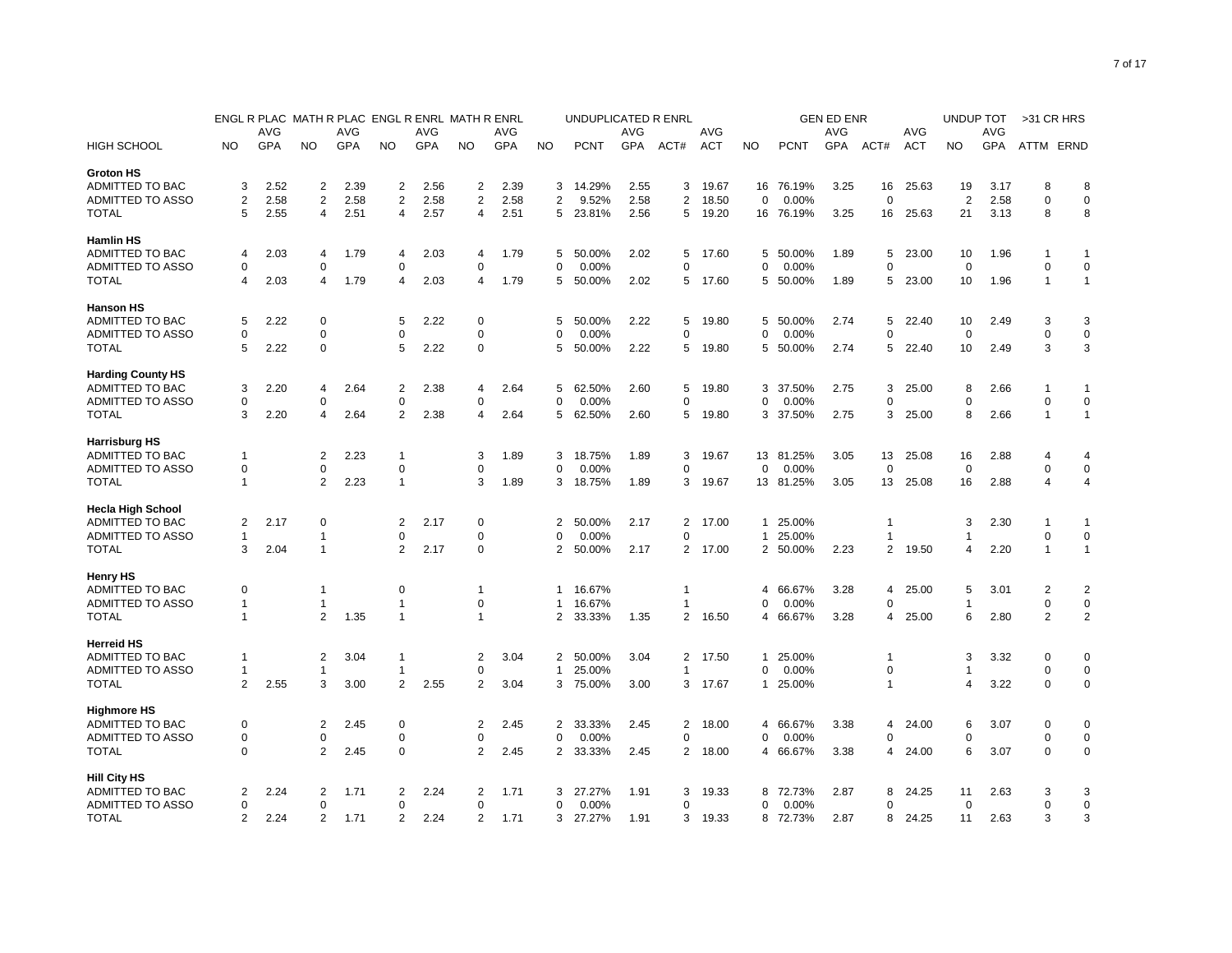|                          |                | ENGL R PLAC MATH R PLAC ENGL R ENRL MATH R ENRL |                         |      |                |      |                |            |                | UNDUPLICATED R ENRL |            |                |            |              |             | <b>GEN ED ENR</b> |                |            | <b>UNDUP TOT</b> |      | >31 CR HRS     |                |
|--------------------------|----------------|-------------------------------------------------|-------------------------|------|----------------|------|----------------|------------|----------------|---------------------|------------|----------------|------------|--------------|-------------|-------------------|----------------|------------|------------------|------|----------------|----------------|
|                          |                | AVG                                             |                         | AVG  |                | AVG  |                | AVG        |                |                     | AVG        |                | AVG        |              |             | AVG               |                | AVG        |                  | AVG  |                |                |
| <b>HIGH SCHOOL</b>       | <b>NO</b>      | <b>GPA</b>                                      | NO                      | GPA  | <b>NO</b>      | GPA  | <b>NO</b>      | <b>GPA</b> | <b>NO</b>      | <b>PCNT</b>         | <b>GPA</b> | ACT#           | <b>ACT</b> | <b>NO</b>    | <b>PCNT</b> | GPA               | ACT#           | <b>ACT</b> | <b>NO</b>        | GPA  | ATTM ERND      |                |
| <b>Groton HS</b>         |                |                                                 |                         |      |                |      |                |            |                |                     |            |                |            |              |             |                   |                |            |                  |      |                |                |
| ADMITTED TO BAC          | 3              | 2.52                                            | 2                       | 2.39 | 2              | 2.56 | 2              | 2.39       | 3              | 14.29%              | 2.55       | 3              | 19.67      |              | 16 76.19%   | 3.25              | 16             | 25.63      | 19               | 3.17 | 8              | 8              |
| ADMITTED TO ASSO         | 2              | 2.58                                            | $\overline{2}$          | 2.58 | $\overline{2}$ | 2.58 | $\overline{2}$ | 2.58       | $\overline{2}$ | 9.52%               | 2.58       | $\overline{2}$ | 18.50      | 0            | 0.00%       |                   | 0              |            | $\overline{2}$   | 2.58 | $\mathbf 0$    | $\mathbf 0$    |
| <b>TOTAL</b>             | 5              | 2.55                                            | 4                       | 2.51 | 4              | 2.57 | 4              | 2.51       |                | 5 23.81%            | 2.56       | 5              | 19.20      |              | 16 76.19%   | 3.25              | 16             | 25.63      | 21               | 3.13 | 8              | 8              |
| <b>Hamlin HS</b>         |                |                                                 |                         |      |                |      |                |            |                |                     |            |                |            |              |             |                   |                |            |                  |      |                |                |
| ADMITTED TO BAC          | 4              | 2.03                                            | 4                       | 1.79 | 4              | 2.03 | 4              | 1.79       | 5              | 50.00%              | 2.02       | 5              | 17.60      | 5            | 50.00%      | 1.89              | 5              | 23.00      | 10               | 1.96 | 1              | -1             |
| ADMITTED TO ASSO         | 0              |                                                 | 0                       |      | $\mathbf 0$    |      | $\Omega$       |            | 0              | 0.00%               |            | 0              |            | 0            | 0.00%       |                   | $\Omega$       |            | $\Omega$         |      | $\mathbf 0$    | $\mathbf 0$    |
| <b>TOTAL</b>             | 4              | 2.03                                            | 4                       | 1.79 | 4              | 2.03 | 4              | 1.79       | 5              | 50.00%              | 2.02       | 5              | 17.60      | 5            | 50.00%      | 1.89              | 5              | 23.00      | 10               | 1.96 | $\mathbf{1}$   | $\mathbf{1}$   |
| <b>Hanson HS</b>         |                |                                                 |                         |      |                |      |                |            |                |                     |            |                |            |              |             |                   |                |            |                  |      |                |                |
| ADMITTED TO BAC          | 5              | 2.22                                            | 0                       |      | 5              | 2.22 | 0              |            | 5              | 50.00%              | 2.22       | 5              | 19.80      | 5            | 50.00%      | 2.74              | 5              | 22.40      | 10               | 2.49 | 3              | 3              |
| ADMITTED TO ASSO         | 0              |                                                 | $\mathbf 0$             |      | 0              |      | $\mathbf 0$    |            | $\Omega$       | 0.00%               |            | 0              |            | 0            | 0.00%       |                   | 0              |            | $\mathbf 0$      |      | $\mathbf 0$    | $\mathbf 0$    |
| <b>TOTAL</b>             | 5              | 2.22                                            | $\pmb{0}$               |      | 5              | 2.22 | $\mathbf 0$    |            | 5              | 50.00%              | 2.22       | 5              | 19.80      |              | 5 50.00%    | 2.74              | 5              | 22.40      | 10               | 2.49 | 3              | 3              |
| <b>Harding County HS</b> |                |                                                 |                         |      |                |      |                |            |                |                     |            |                |            |              |             |                   |                |            |                  |      |                |                |
| ADMITTED TO BAC          | 3              | 2.20                                            | 4                       | 2.64 | $\overline{2}$ | 2.38 | 4              | 2.64       | 5              | 62.50%              | 2.60       | 5              | 19.80      | 3            | 37.50%      | 2.75              | 3              | 25.00      | 8                | 2.66 | $\overline{1}$ | -1             |
| ADMITTED TO ASSO         | 0              |                                                 | 0                       |      | $\mathbf 0$    |      | 0              |            | $\mathbf 0$    | 0.00%               |            | 0              |            | 0            | 0.00%       |                   | 0              |            | $\Omega$         |      | $\mathbf 0$    | $\mathbf 0$    |
| <b>TOTAL</b>             | 3              | 2.20                                            | 4                       | 2.64 | $\overline{2}$ | 2.38 | 4              | 2.64       | 5              | 62.50%              | 2.60       | 5              | 19.80      | 3            | 37.50%      | 2.75              | 3              | 25.00      | 8                | 2.66 | $\overline{1}$ | $\mathbf{1}$   |
| <b>Harrisburg HS</b>     |                |                                                 |                         |      |                |      |                |            |                |                     |            |                |            |              |             |                   |                |            |                  |      |                |                |
| ADMITTED TO BAC          | $\overline{1}$ |                                                 | $\overline{\mathbf{c}}$ | 2.23 | $\overline{1}$ |      | 3              | 1.89       | 3              | 18.75%              | 1.89       | 3              | 19.67      | 13           | 81.25%      | 3.05              | 13             | 25.08      | 16               | 2.88 | $\overline{4}$ | 4              |
| ADMITTED TO ASSO         | $\mathbf 0$    |                                                 | $\mathbf 0$             |      | $\mathbf 0$    |      | $\Omega$       |            | $\mathbf 0$    | 0.00%               |            | 0              |            | $\Omega$     | 0.00%       |                   | 0              |            | $\mathbf 0$      |      | $\mathbf 0$    | $\mathbf 0$    |
| <b>TOTAL</b>             | $\mathbf{1}$   |                                                 | $\overline{2}$          | 2.23 | $\mathbf{1}$   |      | 3              | 1.89       | 3              | 18.75%              | 1.89       | 3              | 19.67      |              | 13 81.25%   | 3.05              | 13             | 25.08      | 16               | 2.88 | $\Delta$       | $\overline{4}$ |
| <b>Hecla High School</b> |                |                                                 |                         |      |                |      |                |            |                |                     |            |                |            |              |             |                   |                |            |                  |      |                |                |
| ADMITTED TO BAC          | 2              | 2.17                                            | $\mathbf 0$             |      | 2              | 2.17 | 0              |            | 2              | 50.00%              | 2.17       | 2              | 17.00      | $\mathbf{1}$ | 25.00%      |                   | 1              |            | 3                | 2.30 | -1             | 1              |
| ADMITTED TO ASSO         | 1              |                                                 | 1                       |      | 0              |      | $\Omega$       |            | $\Omega$       | 0.00%               |            | $\Omega$       |            | 1            | 25.00%      |                   | 1              |            |                  |      | $\mathbf 0$    | $\mathbf 0$    |
| <b>TOTAL</b>             | 3              | 2.04                                            | 1                       |      | 2              | 2.17 | $\mathbf 0$    |            | $\overline{2}$ | 50.00%              | 2.17       | $\overline{2}$ | 17.00      | 2            | 50.00%      | 2.23              | $\overline{2}$ | 19.50      | 4                | 2.20 | $\overline{1}$ | $\mathbf{1}$   |
| <b>Henry HS</b>          |                |                                                 |                         |      |                |      |                |            |                |                     |            |                |            |              |             |                   |                |            |                  |      |                |                |
| ADMITTED TO BAC          | 0              |                                                 | 1                       |      | $\mathbf 0$    |      | $\overline{1}$ |            | 1.             | 16.67%              |            | 1              |            | 4            | 66.67%      | 3.28              | 4              | 25.00      | 5                | 3.01 | $\overline{2}$ | $\overline{2}$ |
| ADMITTED TO ASSO         | $\overline{1}$ |                                                 | 1                       |      | $\overline{1}$ |      | 0              |            | $\mathbf{1}$   | 16.67%              |            | 1              |            | $\Omega$     | 0.00%       |                   | 0              |            | -1               |      | $\mathbf 0$    | $\pmb{0}$      |
| <b>TOTAL</b>             | $\mathbf{1}$   |                                                 | $\overline{2}$          | 1.35 | $\mathbf{1}$   |      | -1             |            | 2              | 33.33%              | 1.35       | $\overline{2}$ | 16.50      | 4            | 66.67%      | 3.28              | 4              | 25.00      | 6                | 2.80 | $\overline{2}$ | $\overline{2}$ |
| <b>Herreid HS</b>        |                |                                                 |                         |      |                |      |                |            |                |                     |            |                |            |              |             |                   |                |            |                  |      |                |                |
| ADMITTED TO BAC          | $\mathbf{1}$   |                                                 | 2                       | 3.04 | $\mathbf{1}$   |      | 2              | 3.04       | $\overline{2}$ | 50.00%              | 3.04       | $\overline{2}$ | 17.50      | 1            | 25.00%      |                   | $\overline{1}$ |            | 3                | 3.32 | 0              | $\mathbf 0$    |
| ADMITTED TO ASSO         | $\mathbf{1}$   |                                                 | 1                       |      | 1              |      | $\mathbf 0$    |            | $\mathbf{1}$   | 25.00%              |            | 1              |            | 0            | 0.00%       |                   | 0              |            | -1               |      | $\mathbf 0$    | $\mathbf 0$    |
| <b>TOTAL</b>             | $\overline{2}$ | 2.55                                            | 3                       | 3.00 | $\overline{2}$ | 2.55 | $\overline{2}$ | 3.04       | 3              | 75.00%              | 3.00       | 3              | 17.67      | $\mathbf{1}$ | 25.00%      |                   | 1              |            | $\overline{4}$   | 3.22 | $\Omega$       | $\mathbf 0$    |
| <b>Highmore HS</b>       |                |                                                 |                         |      |                |      |                |            |                |                     |            |                |            |              |             |                   |                |            |                  |      |                |                |
| ADMITTED TO BAC          | 0              |                                                 | 2                       | 2.45 | $\mathbf 0$    |      | 2              | 2.45       | 2              | 33.33%              | 2.45       | 2              | 18.00      | 4            | 66.67%      | 3.38              | 4              | 24.00      | 6                | 3.07 | 0              | $\mathbf 0$    |
| ADMITTED TO ASSO         | 0              |                                                 | $\mathbf 0$             |      | $\mathbf 0$    |      | $\mathbf 0$    |            | $\mathbf 0$    | 0.00%               |            | 0              |            | O            | 0.00%       |                   | $\Omega$       |            | $\Omega$         |      | $\mathbf 0$    | $\mathbf 0$    |
| <b>TOTAL</b>             | $\Omega$       |                                                 | $\overline{2}$          | 2.45 | $\mathbf 0$    |      | $\overline{2}$ | 2.45       | $\overline{2}$ | 33.33%              | 2.45       | $\overline{2}$ | 18.00      | 4            | 66.67%      | 3.38              | 4              | 24.00      | 6                | 3.07 | $\Omega$       | $\mathbf 0$    |
| <b>Hill City HS</b>      |                |                                                 |                         |      |                |      |                |            |                |                     |            |                |            |              |             |                   |                |            |                  |      |                |                |
| ADMITTED TO BAC          | 2              | 2.24                                            | $\overline{2}$          | 1.71 | 2              | 2.24 | 2              | 1.71       | 3              | 27.27%              | 1.91       | 3              | 19.33      | 8            | 72.73%      | 2.87              | 8              | 24.25      | 11               | 2.63 | 3              | 3              |
| ADMITTED TO ASSO         | 0              |                                                 | 0                       |      | 0              |      | 0              |            | $\mathbf 0$    | 0.00%               |            | $\Omega$       |            | 0            | 0.00%       |                   | 0              |            | 0                |      | $\mathbf 0$    | $\mathsf 0$    |
| <b>TOTAL</b>             | 2              | 2.24                                            | $\overline{2}$          | 1.71 | $\overline{2}$ | 2.24 | $\overline{2}$ | 1.71       | 3              | 27.27%              | 1.91       | 3              | 19.33      |              | 8 72.73%    | 2.87              | 8              | 24.25      | 11               | 2.63 | 3              | 3              |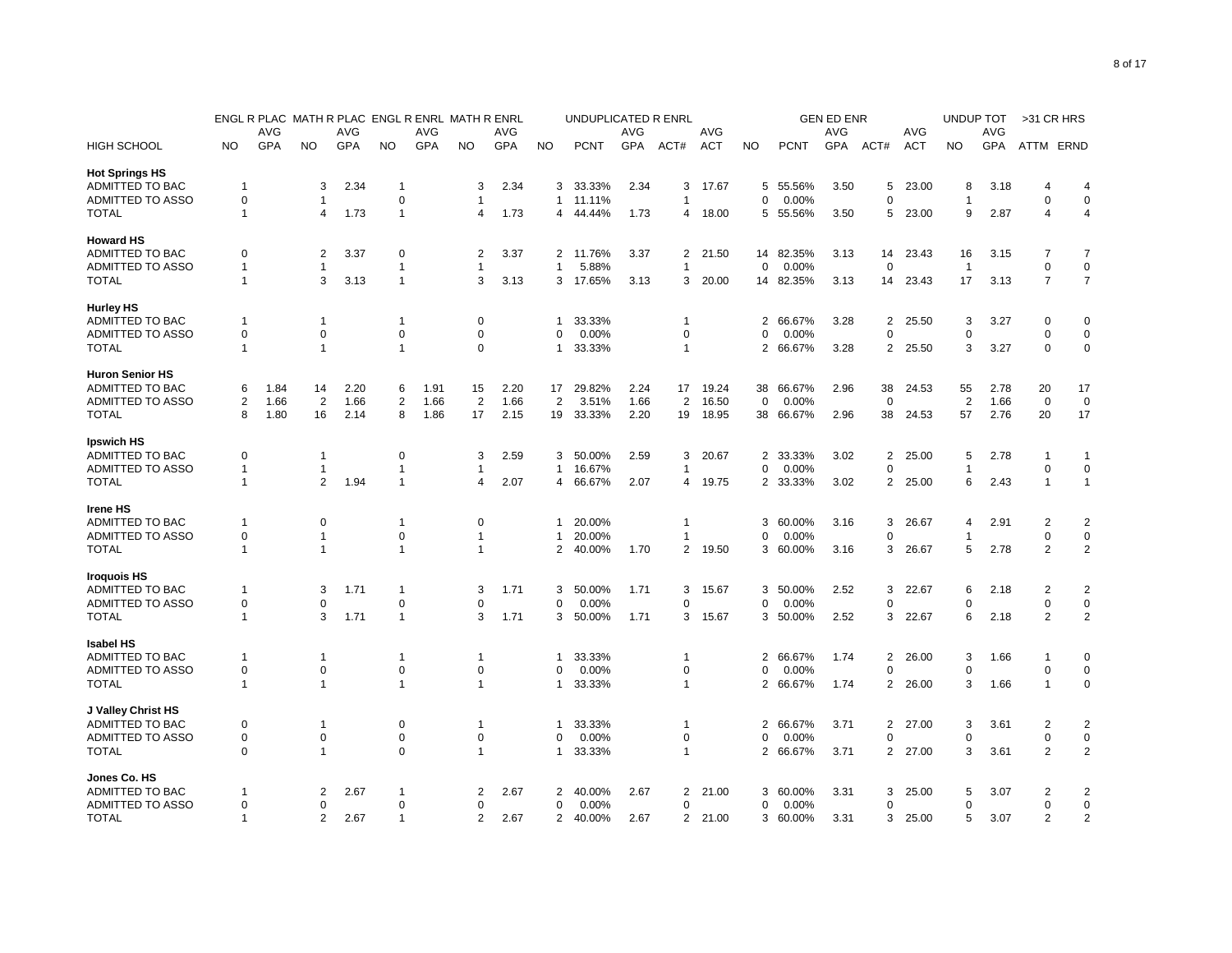|                        |                |      |                |      | ENGL R PLAC MATH R PLAC ENGL R ENRL MATH R ENRL |      |                |            |                | UNDUPLICATED R ENRL |      |                |            |                |             | <b>GEN ED ENR</b> |                |            | UNDUP TOT      |      | >31 CR HRS     |                |
|------------------------|----------------|------|----------------|------|-------------------------------------------------|------|----------------|------------|----------------|---------------------|------|----------------|------------|----------------|-------------|-------------------|----------------|------------|----------------|------|----------------|----------------|
|                        |                | AVG  |                | AVG  |                                                 | AVG  |                | AVG        |                |                     | AVG  |                | AVG        |                |             | <b>AVG</b>        |                | AVG        |                | AVG  |                |                |
| <b>HIGH SCHOOL</b>     | <b>NO</b>      | GPA  | <b>NO</b>      | GPA  | <b>NO</b>                                       | GPA  | <b>NO</b>      | <b>GPA</b> | <b>NO</b>      | <b>PCNT</b>         | GPA  | ACT#           | <b>ACT</b> | <b>NO</b>      | <b>PCNT</b> | GPA               | ACT#           | <b>ACT</b> | <b>NO</b>      | GPA  | ATTM ERND      |                |
| <b>Hot Springs HS</b>  |                |      |                |      |                                                 |      |                |            |                |                     |      |                |            |                |             |                   |                |            |                |      |                |                |
| ADMITTED TO BAC        | $\mathbf{1}$   |      | 3              | 2.34 | -1                                              |      | 3              | 2.34       | 3              | 33.33%              | 2.34 | 3              | 17.67      | 5              | 55.56%      | 3.50              | 5              | 23.00      | 8              | 3.18 | 4              | 4              |
| ADMITTED TO ASSO       | $\mathbf 0$    |      | -1             |      | 0                                               |      | -1             |            | $\mathbf{1}$   | 11.11%              |      | 1              |            | $\Omega$       | 0.00%       |                   | $\Omega$       |            | $\mathbf 1$    |      | $\Omega$       | $\mathbf 0$    |
| <b>TOTAL</b>           | -1             |      | 4              | 1.73 | $\mathbf{1}$                                    |      | 4              | 1.73       | 4              | 44.44%              | 1.73 |                | 4 18.00    |                | 5 55.56%    | 3.50              | 5              | 23.00      | 9              | 2.87 | $\overline{4}$ | 4              |
| <b>Howard HS</b>       |                |      |                |      |                                                 |      |                |            |                |                     |      |                |            |                |             |                   |                |            |                |      |                |                |
| ADMITTED TO BAC        | 0              |      | $\overline{2}$ | 3.37 | 0                                               |      | 2              | 3.37       | 2              | 11.76%              | 3.37 | 2              | 21.50      | 14             | 82.35%      | 3.13              | 14             | 23.43      | 16             | 3.15 | $\overline{7}$ | $\overline{7}$ |
| ADMITTED TO ASSO       | $\overline{1}$ |      | $\overline{1}$ |      | $\mathbf{1}$                                    |      | $\mathbf{1}$   |            | $\mathbf{1}$   | 5.88%               |      | 1              |            | 0              | 0.00%       |                   | $\mathbf 0$    |            | $\overline{1}$ |      | $\mathbf 0$    | $\mathbf 0$    |
| <b>TOTAL</b>           | -1             |      | 3              | 3.13 | $\mathbf{1}$                                    |      | 3              | 3.13       | 3              | 17.65%              | 3.13 | 3              | 20.00      |                | 14 82.35%   | 3.13              | 14             | 23.43      | 17             | 3.13 | $\overline{7}$ | $\overline{7}$ |
| <b>Hurley HS</b>       |                |      |                |      |                                                 |      |                |            |                |                     |      |                |            |                |             |                   |                |            |                |      |                |                |
| ADMITTED TO BAC        | -1             |      | $\mathbf 1$    |      | -1                                              |      | $\mathbf 0$    |            | -1             | 33.33%              |      | 1              |            | 2              | 66.67%      | 3.28              | 2              | 25.50      | 3              | 3.27 | $\Omega$       | $\mathbf 0$    |
| ADMITTED TO ASSO       | 0              |      | $\mathbf 0$    |      | 0                                               |      | 0              |            | $\Omega$       | 0.00%               |      | 0              |            | $\Omega$       | 0.00%       |                   | 0              |            | $\Omega$       |      | $\mathbf 0$    | 0              |
| <b>TOTAL</b>           | $\mathbf 1$    |      | $\mathbf{1}$   |      | $\mathbf{1}$                                    |      | $\Omega$       |            | 1              | 33.33%              |      | 1              |            | 2              | 66.67%      | 3.28              | 2              | 25.50      | 3              | 3.27 | $\mathbf 0$    | $\mathsf 0$    |
| <b>Huron Senior HS</b> |                |      |                |      |                                                 |      |                |            |                |                     |      |                |            |                |             |                   |                |            |                |      |                |                |
| ADMITTED TO BAC        | 6              | 1.84 | 14             | 2.20 | 6                                               | 1.91 | 15             | 2.20       | 17             | 29.82%              | 2.24 | 17             | 19.24      | 38             | 66.67%      | 2.96              | 38             | 24.53      | 55             | 2.78 | 20             | 17             |
| ADMITTED TO ASSO       | 2              | 1.66 | $\overline{2}$ | 1.66 | $\overline{2}$                                  | 1.66 | $\overline{2}$ | 1.66       | $\overline{2}$ | 3.51%               | 1.66 | $\overline{2}$ | 16.50      | $\mathbf 0$    | 0.00%       |                   | 0              |            | $\overline{2}$ | 1.66 | $\mathbf 0$    | $\mathbf 0$    |
| <b>TOTAL</b>           | 8              | 1.80 | 16             | 2.14 | 8                                               | 1.86 | 17             | 2.15       | 19             | 33.33%              | 2.20 | 19             | 18.95      | 38             | 66.67%      | 2.96              | 38             | 24.53      | 57             | 2.76 | 20             | 17             |
| <b>Ipswich HS</b>      |                |      |                |      |                                                 |      |                |            |                |                     |      |                |            |                |             |                   |                |            |                |      |                |                |
| ADMITTED TO BAC        | 0              |      | -1             |      | 0                                               |      | 3              | 2.59       | 3              | 50.00%              | 2.59 | 3              | 20.67      | 2              | 33.33%      | 3.02              | $\overline{2}$ | 25.00      | 5              | 2.78 | $\overline{1}$ | $\mathbf 1$    |
| ADMITTED TO ASSO       | -1             |      | -1             |      | -1                                              |      | $\mathbf{1}$   |            | $\mathbf{1}$   | 16.67%              |      | 1              |            | $\Omega$       | 0.00%       |                   | 0              |            | 1              |      | $\mathbf 0$    | $\mathbf 0$    |
| <b>TOTAL</b>           | -1             |      | $\overline{2}$ | 1.94 | 1                                               |      | 4              | 2.07       | 4              | 66.67%              | 2.07 | 4              | 19.75      | 2              | 33.33%      | 3.02              | 2              | 25.00      | 6              | 2.43 | $\mathbf{1}$   | $\mathbf{1}$   |
| <b>Irene HS</b>        |                |      |                |      |                                                 |      |                |            |                |                     |      |                |            |                |             |                   |                |            |                |      |                |                |
| ADMITTED TO BAC        | -1             |      | 0              |      | -1                                              |      | 0              |            | 1              | 20.00%              |      |                |            | 3              | 60.00%      | 3.16              | 3              | 26.67      | 4              | 2.91 | 2              | $\overline{2}$ |
| ADMITTED TO ASSO       | $\Omega$       |      | $\mathbf 1$    |      | $\mathbf 0$                                     |      | $\mathbf{1}$   |            | 1              | 20.00%              |      | 1              |            | O              | 0.00%       |                   | $\Omega$       |            | -1             |      | $\mathbf 0$    | $\mathbf 0$    |
| <b>TOTAL</b>           | -1             |      | $\overline{1}$ |      | $\mathbf{1}$                                    |      | $\mathbf{1}$   |            | 2              | 40.00%              | 1.70 | $\overline{2}$ | 19.50      | 3              | 60.00%      | 3.16              | 3              | 26.67      | 5              | 2.78 | 2              | $\overline{2}$ |
| <b>Iroquois HS</b>     |                |      |                |      |                                                 |      |                |            |                |                     |      |                |            |                |             |                   |                |            |                |      |                |                |
| ADMITTED TO BAC        | -1             |      | 3              | 1.71 | $\mathbf{1}$                                    |      | 3              | 1.71       | 3              | 50.00%              | 1.71 | 3              | 15.67      | 3              | 50.00%      | 2.52              | 3              | 22.67      | 6              | 2.18 | $\overline{2}$ | $\overline{2}$ |
| ADMITTED TO ASSO       | $\mathbf 0$    |      | $\mathbf 0$    |      | $\mathbf 0$                                     |      | $\Omega$       |            | $\Omega$       | 0.00%               |      | $\Omega$       |            | $\Omega$       | 0.00%       |                   | $\Omega$       |            | $\Omega$       |      | $\mathbf 0$    | $\pmb{0}$      |
| <b>TOTAL</b>           | -1             |      | 3              | 1.71 | $\overline{1}$                                  |      | 3              | 1.71       | 3              | 50.00%              | 1.71 | 3              | 15.67      |                | 3 50.00%    | 2.52              | 3              | 22.67      | 6              | 2.18 | 2              | $\overline{2}$ |
| <b>Isabel HS</b>       |                |      |                |      |                                                 |      |                |            |                |                     |      |                |            |                |             |                   |                |            |                |      |                |                |
| ADMITTED TO BAC        | -1             |      | -1             |      | -1                                              |      | $\mathbf{1}$   |            | 1              | 33.33%              |      | 1              |            | 2              | 66.67%      | 1.74              | 2              | 26.00      | 3              | 1.66 | $\mathbf{1}$   | 0              |
| ADMITTED TO ASSO       | $\mathbf 0$    |      | $\mathbf 0$    |      | $\mathbf 0$                                     |      | $\mathbf 0$    |            | $\Omega$       | 0.00%               |      | $\mathbf 0$    |            | 0              | 0.00%       |                   | 0              |            | $\Omega$       |      | $\mathbf 0$    | $\pmb{0}$      |
| <b>TOTAL</b>           | -1             |      | $\overline{1}$ |      | $\mathbf{1}$                                    |      | $\overline{1}$ |            | $\mathbf{1}$   | 33.33%              |      | 1              |            | 2              | 66.67%      | 1.74              | 2              | 26.00      | 3              | 1.66 | $\overline{1}$ | $\mathbf 0$    |
| J Valley Christ HS     |                |      |                |      |                                                 |      |                |            |                |                     |      |                |            |                |             |                   |                |            |                |      |                |                |
| ADMITTED TO BAC        | 0              |      | $\overline{1}$ |      | 0                                               |      | $\mathbf{1}$   |            | 1              | 33.33%              |      | 1              |            | 2              | 66.67%      | 3.71              | $\overline{2}$ | 27.00      | 3              | 3.61 | $\overline{2}$ | $\overline{2}$ |
| ADMITTED TO ASSO       | 0              |      | 0              |      | $\mathbf 0$                                     |      | 0              |            | 0              | 0.00%               |      | 0              |            | 0              | 0.00%       |                   | 0              |            | $\Omega$       |      | $\mathbf 0$    | $\pmb{0}$      |
| <b>TOTAL</b>           | $\Omega$       |      | $\overline{1}$ |      | $\mathbf 0$                                     |      | $\overline{1}$ |            | $\mathbf{1}$   | 33.33%              |      | $\mathbf{1}$   |            | $\overline{2}$ | 66.67%      | 3.71              | $\overline{2}$ | 27.00      | 3              | 3.61 | $\overline{2}$ | $\overline{2}$ |
| Jones Co. HS           |                |      |                |      |                                                 |      |                |            |                |                     |      |                |            |                |             |                   |                |            |                |      |                |                |
| ADMITTED TO BAC        | 1              |      | $\overline{2}$ | 2.67 | $\mathbf{1}$                                    |      | 2              | 2.67       | 2              | 40.00%              | 2.67 | 2              | 21.00      | 3              | 60.00%      | 3.31              | 3              | 25.00      | 5              | 3.07 | $\overline{2}$ | 2              |
| ADMITTED TO ASSO       | 0              |      | 0              |      | 0                                               |      | 0              |            | 0              | 0.00%               |      | 0              |            | 0              | 0.00%       |                   | 0              |            | $\Omega$       |      | 0              | $\mathbf 0$    |
| <b>TOTAL</b>           | $\mathbf{1}$   |      | $\overline{2}$ | 2.67 | $\mathbf{1}$                                    |      | $\overline{2}$ | 2.67       | $\overline{2}$ | 40.00%              | 2.67 | $\overline{2}$ | 21.00      |                | 3 60.00%    | 3.31              | 3              | 25.00      | 5              | 3.07 | $\overline{2}$ | $\overline{2}$ |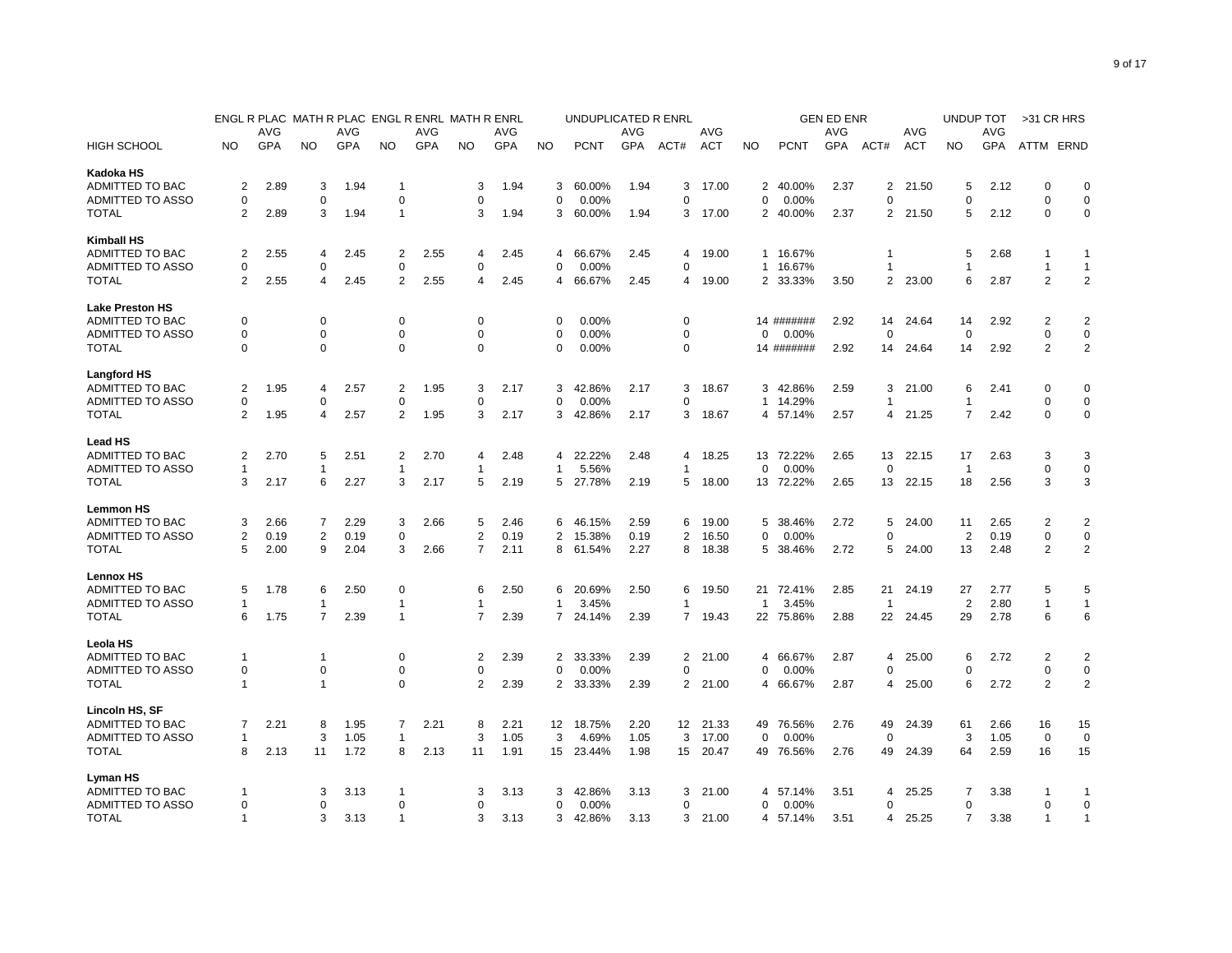|                                     |                |      |                |      | ENGL R PLAC MATH R PLAC ENGL R ENRL MATH R ENRL |            |                |            |                | UNDUPLICATED R ENRL |      |                |            |              |             | <b>GEN ED ENR</b> |                  |            | UNDUP TOT      |      | >31 CR HRS                    |                |
|-------------------------------------|----------------|------|----------------|------|-------------------------------------------------|------------|----------------|------------|----------------|---------------------|------|----------------|------------|--------------|-------------|-------------------|------------------|------------|----------------|------|-------------------------------|----------------|
|                                     |                | AVG  |                | AVG  |                                                 | <b>AVG</b> |                | AVG        |                |                     | AVG  |                | AVG        |              |             | <b>AVG</b>        |                  | AVG        |                | AVG  |                               |                |
| <b>HIGH SCHOOL</b>                  | <b>NO</b>      | GPA  | <b>NO</b>      | GPA  | <b>NO</b>                                       | GPA        | <b>NO</b>      | <b>GPA</b> | <b>NO</b>      | <b>PCNT</b>         | GPA  | ACT#           | <b>ACT</b> | <b>NO</b>    | <b>PCNT</b> | GPA               | ACT#             | <b>ACT</b> | <b>NO</b>      | GPA  | ATTM ERND                     |                |
| Kadoka HS                           |                |      |                |      |                                                 |            |                |            |                |                     |      |                |            |              |             |                   |                  |            |                |      |                               |                |
| ADMITTED TO BAC                     | 2              | 2.89 | 3              | 1.94 | 1                                               |            | 3              | 1.94       | 3              | 60.00%              | 1.94 | 3              | 17.00      |              | 2 40.00%    | 2.37              | 2                | 21.50      | 5              | 2.12 | 0                             | 0              |
| ADMITTED TO ASSO                    | $\Omega$       |      | $\Omega$       |      | 0                                               |            | $\Omega$       |            | $\mathbf 0$    | 0.00%               |      | $\Omega$       |            | $\Omega$     | 0.00%       |                   | $\Omega$         |            | $\Omega$       |      | $\Omega$                      | $\mathbf 0$    |
| <b>TOTAL</b>                        | 2              | 2.89 | 3              | 1.94 | $\mathbf{1}$                                    |            | 3              | 1.94       | 3              | 60.00%              | 1.94 | 3              | 17.00      |              | 2 40.00%    | 2.37              | 2                | 21.50      | 5              | 2.12 | $\mathbf 0$                   | $\mathbf 0$    |
| <b>Kimball HS</b>                   |                |      |                |      |                                                 |            |                |            |                |                     |      |                |            |              |             |                   |                  |            |                |      |                               |                |
| ADMITTED TO BAC                     | 2              | 2.55 | 4              | 2.45 | 2                                               | 2.55       | 4              | 2.45       | 4              | 66.67%              | 2.45 | 4              | 19.00      | $\mathbf{1}$ | 16.67%      |                   | 1                |            | 5              | 2.68 | $\mathbf{1}$                  | 1              |
| ADMITTED TO ASSO                    | 0              |      | $\mathbf 0$    |      | 0                                               |            | 0              |            | 0              | 0.00%               |      | 0              |            |              | 1 16.67%    |                   | 1                |            | 1              |      | $\overline{1}$                | $\mathbf{1}$   |
| <b>TOTAL</b>                        | 2              | 2.55 | $\overline{4}$ | 2.45 | $\overline{2}$                                  | 2.55       | 4              | 2.45       | 4              | 66.67%              | 2.45 | 4              | 19.00      |              | 2 33.33%    | 3.50              | $\overline{2}$   | 23.00      | 6              | 2.87 | 2                             | $\overline{2}$ |
| <b>Lake Preston HS</b>              |                |      |                |      |                                                 |            |                |            |                |                     |      |                |            |              |             |                   |                  |            |                |      |                               |                |
| ADMITTED TO BAC                     | 0              |      | $\mathbf 0$    |      | $\mathbf 0$                                     |            | $\Omega$       |            | $\Omega$       | 0.00%               |      | 0              |            |              | 14 #######  | 2.92              | 14               | 24.64      | 14             | 2.92 | $\overline{2}$                | $\overline{2}$ |
| ADMITTED TO ASSO                    | 0              |      | 0              |      | 0                                               |            | 0              |            | $\Omega$       | 0.00%               |      | 0              |            | $\Omega$     | 0.00%       |                   | 0                |            | $\mathbf 0$    |      | 0                             | 0              |
| <b>TOTAL</b>                        | $\Omega$       |      | $\Omega$       |      | $\Omega$                                        |            | $\Omega$       |            | 0              | 0.00%               |      | $\Omega$       |            |              | 14 #######  | 2.92              | 14               | 24.64      | 14             | 2.92 | $\overline{2}$                | $\overline{2}$ |
| <b>Langford HS</b>                  |                |      |                |      |                                                 |            |                |            |                |                     |      |                |            |              |             |                   |                  |            |                |      |                               |                |
| ADMITTED TO BAC                     | 2              | 1.95 | 4              | 2.57 | 2                                               | 1.95       | 3              | 2.17       | 3              | 42.86%              | 2.17 | 3              | 18.67      | 3            | 42.86%      | 2.59              | 3                | 21.00      | 6              | 2.41 | $\mathbf 0$                   | $\mathbf 0$    |
| ADMITTED TO ASSO                    | 0              |      | $\mathbf 0$    |      | $\mathbf 0$                                     |            | 0              |            | 0              | 0.00%               |      | 0              |            | $\mathbf{1}$ | 14.29%      |                   | 1                |            | 1              |      | $\mathbf 0$                   | $\mathbf 0$    |
| <b>TOTAL</b>                        | 2              | 1.95 | $\overline{4}$ | 2.57 | $\overline{2}$                                  | 1.95       | 3              | 2.17       | 3              | 42.86%              | 2.17 | 3              | 18.67      | 4            | 57.14%      | 2.57              | 4                | 21.25      | $\overline{7}$ | 2.42 | $\mathbf 0$                   | $\mathbf 0$    |
| <b>Lead HS</b>                      |                |      |                |      |                                                 |            |                |            |                |                     |      |                |            |              |             |                   |                  |            |                |      |                               |                |
| ADMITTED TO BAC                     | 2              | 2.70 | 5              | 2.51 | $\overline{2}$                                  | 2.70       | 4              | 2.48       | 4              | 22.22%              | 2.48 | 4              | 18.25      |              | 13 72.22%   | 2.65              | 13               | 22.15      | 17             | 2.63 | 3                             | 3              |
| ADMITTED TO ASSO                    | -1             |      | -1             |      | -1                                              |            | $\mathbf{1}$   |            | $\mathbf{1}$   | 5.56%               |      | 1              |            | $\Omega$     | 0.00%       |                   | $\Omega$         |            | -1             |      | $\mathbf 0$                   | $\mathbf 0$    |
| <b>TOTAL</b>                        | 3              | 2.17 | 6              | 2.27 | 3                                               | 2.17       | 5              | 2.19       | 5              | 27.78%              | 2.19 | 5              | 18.00      |              | 13 72.22%   | 2.65              | 13               | 22.15      | 18             | 2.56 | 3                             | 3              |
| <b>Lemmon HS</b>                    |                |      |                |      |                                                 |            |                |            |                |                     |      |                |            |              |             |                   |                  |            |                |      |                               |                |
| ADMITTED TO BAC                     | 3              | 2.66 | 7              | 2.29 | 3                                               | 2.66       | 5              | 2.46       | 6              | 46.15%              | 2.59 | 6              | 19.00      | 5            | 38.46%      | 2.72              | 5                | 24.00      | 11             | 2.65 | 2                             | $\overline{2}$ |
| ADMITTED TO ASSO                    | 2              | 0.19 | $\overline{2}$ | 0.19 | $\mathbf 0$                                     |            | 2              | 0.19       | $\overline{2}$ | 15.38%              | 0.19 | 2              | 16.50      | 0            | 0.00%       |                   | $\Omega$         |            | 2              | 0.19 | $\mathbf 0$                   | $\mathbf 0$    |
| <b>TOTAL</b>                        | 5              | 2.00 | 9              | 2.04 | 3                                               | 2.66       | $\overline{7}$ | 2.11       | 8              | 61.54%              | 2.27 | 8              | 18.38      | 5            | 38.46%      | 2.72              | 5                | 24.00      | 13             | 2.48 | $\overline{2}$                | $\overline{2}$ |
|                                     |                |      |                |      |                                                 |            |                |            |                |                     |      |                |            |              |             |                   |                  |            |                |      |                               |                |
| <b>Lennox HS</b><br>ADMITTED TO BAC | 5              | 1.78 | 6              | 2.50 | $\mathbf 0$                                     |            | 6              | 2.50       | 6              | 20.69%              | 2.50 | 6              | 19.50      | 21           | 72.41%      | 2.85              | 21               | 24.19      | 27             | 2.77 | 5                             | 5              |
| ADMITTED TO ASSO                    | -1             |      | $\mathbf{1}$   |      | $\mathbf{1}$                                    |            | $\mathbf{1}$   |            | $\mathbf{1}$   | 3.45%               |      | 1              |            | $\mathbf{1}$ | 3.45%       |                   | $\overline{1}$   |            | $\overline{2}$ | 2.80 | $\overline{1}$                | $\mathbf{1}$   |
|                                     |                |      | 7              |      |                                                 |            | $\overline{7}$ |            | $\overline{7}$ |                     |      | $\overline{7}$ |            |              |             |                   |                  |            | 29             |      | 6                             | 6              |
| <b>TOTAL</b>                        | 6              | 1.75 |                | 2.39 | $\overline{1}$                                  |            |                | 2.39       |                | 24.14%              | 2.39 |                | 19.43      |              | 22 75.86%   | 2.88              | 22               | 24.45      |                | 2.78 |                               |                |
| Leola HS                            | $\mathbf 1$    |      | -1             |      |                                                 |            |                |            |                |                     |      |                |            |              |             |                   |                  |            |                |      |                               |                |
| ADMITTED TO BAC                     |                |      |                |      | 0                                               |            | 2              | 2.39       | 2              | 33.33%              | 2.39 | 2              | 21.00      | 4            | 66.67%      | 2.87              | 4<br>$\mathbf 0$ | 25.00      | 6              | 2.72 | $\overline{2}$                | 2              |
| ADMITTED TO ASSO                    | $\mathbf 0$    |      | $\mathbf 0$    |      | 0<br>$\mathbf 0$                                |            | $\mathbf 0$    |            | 0              | 0.00%               |      | 0              |            | $\Omega$     | 0.00%       |                   |                  |            | $\Omega$       |      | $\mathbf 0$<br>$\overline{2}$ | $\pmb{0}$      |
| <b>TOTAL</b>                        | -1             |      | $\overline{1}$ |      |                                                 |            | 2              | 2.39       | 2              | 33.33%              | 2.39 | 2              | 21.00      | 4            | 66.67%      | 2.87              | 4                | 25.00      | 6              | 2.72 |                               | $\overline{2}$ |
| Lincoln HS, SF                      |                |      |                |      |                                                 |            |                |            |                |                     |      |                |            |              |             |                   |                  |            |                |      |                               |                |
| ADMITTED TO BAC                     | 7              | 2.21 | 8              | 1.95 | 7                                               | 2.21       | 8              | 2.21       | 12             | 18.75%              | 2.20 | 12             | 21.33      | 49           | 76.56%      | 2.76              | 49               | 24.39      | 61             | 2.66 | 16                            | 15             |
| ADMITTED TO ASSO                    | $\mathbf 1$    |      | 3              | 1.05 | 1                                               |            | 3              | 1.05       | 3              | 4.69%               | 1.05 | 3              | 17.00      | 0            | 0.00%       |                   | 0                |            | 3              | 1.05 | $\mathbf 0$                   | 0              |
| <b>TOTAL</b>                        | 8              | 2.13 | 11             | 1.72 | 8                                               | 2.13       | 11             | 1.91       | 15             | 23.44%              | 1.98 | 15             | 20.47      | 49           | 76.56%      | 2.76              | 49               | 24.39      | 64             | 2.59 | 16                            | 15             |
| Lyman HS                            |                |      |                |      |                                                 |            |                |            |                |                     |      |                |            |              |             |                   |                  |            |                |      |                               |                |
| ADMITTED TO BAC                     |                |      | 3              | 3.13 | 1                                               |            | 3              | 3.13       | 3              | 42.86%              | 3.13 | 3              | 21.00      | 4            | 57.14%      | 3.51              | 4                | 25.25      | $\overline{7}$ | 3.38 |                               | -1             |
| ADMITTED TO ASSO                    | 0              |      | 0              |      | 0                                               |            | 0              |            | 0              | 0.00%               |      | 0              |            | O            | 0.00%       |                   | 0                |            | $\Omega$       |      | $\mathbf 0$                   | $\mathbf 0$    |
| <b>TOTAL</b>                        | $\overline{1}$ |      | 3              | 3.13 | $\mathbf{1}$                                    |            | 3              | 3.13       | 3              | 42.86%              | 3.13 | 3              | 21.00      |              | 4 57.14%    | 3.51              | 4                | 25.25      | 7              | 3.38 | $\overline{1}$                | $\mathbf{1}$   |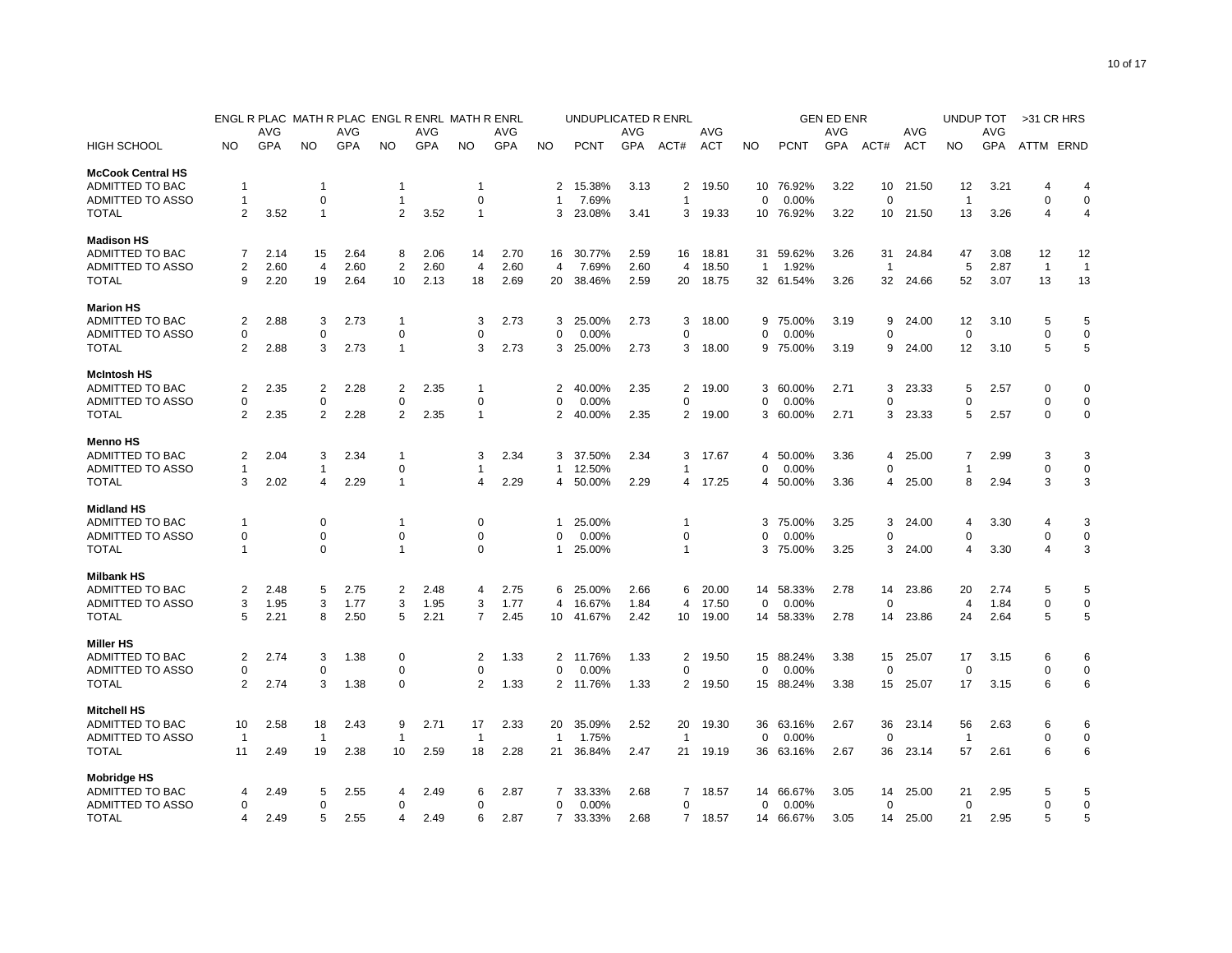|                          |                | ENGL R PLAC |                |      | MATH R PLAC ENGL R ENRL MATH R ENRL |      |                |            |                | UNDUPLICATED R ENRL |      |                |            |           |             | <b>GEN ED ENR</b> |                |            | UNDUP TOT      |      | >31 CR HRS     |                |
|--------------------------|----------------|-------------|----------------|------|-------------------------------------|------|----------------|------------|----------------|---------------------|------|----------------|------------|-----------|-------------|-------------------|----------------|------------|----------------|------|----------------|----------------|
|                          |                | AVG         |                | AVG  |                                     | AVG  |                | AVG        |                |                     | AVG  |                | AVG        |           |             | AVG               |                | AVG        |                | AVG  |                |                |
| <b>HIGH SCHOOL</b>       | NO             | GPA         | <b>NO</b>      | GPA  | NO                                  | GPA  | <b>NO</b>      | <b>GPA</b> | <b>NO</b>      | <b>PCNT</b>         | GPA  | ACT#           | <b>ACT</b> | <b>NO</b> | <b>PCNT</b> | GPA               | ACT#           | <b>ACT</b> | <b>NO</b>      | GPA  | ATTM ERND      |                |
| <b>McCook Central HS</b> |                |             |                |      |                                     |      |                |            |                |                     |      |                |            |           |             |                   |                |            |                |      |                |                |
| ADMITTED TO BAC          | -1             |             | $\mathbf{1}$   |      | 1                                   |      | $\mathbf 1$    |            | 2              | 15.38%              | 3.13 | 2              | 19.50      |           | 10 76.92%   | 3.22              | 10             | 21.50      | 12             | 3.21 | 4              | $\overline{4}$ |
| ADMITTED TO ASSO         | -1             |             | 0              |      | 1                                   |      | 0              |            | -1             | 7.69%               |      | $\mathbf{1}$   |            | $\Omega$  | 0.00%       |                   | $\mathbf 0$    |            | $\overline{1}$ |      | $\Omega$       | $\mathbf 0$    |
| <b>TOTAL</b>             | 2              | 3.52        | $\mathbf{1}$   |      | $\overline{2}$                      | 3.52 | $\overline{1}$ |            | 3              | 23.08%              | 3.41 |                | 3 19.33    |           | 10 76.92%   | 3.22              | 10             | 21.50      | 13             | 3.26 | Δ              | $\overline{4}$ |
| <b>Madison HS</b>        |                |             |                |      |                                     |      |                |            |                |                     |      |                |            |           |             |                   |                |            |                |      |                |                |
| ADMITTED TO BAC          | 7              | 2.14        | 15             | 2.64 | 8                                   | 2.06 | 14             | 2.70       | 16             | 30.77%              | 2.59 | 16             | 18.81      |           | 31 59.62%   | 3.26              | 31             | 24.84      | 47             | 3.08 | 12             | 12             |
| ADMITTED TO ASSO         | 2              | 2.60        | $\overline{4}$ | 2.60 | $\overline{2}$                      | 2.60 | $\overline{4}$ | 2.60       | 4              | 7.69%               | 2.60 | 4              | 18.50      | 1         | 1.92%       |                   | $\overline{1}$ |            | 5              | 2.87 | $\overline{1}$ | $\overline{1}$ |
| <b>TOTAL</b>             | 9              | 2.20        | 19             | 2.64 | 10                                  | 2.13 | 18             | 2.69       | 20             | 38.46%              | 2.59 | 20             | 18.75      |           | 32 61.54%   | 3.26              | 32             | 24.66      | 52             | 3.07 | 13             | 13             |
| <b>Marion HS</b>         |                |             |                |      |                                     |      |                |            |                |                     |      |                |            |           |             |                   |                |            |                |      |                |                |
| ADMITTED TO BAC          | $\overline{2}$ | 2.88        | 3              | 2.73 | $\overline{1}$                      |      | 3              | 2.73       | 3              | 25.00%              | 2.73 | 3              | 18.00      | 9         | 75.00%      | 3.19              | 9              | 24.00      | 12             | 3.10 | 5              | 5              |
| ADMITTED TO ASSO         | 0              |             | 0              |      | 0                                   |      | 0              |            | 0              | 0.00%               |      | 0              |            | $\Omega$  | 0.00%       |                   | $\Omega$       |            | 0              |      | $\Omega$       | 0              |
| <b>TOTAL</b>             | 2              | 2.88        | 3              | 2.73 | $\mathbf{1}$                        |      | 3              | 2.73       | 3              | 25.00%              | 2.73 | 3              | 18.00      | 9         | 75.00%      | 3.19              | 9              | 24.00      | 12             | 3.10 | 5              | 5              |
| <b>McIntosh HS</b>       |                |             |                |      |                                     |      |                |            |                |                     |      |                |            |           |             |                   |                |            |                |      |                |                |
| ADMITTED TO BAC          | 2              | 2.35        | $\overline{2}$ | 2.28 | $\overline{2}$                      | 2.35 | -1             |            | 2              | 40.00%              | 2.35 | 2              | 19.00      | 3         | 60.00%      | 2.71              | 3              | 23.33      | 5              | 2.57 | $\Omega$       | $\mathbf 0$    |
| ADMITTED TO ASSO         | $\Omega$       |             | $\mathbf 0$    |      | 0                                   |      | $\mathbf 0$    |            | $\mathbf 0$    | 0.00%               |      | 0              |            | 0         | 0.00%       |                   | $\Omega$       |            | $\Omega$       |      | $\Omega$       | $\mathbf 0$    |
| <b>TOTAL</b>             | 2              | 2.35        | $\overline{2}$ | 2.28 | 2                                   | 2.35 | -1             |            | 2              | 40.00%              | 2.35 | 2              | 19.00      | 3         | 60.00%      | 2.71              | 3              | 23.33      | 5              | 2.57 | 0              | $\mathbf 0$    |
| <b>Menno HS</b>          |                |             |                |      |                                     |      |                |            |                |                     |      |                |            |           |             |                   |                |            |                |      |                |                |
| ADMITTED TO BAC          | 2              | 2.04        | 3              | 2.34 | $\overline{1}$                      |      | 3              | 2.34       | 3              | 37.50%              | 2.34 | 3              | 17.67      | 4         | 50.00%      | 3.36              | 4              | 25.00      | 7              | 2.99 | 3              | 3              |
| ADMITTED TO ASSO         | 1              |             | $\mathbf{1}$   |      | 0                                   |      | $\mathbf 1$    |            | $\mathbf{1}$   | 12.50%              |      | 1              |            | $\Omega$  | 0.00%       |                   | $\Omega$       |            | 1              |      | $\Omega$       | $\mathbf 0$    |
| <b>TOTAL</b>             | 3              | 2.02        | 4              | 2.29 | $\overline{1}$                      |      | 4              | 2.29       | 4              | 50.00%              | 2.29 | 4              | 17.25      | 4         | 50.00%      | 3.36              | 4              | 25.00      | 8              | 2.94 | 3              | 3              |
| <b>Midland HS</b>        |                |             |                |      |                                     |      |                |            |                |                     |      |                |            |           |             |                   |                |            |                |      |                |                |
| ADMITTED TO BAC          | -1             |             | 0              |      | 1                                   |      | 0              |            | -1             | 25.00%              |      | 1              |            | 3         | 75.00%      | 3.25              | 3              | 24.00      | $\overline{4}$ | 3.30 | Δ              | 3              |
| ADMITTED TO ASSO         | $\Omega$       |             | $\mathbf 0$    |      | 0                                   |      | $\Omega$       |            | $\Omega$       | 0.00%               |      | $\Omega$       |            |           | 0.00%       |                   | $\Omega$       |            | $\Omega$       |      | $\Omega$       | $\mathbf 0$    |
| <b>TOTAL</b>             |                |             | $\mathbf 0$    |      | 1                                   |      | $\mathbf 0$    |            | -1             | 25.00%              |      | 1              |            | 3         | 75.00%      | 3.25              | 3              | 24.00      | 4              | 3.30 | 4              | 3              |
| <b>Milbank HS</b>        |                |             |                |      |                                     |      |                |            |                |                     |      |                |            |           |             |                   |                |            |                |      |                |                |
| ADMITTED TO BAC          | $\overline{2}$ | 2.48        | 5              | 2.75 | 2                                   | 2.48 | 4              | 2.75       | 6              | 25.00%              | 2.66 | 6              | 20.00      |           | 14 58.33%   | 2.78              | 14             | 23.86      | 20             | 2.74 | 5              | 5              |
| <b>ADMITTED TO ASSO</b>  | 3              | 1.95        | 3              | 1.77 | 3                                   | 1.95 | 3              | 1.77       | 4              | 16.67%              | 1.84 | 4              | 17.50      | $\Omega$  | 0.00%       |                   | $\Omega$       |            | $\overline{4}$ | 1.84 | $\Omega$       | $\mathbf 0$    |
| <b>TOTAL</b>             | 5              | 2.21        | 8              | 2.50 | 5                                   | 2.21 | $\overline{7}$ | 2.45       | 10             | 41.67%              | 2.42 | 10             | 19.00      |           | 14 58.33%   | 2.78              | 14             | 23.86      | 24             | 2.64 | 5              | 5              |
| <b>Miller HS</b>         |                |             |                |      |                                     |      |                |            |                |                     |      |                |            |           |             |                   |                |            |                |      |                |                |
| ADMITTED TO BAC          | 2              | 2.74        | 3              | 1.38 | 0                                   |      | 2              | 1.33       | $\mathbf{2}$   | 11.76%              | 1.33 | 2              | 19.50      | 15        | 88.24%      | 3.38              | 15             | 25.07      | 17             | 3.15 | 6              | 6              |
| ADMITTED TO ASSO         | $\Omega$       |             | $\mathbf 0$    |      | $\mathbf 0$                         |      | $\Omega$       |            | 0              | 0.00%               |      | $\Omega$       |            | $\Omega$  | 0.00%       |                   | $\Omega$       |            | $\Omega$       |      | $\Omega$       | $\mathbf 0$    |
| <b>TOTAL</b>             | $\overline{2}$ | 2.74        | 3              | 1.38 | $\mathbf 0$                         |      | $\overline{2}$ | 1.33       | $\overline{2}$ | 11.76%              | 1.33 | $\overline{2}$ | 19.50      | 15        | 88.24%      | 3.38              | 15             | 25.07      | 17             | 3.15 | 6              | 6              |
| <b>Mitchell HS</b>       |                |             |                |      |                                     |      |                |            |                |                     |      |                |            |           |             |                   |                |            |                |      |                |                |
| ADMITTED TO BAC          | 10             | 2.58        | 18             | 2.43 | 9                                   | 2.71 | 17             | 2.33       | 20             | 35.09%              | 2.52 | 20             | 19.30      | 36        | 63.16%      | 2.67              | 36             | 23.14      | 56             | 2.63 | 6              | 6              |
| ADMITTED TO ASSO         | $\overline{1}$ |             | $\mathbf{1}$   |      | 1                                   |      | -1             |            | $\mathbf{1}$   | 1.75%               |      | $\overline{1}$ |            | $\Omega$  | 0.00%       |                   | $\Omega$       |            | -1             |      | $\Omega$       | $\mathbf 0$    |
| <b>TOTAL</b>             | 11             | 2.49        | 19             | 2.38 | 10                                  | 2.59 | 18             | 2.28       | 21             | 36.84%              | 2.47 | 21             | 19.19      |           | 36 63.16%   | 2.67              | 36             | 23.14      | 57             | 2.61 | 6              | 6              |
| <b>Mobridge HS</b>       |                |             |                |      |                                     |      |                |            |                |                     |      |                |            |           |             |                   |                |            |                |      |                |                |
| ADMITTED TO BAC          | 4              | 2.49        | 5              | 2.55 | 4                                   | 2.49 | 6              | 2.87       | $\overline{7}$ | 33.33%              | 2.68 | $\overline{7}$ | 18.57      |           | 14 66.67%   | 3.05              | 14             | 25.00      | 21             | 2.95 | 5              | 5              |
| ADMITTED TO ASSO         | $\Omega$       |             | 0              |      | $\Omega$                            |      | 0              |            | 0              | 0.00%               |      | 0              |            | 0         | 0.00%       |                   | $\mathbf 0$    |            | $\mathbf 0$    |      | $\Omega$       | $\mathbf 0$    |
| <b>TOTAL</b>             |                | 2.49        | 5              | 2.55 | 4                                   | 2.49 | 6              | 2.87       | $7^{\circ}$    | 33.33%              | 2.68 |                | 7 18.57    |           | 14 66.67%   | 3.05              | 14             | 25.00      | 21             | 2.95 | 5              | 5              |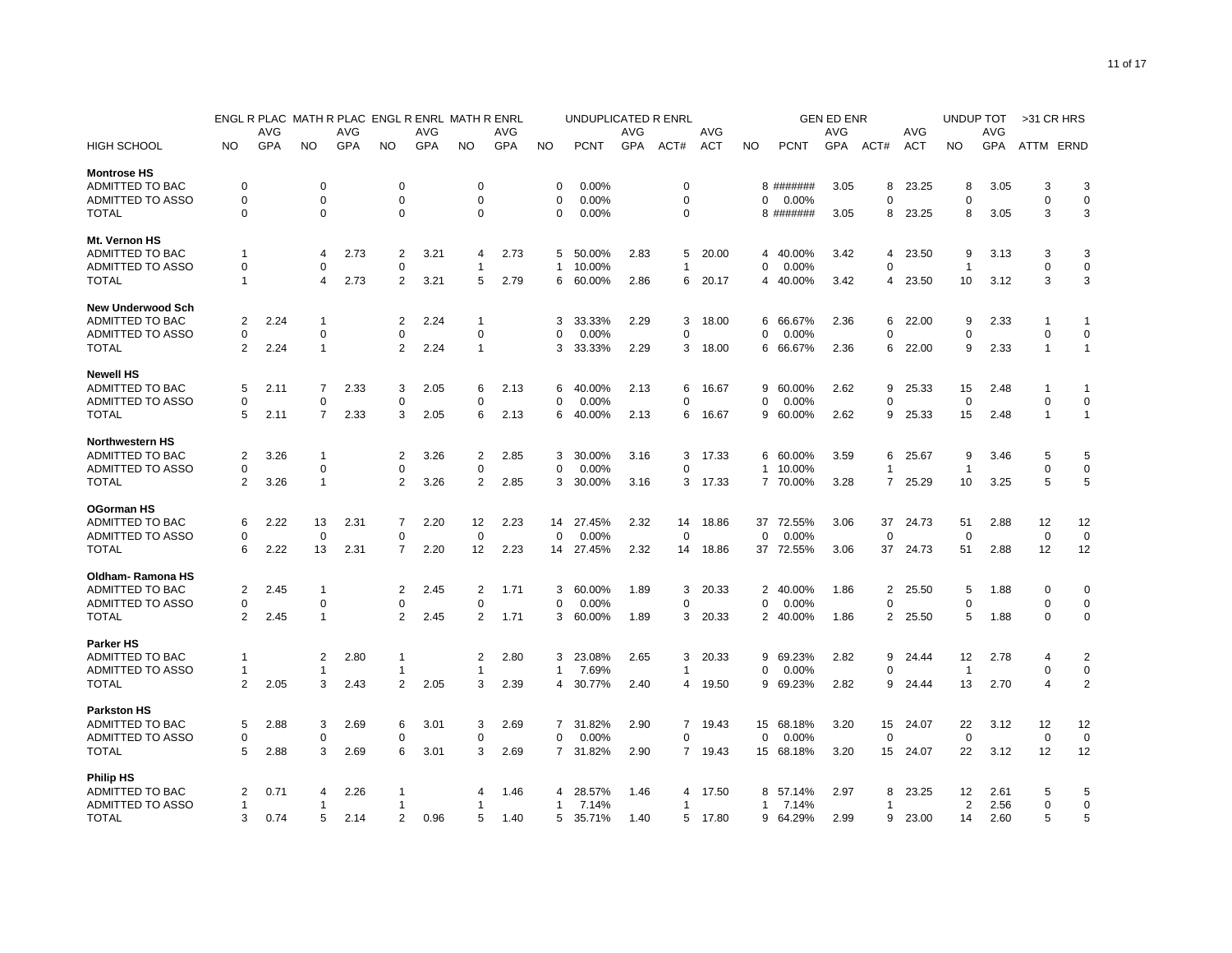|                          |                | ENGL R PLAC |                |      | MATH R PLAC ENGL R ENRL MATH R ENRL |      |                |            |              | UNDUPLICATED R ENRL |      |                |            |                |             | <b>GEN ED ENR</b> |                |            | <b>UNDUP TOT</b> |      | >31 CR HRS     |                |
|--------------------------|----------------|-------------|----------------|------|-------------------------------------|------|----------------|------------|--------------|---------------------|------|----------------|------------|----------------|-------------|-------------------|----------------|------------|------------------|------|----------------|----------------|
|                          |                | AVG         |                | AVG  |                                     | AVG  |                | AVG        |              |                     | AVG  |                | AVG        |                |             | AVG               |                | AVG        |                  | AVG  |                |                |
| <b>HIGH SCHOOL</b>       | NO             | GPA         | NO.            | GPA  | NO.                                 | GPA  | <b>NO</b>      | <b>GPA</b> | <b>NO</b>    | <b>PCNT</b>         | GPA  | ACT#           | <b>ACT</b> | <b>NO</b>      | <b>PCNT</b> | GPA               | ACT#           | <b>ACT</b> | NO               | GPA  | ATTM ERND      |                |
| <b>Montrose HS</b>       |                |             |                |      |                                     |      |                |            |              |                     |      |                |            |                |             |                   |                |            |                  |      |                |                |
| ADMITTED TO BAC          | 0              |             | 0              |      | 0                                   |      | 0              |            | 0            | 0.00%               |      | 0              |            |                | 8 #######   | 3.05              | 8              | 23.25      | 8                | 3.05 | 3              | 3              |
| ADMITTED TO ASSO         | 0              |             | $\mathbf 0$    |      | $\mathbf 0$                         |      | 0              |            | $\mathbf 0$  | 0.00%               |      | 0              |            | 0              | 0.00%       |                   | 0              |            | 0                |      | $\mathbf 0$    | $\mathbf 0$    |
| <b>TOTAL</b>             | 0              |             | $\mathbf 0$    |      | 0                                   |      | $\mathbf 0$    |            | $\Omega$     | 0.00%               |      | 0              |            |                | 8 #######   | 3.05              | 8              | 23.25      | 8                | 3.05 | 3              | 3              |
| Mt. Vernon HS            |                |             |                |      |                                     |      |                |            |              |                     |      |                |            |                |             |                   |                |            |                  |      |                |                |
| ADMITTED TO BAC          | -1             |             | $\overline{4}$ | 2.73 | 2                                   | 3.21 | 4              | 2.73       | 5            | 50.00%              | 2.83 | 5              | 20.00      | 4              | 40.00%      | 3.42              | 4              | 23.50      | 9                | 3.13 | 3              | 3              |
| ADMITTED TO ASSO         | 0              |             | 0              |      | 0                                   |      | 1              |            | $\mathbf{1}$ | 10.00%              |      | 1              |            | 0              | 0.00%       |                   | 0              |            | 1                |      | $\mathbf 0$    | $\mathbf 0$    |
| <b>TOTAL</b>             | 1              |             | $\overline{4}$ | 2.73 | $\overline{2}$                      | 3.21 | 5              | 2.79       | 6            | 60.00%              | 2.86 | 6              | 20.17      | 4              | 40.00%      | 3.42              | 4              | 23.50      | 10               | 3.12 | 3              | 3              |
| <b>New Underwood Sch</b> |                |             |                |      |                                     |      |                |            |              |                     |      |                |            |                |             |                   |                |            |                  |      |                |                |
| ADMITTED TO BAC          | 2              | 2.24        | $\mathbf{1}$   |      | 2                                   | 2.24 | 1              |            | 3            | 33.33%              | 2.29 | 3              | 18.00      | 6              | 66.67%      | 2.36              | 6              | 22.00      | 9                | 2.33 | 1              | 1              |
| ADMITTED TO ASSO         | 0              |             | $\mathbf 0$    |      | 0                                   |      | 0              |            | 0            | 0.00%               |      | 0              |            | $\mathbf 0$    | 0.00%       |                   | 0              |            | $\Omega$         |      | $\mathbf 0$    | $\mathbf 0$    |
| <b>TOTAL</b>             | 2              | 2.24        | $\mathbf{1}$   |      | 2                                   | 2.24 | $\mathbf{1}$   |            | 3            | 33.33%              | 2.29 | 3              | 18.00      | 6              | 66.67%      | 2.36              | 6              | 22.00      | 9                | 2.33 | $\overline{1}$ | $\mathbf{1}$   |
| <b>Newell HS</b>         |                |             |                |      |                                     |      |                |            |              |                     |      |                |            |                |             |                   |                |            |                  |      |                |                |
| ADMITTED TO BAC          | 5              | 2.11        | $\overline{7}$ | 2.33 | 3                                   | 2.05 | 6              | 2.13       | 6            | 40.00%              | 2.13 | 6              | 16.67      | 9              | 60.00%      | 2.62              | 9              | 25.33      | 15               | 2.48 | -1             | 1              |
| ADMITTED TO ASSO         | $\Omega$       |             | $\mathbf 0$    |      | $\Omega$                            |      | 0              |            | $\mathbf 0$  | 0.00%               |      | 0              |            | $\Omega$       | 0.00%       |                   | 0              |            | $\Omega$         |      | $\mathbf 0$    | $\mathbf 0$    |
| <b>TOTAL</b>             | 5              | 2.11        | $\overline{7}$ | 2.33 | 3                                   | 2.05 | 6              | 2.13       | 6            | 40.00%              | 2.13 | 6              | 16.67      | 9              | 60.00%      | 2.62              | 9              | 25.33      | 15               | 2.48 | $\overline{1}$ | $\mathbf{1}$   |
| <b>Northwestern HS</b>   |                |             |                |      |                                     |      |                |            |              |                     |      |                |            |                |             |                   |                |            |                  |      |                |                |
| ADMITTED TO BAC          | 2              | 3.26        | $\overline{1}$ |      | 2                                   | 3.26 | $\overline{2}$ | 2.85       | 3            | 30.00%              | 3.16 | 3              | 17.33      | 6              | 60.00%      | 3.59              | 6              | 25.67      | 9                | 3.46 | 5              | 5              |
| <b>ADMITTED TO ASSO</b>  | 0              |             | $\mathbf 0$    |      | 0                                   |      | 0              |            | $\Omega$     | 0.00%               |      | 0              |            | $\mathbf{1}$   | 10.00%      |                   | 1              |            |                  |      | $\mathbf 0$    | $\mathbf 0$    |
| <b>TOTAL</b>             | 2              | 3.26        | $\mathbf{1}$   |      | 2                                   | 3.26 | $\overline{2}$ | 2.85       | 3            | 30.00%              | 3.16 | 3              | 17.33      |                | 7 70.00%    | 3.28              | 7              | 25.29      | 10               | 3.25 | 5              | 5              |
| <b>OGorman HS</b>        |                |             |                |      |                                     |      |                |            |              |                     |      |                |            |                |             |                   |                |            |                  |      |                |                |
| ADMITTED TO BAC          | 6              | 2.22        | 13             | 2.31 | 7                                   | 2.20 | 12             | 2.23       | 14           | 27.45%              | 2.32 | 14             | 18.86      | 37             | 72.55%      | 3.06              | 37             | 24.73      | 51               | 2.88 | 12             | 12             |
| ADMITTED TO ASSO         | $\Omega$       |             | $\mathbf 0$    |      | 0                                   |      | 0              |            | $\mathbf 0$  | 0.00%               |      | 0              |            | 0              | 0.00%       |                   | 0              |            | $\Omega$         |      | $\mathbf 0$    | 0              |
| <b>TOTAL</b>             | 6              | 2.22        | 13             | 2.31 | 7                                   | 2.20 | 12             | 2.23       | 14           | 27.45%              | 2.32 | 14             | 18.86      | 37             | 72.55%      | 3.06              | 37             | 24.73      | 51               | 2.88 | 12             | 12             |
| Oldham-Ramona HS         |                |             |                |      |                                     |      |                |            |              |                     |      |                |            |                |             |                   |                |            |                  |      |                |                |
| ADMITTED TO BAC          | 2              | 2.45        | $\overline{1}$ |      | $\overline{\mathbf{c}}$             | 2.45 | $\overline{2}$ | 1.71       | 3            | 60.00%              | 1.89 | 3              | 20.33      | 2              | 40.00%      | 1.86              | $\overline{c}$ | 25.50      | 5                | 1.88 | $\mathbf 0$    | $\mathbf 0$    |
| <b>ADMITTED TO ASSO</b>  | 0              |             | $\mathbf 0$    |      | $\mathbf 0$                         |      | $\Omega$       |            | $\mathbf 0$  | 0.00%               |      | 0              |            | 0              | 0.00%       |                   | 0              |            | $\Omega$         |      | $\mathbf 0$    | $\mathbf 0$    |
| <b>TOTAL</b>             | 2              | 2.45        | $\overline{1}$ |      | $\overline{2}$                      | 2.45 | 2              | 1.71       | 3            | 60.00%              | 1.89 | 3              | 20.33      | $\overline{2}$ | 40.00%      | 1.86              | 2              | 25.50      | 5                | 1.88 | $\Omega$       | $\mathbf 0$    |
| <b>Parker HS</b>         |                |             |                |      |                                     |      |                |            |              |                     |      |                |            |                |             |                   |                |            |                  |      |                |                |
| ADMITTED TO BAC          | 1              |             | $\overline{2}$ | 2.80 | 1                                   |      | $\overline{2}$ | 2.80       | 3            | 23.08%              | 2.65 | 3              | 20.33      | 9              | 69.23%      | 2.82              | 9              | 24.44      | 12               | 2.78 | $\overline{4}$ | $\overline{2}$ |
| ADMITTED TO ASSO         | 1              |             | $\mathbf{1}$   |      | 1                                   |      | 1              |            | 1            | 7.69%               |      | 1              |            | O              | 0.00%       |                   | 0              |            | $\mathbf{1}$     |      | $\mathbf 0$    | $\pmb{0}$      |
| <b>TOTAL</b>             | $\overline{2}$ | 2.05        | 3              | 2.43 | 2                                   | 2.05 | 3              | 2.39       | 4            | 30.77%              | 2.40 | 4              | 19.50      | 9              | 69.23%      | 2.82              | 9              | 24.44      | 13               | 2.70 | $\overline{4}$ | $\overline{2}$ |
| <b>Parkston HS</b>       |                |             |                |      |                                     |      |                |            |              |                     |      |                |            |                |             |                   |                |            |                  |      |                |                |
| ADMITTED TO BAC          | 5              | 2.88        | 3              | 2.69 | 6                                   | 3.01 | 3              | 2.69       | 7            | 31.82%              | 2.90 | $\overline{7}$ | 19.43      | 15             | 68.18%      | 3.20              | 15             | 24.07      | 22               | 3.12 | 12             | 12             |
| <b>ADMITTED TO ASSO</b>  | 0              |             | 0              |      | 0                                   |      | 0              |            | 0            | 0.00%               |      | 0              |            | 0              | 0.00%       |                   | 0              |            | $\mathbf 0$      |      | $\mathbf 0$    | 0              |
| <b>TOTAL</b>             | 5              | 2.88        | 3              | 2.69 | 6                                   | 3.01 | 3              | 2.69       | $7^{\circ}$  | 31.82%              | 2.90 |                | 7 19.43    |                | 15 68.18%   | 3.20              | 15             | 24.07      | 22               | 3.12 | 12             | 12             |
| <b>Philip HS</b>         |                |             |                |      |                                     |      |                |            |              |                     |      |                |            |                |             |                   |                |            |                  |      |                |                |
| ADMITTED TO BAC          | 2              | 0.71        | $\overline{4}$ | 2.26 | 1                                   |      | 4              | 1.46       | 4            | 28.57%              | 1.46 | 4              | 17.50      | 8              | 57.14%      | 2.97              | 8              | 23.25      | 12               | 2.61 | 5              | 5              |
| <b>ADMITTED TO ASSO</b>  | 1              |             | -1             |      | 1                                   |      | 1              |            | 1            | 7.14%               |      | 1              |            | 1              | 7.14%       |                   | 1              |            | 2                | 2.56 | $\mathbf 0$    | $\mathbf 0$    |
| <b>TOTAL</b>             | 3              | 0.74        | 5              | 2.14 | $\overline{2}$                      | 0.96 | 5              | 1.40       | 5            | 35.71%              | 1.40 | 5              | 17.80      | 9              | 64.29%      | 2.99              | 9              | 23.00      | 14               | 2.60 | 5              | 5              |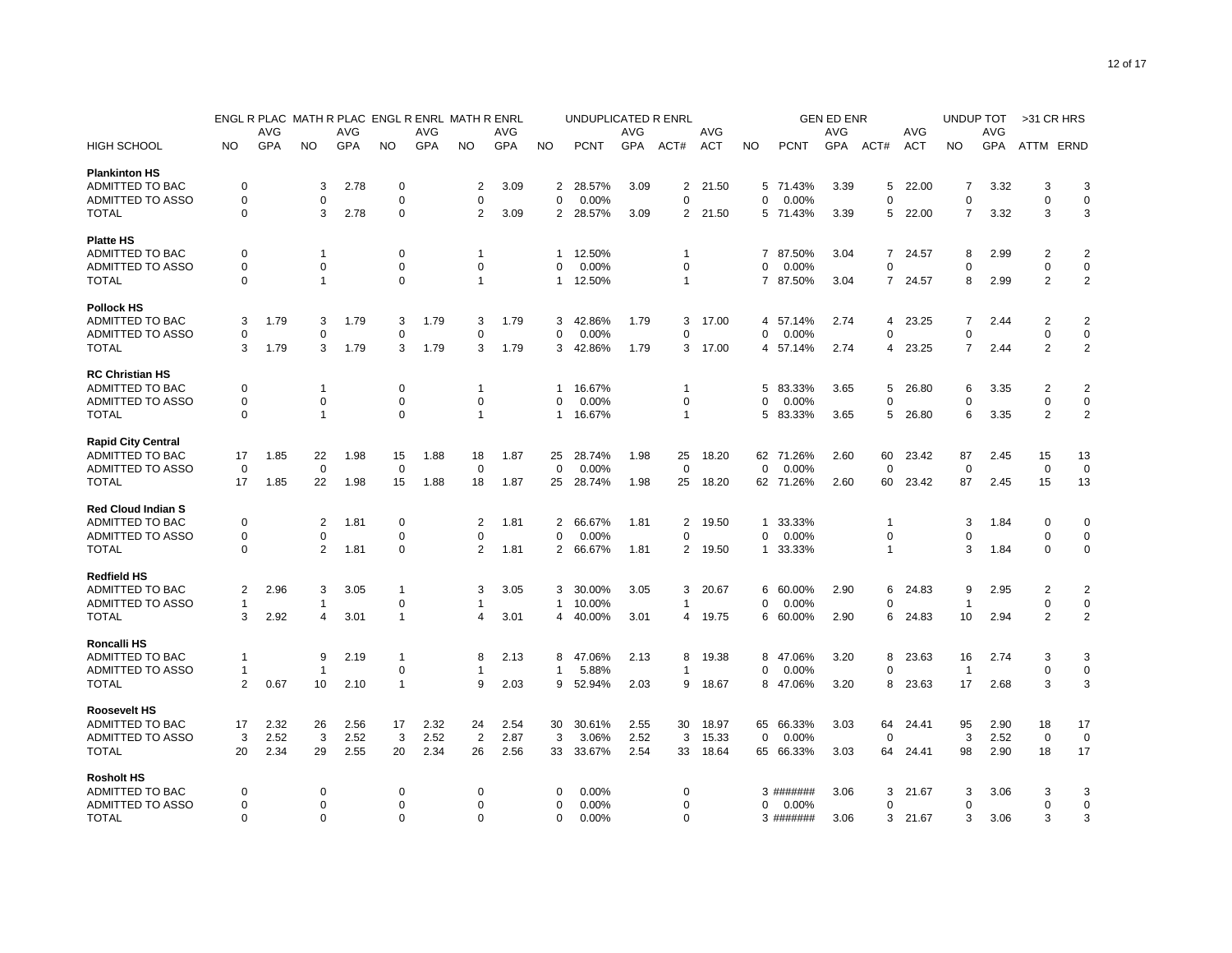|                           |              |      |                |      | ENGL R PLAC MATH R PLAC ENGL R ENRL MATH R ENRL |      |                |            |                | UNDUPLICATED R ENRL |      |                |            |                |             | <b>GEN ED ENR</b> |                |            | UNDUP TOT      |            | >31 CR HRS     |                |
|---------------------------|--------------|------|----------------|------|-------------------------------------------------|------|----------------|------------|----------------|---------------------|------|----------------|------------|----------------|-------------|-------------------|----------------|------------|----------------|------------|----------------|----------------|
|                           |              | AVG  |                | AVG  |                                                 | AVG  |                | AVG        |                |                     | AVG  |                | AVG        |                |             | <b>AVG</b>        |                | AVG        |                | AVG        |                |                |
| <b>HIGH SCHOOL</b>        | NO           | GPA  | <b>NO</b>      | GPA  | NO.                                             | GPA  | <b>NO</b>      | <b>GPA</b> | <b>NO</b>      | <b>PCNT</b>         | GPA  | ACT#           | <b>ACT</b> | <b>NO</b>      | <b>PCNT</b> | GPA               | ACT#           | <b>ACT</b> | <b>NO</b>      | <b>GPA</b> | ATTM ERND      |                |
| <b>Plankinton HS</b>      |              |      |                |      |                                                 |      |                |            |                |                     |      |                |            |                |             |                   |                |            |                |            |                |                |
| ADMITTED TO BAC           | 0            |      | 3              | 2.78 | 0                                               |      | 2              | 3.09       | 2              | 28.57%              | 3.09 | 2              | 21.50      |                | 5 71.43%    | 3.39              | 5              | 22.00      | 7              | 3.32       | 3              | 3              |
| ADMITTED TO ASSO          | $\Omega$     |      | $\mathbf 0$    |      | $\mathbf 0$                                     |      | $\Omega$       |            | $\mathbf 0$    | 0.00%               |      | 0              |            | 0              | 0.00%       |                   | $\Omega$       |            | $\Omega$       |            | $\overline{0}$ | $\mathbf 0$    |
| <b>TOTAL</b>              | 0            |      | 3              | 2.78 | 0                                               |      | 2              | 3.09       | $\overline{2}$ | 28.57%              | 3.09 |                | 2 21.50    |                | 5 71.43%    | 3.39              | 5              | 22.00      | 7              | 3.32       | 3              | 3              |
| <b>Platte HS</b>          |              |      |                |      |                                                 |      |                |            |                |                     |      |                |            |                |             |                   |                |            |                |            |                |                |
| ADMITTED TO BAC           | $\Omega$     |      | -1             |      | 0                                               |      | 1              |            | 1              | 12.50%              |      | 1              |            | $\overline{7}$ | 87.50%      | 3.04              | 7              | 24.57      | 8              | 2.99       | $\overline{2}$ | $\overline{2}$ |
| <b>ADMITTED TO ASSO</b>   | 0            |      | $\mathbf 0$    |      | 0                                               |      | 0              |            | 0              | 0.00%               |      | 0              |            | $\Omega$       | 0.00%       |                   | 0              |            | $\Omega$       |            | $\mathbf 0$    | $\mathbf 0$    |
| <b>TOTAL</b>              | $\Omega$     |      | $\overline{1}$ |      | $\Omega$                                        |      | $\mathbf{1}$   |            | 1              | 12.50%              |      | $\mathbf{1}$   |            |                | 7 87.50%    | 3.04              | $\overline{7}$ | 24.57      | 8              | 2.99       | $\overline{2}$ | $\overline{2}$ |
| <b>Pollock HS</b>         |              |      |                |      |                                                 |      |                |            |                |                     |      |                |            |                |             |                   |                |            |                |            |                |                |
| <b>ADMITTED TO BAC</b>    | 3            | 1.79 | 3              | 1.79 | 3                                               | 1.79 | 3              | 1.79       | 3              | 42.86%              | 1.79 | 3              | 17.00      | 4              | 57.14%      | 2.74              | 4              | 23.25      | 7              | 2.44       | $\overline{2}$ | $\overline{2}$ |
| <b>ADMITTED TO ASSO</b>   | 0            |      | 0              |      | 0                                               |      | 0              |            | 0              | 0.00%               |      | 0              |            | 0              | 0.00%       |                   | 0              |            | 0              |            | 0              | 0              |
| <b>TOTAL</b>              | 3            | 1.79 | 3              | 1.79 | 3                                               | 1.79 | 3              | 1.79       | 3              | 42.86%              | 1.79 | 3              | 17.00      | 4              | 57.14%      | 2.74              | 4              | 23.25      | $\overline{7}$ | 2.44       | $\overline{2}$ | $\overline{2}$ |
| <b>RC Christian HS</b>    |              |      |                |      |                                                 |      |                |            |                |                     |      |                |            |                |             |                   |                |            |                |            |                |                |
| ADMITTED TO BAC           | 0            |      | $\overline{1}$ |      | 0                                               |      | $\overline{1}$ |            | 1              | 16.67%              |      | 1              |            | 5              | 83.33%      | 3.65              | 5              | 26.80      | 6              | 3.35       | $\overline{2}$ | $\overline{2}$ |
| <b>ADMITTED TO ASSO</b>   | 0            |      | $\mathbf 0$    |      | $\mathbf 0$                                     |      | 0              |            | $\Omega$       | 0.00%               |      | 0              |            | O              | 0.00%       |                   | 0              |            | $\Omega$       |            | $\mathbf 0$    | $\mathbf 0$    |
| <b>TOTAL</b>              | $\Omega$     |      | $\mathbf{1}$   |      | $\mathbf 0$                                     |      | $\mathbf{1}$   |            | 1              | 16.67%              |      | $\overline{1}$ |            | 5              | 83.33%      | 3.65              | 5              | 26.80      | 6              | 3.35       | $\overline{2}$ | $\overline{2}$ |
| <b>Rapid City Central</b> |              |      |                |      |                                                 |      |                |            |                |                     |      |                |            |                |             |                   |                |            |                |            |                |                |
| ADMITTED TO BAC           | 17           | 1.85 | 22             | 1.98 | 15                                              | 1.88 | 18             | 1.87       | 25             | 28.74%              | 1.98 | 25             | 18.20      |                | 62 71.26%   | 2.60              | 60             | 23.42      | 87             | 2.45       | 15             | 13             |
| ADMITTED TO ASSO          | $\Omega$     |      | $\mathbf 0$    |      | $\mathbf 0$                                     |      | $\Omega$       |            | $\Omega$       | 0.00%               |      | $\mathbf 0$    |            | $\Omega$       | 0.00%       |                   | $\Omega$       |            | $\Omega$       |            | $\Omega$       | $\mathbf 0$    |
| <b>TOTAL</b>              | 17           | 1.85 | 22             | 1.98 | 15                                              | 1.88 | 18             | 1.87       | 25             | 28.74%              | 1.98 | 25             | 18.20      |                | 62 71.26%   | 2.60              | 60             | 23.42      | 87             | 2.45       | 15             | 13             |
| <b>Red Cloud Indian S</b> |              |      |                |      |                                                 |      |                |            |                |                     |      |                |            |                |             |                   |                |            |                |            |                |                |
| ADMITTED TO BAC           | $\Omega$     |      | $\overline{2}$ | 1.81 | 0                                               |      | 2              | 1.81       | 2              | 66.67%              | 1.81 | 2              | 19.50      | 1              | 33.33%      |                   | 1              |            | 3              | 1.84       | 0              | 0              |
| <b>ADMITTED TO ASSO</b>   | $\Omega$     |      | $\mathbf 0$    |      | 0                                               |      | $\Omega$       |            | $\Omega$       | 0.00%               |      | 0              |            | $\Omega$       | 0.00%       |                   | 0              |            | $\Omega$       |            | $\mathbf 0$    | $\mathbf 0$    |
| <b>TOTAL</b>              | $\mathbf 0$  |      | $\overline{2}$ | 1.81 | 0                                               |      | $\overline{2}$ | 1.81       | $\overline{2}$ | 66.67%              | 1.81 | $\overline{2}$ | 19.50      | 1              | 33.33%      |                   | 1              |            | 3              | 1.84       | $\mathbf 0$    | $\mathbf 0$    |
| <b>Redfield HS</b>        |              |      |                |      |                                                 |      |                |            |                |                     |      |                |            |                |             |                   |                |            |                |            |                |                |
| ADMITTED TO BAC           | 2            | 2.96 | 3              | 3.05 | $\overline{1}$                                  |      | 3              | 3.05       | 3              | 30.00%              | 3.05 | 3              | 20.67      | 6              | 60.00%      | 2.90              | 6              | 24.83      | 9              | 2.95       | $\overline{2}$ | $\overline{2}$ |
| <b>ADMITTED TO ASSO</b>   | $\mathbf{1}$ |      | $\mathbf{1}$   |      | $\mathbf 0$                                     |      | $\mathbf{1}$   |            | $\mathbf{1}$   | 10.00%              |      | 1              |            | $\Omega$       | 0.00%       |                   | $\Omega$       |            | $\mathbf{1}$   |            | $\mathbf 0$    | $\pmb{0}$      |
| <b>TOTAL</b>              | 3            | 2.92 | $\overline{4}$ | 3.01 | $\overline{1}$                                  |      | 4              | 3.01       | 4              | 40.00%              | 3.01 | 4              | 19.75      | 6              | 60.00%      | 2.90              | 6              | 24.83      | 10             | 2.94       | 2              | $\overline{2}$ |
| Roncalli HS               |              |      |                |      |                                                 |      |                |            |                |                     |      |                |            |                |             |                   |                |            |                |            |                |                |
| ADMITTED TO BAC           | 1            |      | 9              | 2.19 | $\mathbf{1}$                                    |      | 8              | 2.13       | 8              | 47.06%              | 2.13 | 8              | 19.38      | 8              | 47.06%      | 3.20              | 8              | 23.63      | 16             | 2.74       | 3              | 3              |
| <b>ADMITTED TO ASSO</b>   | 1            |      | $\overline{1}$ |      | 0                                               |      | 1              |            | $\mathbf{1}$   | 5.88%               |      | 1              |            | O              | 0.00%       |                   | 0              |            | $\mathbf{1}$   |            | $\mathbf 0$    | $\pmb{0}$      |
| <b>TOTAL</b>              | 2            | 0.67 | 10             | 2.10 | $\mathbf{1}$                                    |      | 9              | 2.03       | 9              | 52.94%              | 2.03 | 9              | 18.67      | 8              | 47.06%      | 3.20              | 8              | 23.63      | 17             | 2.68       | 3              | 3              |
| <b>Roosevelt HS</b>       |              |      |                |      |                                                 |      |                |            |                |                     |      |                |            |                |             |                   |                |            |                |            |                |                |
| ADMITTED TO BAC           | 17           | 2.32 | 26             | 2.56 | 17                                              | 2.32 | 24             | 2.54       | 30             | 30.61%              | 2.55 | 30             | 18.97      | 65             | 66.33%      | 3.03              | 64             | 24.41      | 95             | 2.90       | 18             | 17             |
| <b>ADMITTED TO ASSO</b>   | 3            | 2.52 | 3              | 2.52 | 3                                               | 2.52 | $\overline{2}$ | 2.87       | 3              | 3.06%               | 2.52 | 3              | 15.33      | 0              | 0.00%       |                   | 0              |            | 3              | 2.52       | 0              | 0              |
| <b>TOTAL</b>              | 20           | 2.34 | 29             | 2.55 | 20                                              | 2.34 | 26             | 2.56       | 33             | 33.67%              | 2.54 | 33             | 18.64      |                | 65 66.33%   | 3.03              | 64             | 24.41      | 98             | 2.90       | 18             | 17             |
| <b>Rosholt HS</b>         |              |      |                |      |                                                 |      |                |            |                |                     |      |                |            |                |             |                   |                |            |                |            |                |                |
| ADMITTED TO BAC           | $\Omega$     |      | 0              |      | 0                                               |      | 0              |            | $\Omega$       | 0.00%               |      | $\Omega$       |            |                | 3 #######   | 3.06              | 3              | 21.67      | 3              | 3.06       | 3              | 3              |
| <b>ADMITTED TO ASSO</b>   | 0            |      | $\mathbf 0$    |      | 0                                               |      | 0              |            | 0              | 0.00%               |      | 0              |            | 0              | 0.00%       |                   | 0              |            | $\Omega$       |            | $\mathbf 0$    | $\mathbf 0$    |
| <b>TOTAL</b>              | $\Omega$     |      | $\Omega$       |      | $\Omega$                                        |      | $\Omega$       |            | $\Omega$       | 0.00%               |      | $\Omega$       |            |                | 3 #######   | 3.06              | 3              | 21.67      | 3              | 3.06       | 3              | 3              |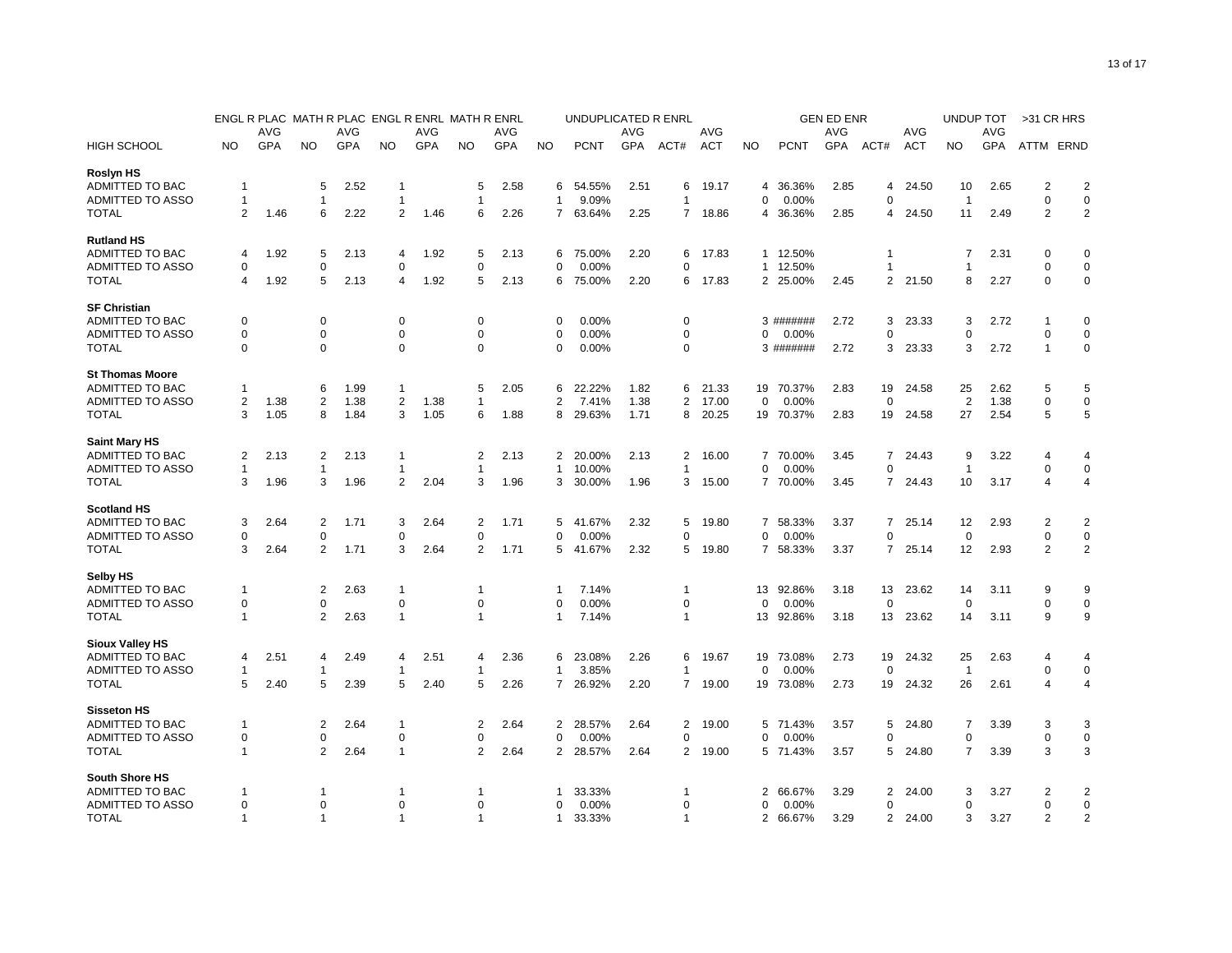| <b>AVG</b><br>AVG<br>AVG<br><b>AVG</b><br>AVG<br>AVG<br>AVG<br>AVG<br>AVG<br>GPA<br>GPA<br>GPA<br><b>GPA</b><br>GPA<br>GPA<br><b>ACT</b><br>GPA<br><b>HIGH SCHOOL</b><br><b>NO</b><br><b>NO</b><br><b>NO</b><br><b>NO</b><br><b>PCNT</b><br>ACT#<br><b>ACT</b><br><b>NO</b><br><b>PCNT</b><br>ACT#<br><b>NO</b><br>ATTM ERND<br><b>NO</b><br><b>Roslyn HS</b><br>$\overline{2}$<br>ADMITTED TO BAC<br>5<br>2.52<br>2.58<br>54.55%<br>2.51<br>19.17<br>36.36%<br>2.85<br>24.50<br>2.65<br>$\overline{2}$<br>$\mathbf 1$<br>$\mathbf 1$<br>5<br>6<br>6<br>4<br>4<br>10<br>$\mathbf 0$<br>$\mathbf 0$<br>ADMITTED TO ASSO<br>$\mathbf{1}$<br>9.09%<br>0.00%<br>$\Omega$<br>$\overline{1}$<br>$\overline{1}$<br>$\Omega$<br>$\mathbf 1$<br>$\mathbf 1$<br>1<br>$\mathbf{1}$<br>$\overline{2}$<br>$\overline{2}$<br>$\overline{2}$<br><b>TOTAL</b><br>2<br>1.46<br>6<br>2.22<br>1.46<br>6<br>2.26<br>$\overline{7}$<br>63.64%<br>2.25<br>7 18.86<br>4 36.36%<br>2.85<br>24.50<br>11<br>2.49<br>4<br><b>Rutland HS</b><br>ADMITTED TO BAC<br>1.92<br>5<br>2.13<br>1.92<br>5<br>2.13<br>75.00%<br>2.20<br>17.83<br>1 12.50%<br>1<br>$\overline{7}$<br>2.31<br>$\mathbf 0$<br>$\mathbf 0$<br>4<br>6<br>6<br>4<br>ADMITTED TO ASSO<br>$\mathbf 0$<br>$\mathbf 0$<br>0.00%<br>1 12.50%<br>$\mathbf 0$<br>$\mathbf 0$<br>0<br>0<br>0<br>0<br>1<br>1<br>$\mathbf 0$<br>5<br>2.13<br>2.45<br>$\overline{2}$<br>2.27<br>$\mathbf 0$<br>1.92<br>1.92<br>5<br>2.13<br>6<br>2.20<br>6<br>17.83<br>2 25.00%<br>21.50<br>8<br><b>TOTAL</b><br>4<br>75.00%<br>4<br><b>SF Christian</b><br>ADMITTED TO BAC<br>$\mathbf 0$<br>$\mathbf 0$<br>$\mathbf 0$<br>0.00%<br>0<br>3<br>$\Omega$<br>0<br>$\Omega$<br>3 #######<br>2.72<br>23.33<br>3<br>2.72<br>1<br>ADMITTED TO ASSO<br>0<br>0<br>0<br>0<br>0<br>0.00%<br>0<br>0.00%<br>0<br>$\mathbf 0$<br>0<br>0<br>$\Omega$<br>$\mathsf 0$<br>$\Omega$<br>$\Omega$<br>2.72<br><b>TOTAL</b><br>$\Omega$<br>0<br>0.00%<br>0<br>3 #######<br>2.72<br>3<br>23.33<br>3<br>$\overline{1}$<br>$\Omega$<br><b>St Thomas Moore</b><br>ADMITTED TO BAC<br>5<br>6<br>1.99<br>5<br>2.05<br>22.22%<br>1.82<br>21.33<br>19 70.37%<br>2.83<br>19<br>24.58<br>25<br>2.62<br>5<br>1<br>6<br>6<br>1<br>ADMITTED TO ASSO<br>$\overline{2}$<br>1.38<br>$\overline{2}$<br>$\overline{2}$<br>1.38<br>$\overline{2}$<br>0.00%<br>0<br>$\overline{2}$<br>1.38<br>$\mathbf 0$<br>$\mathbf 0$<br>2<br>1.38<br>1.38<br>7.41%<br>17.00<br>$\mathbf 0$<br>$\mathbf{1}$<br>5<br>3<br>27<br>2.54<br>5<br><b>TOTAL</b><br>3<br>1.05<br>8<br>1.84<br>1.05<br>6<br>1.88<br>8<br>29.63%<br>1.71<br>8<br>20.25<br>19 70.37%<br>2.83<br>19<br>24.58<br><b>Saint Mary HS</b><br>ADMITTED TO BAC<br>$\overline{2}$<br>$\overline{2}$<br>20.00%<br>2.13<br>70.00%<br>7<br>3.22<br>2<br>2.13<br>2.13<br>$\overline{1}$<br>2.13<br>2<br>2<br>16.00<br>$\overline{7}$<br>3.45<br>24.43<br>9<br>$\overline{4}$<br>4<br>ADMITTED TO ASSO<br>0<br>$\Omega$<br>$\mathbf 0$<br>10.00%<br>$\Omega$<br>0.00%<br>$\mathbf{1}$<br>$\mathbf{1}$<br>$\mathbf{1}$<br>-1<br>-1<br>1<br>1<br>1.96<br>1.96<br>$\overline{2}$<br>2.04<br>1.96<br>30.00%<br>7 70.00%<br>3.45<br>10<br>$\overline{4}$<br><b>TOTAL</b><br>3<br>3<br>3<br>3<br>1.96<br>3<br>15.00<br>7<br>24.43<br>3.17<br>$\overline{4}$<br><b>Scotland HS</b><br>ADMITTED TO BAC<br>2.64<br>$\overline{2}$<br>1.71<br>3<br>2.64<br>2<br>41.67%<br>2.32<br>19.80<br>58.33%<br>3.37<br>7<br>25.14<br>12<br>2.93<br>2<br>$\overline{2}$<br>3<br>1.71<br>5<br>5<br>7<br>$\mathbf 0$<br>$\mathbf 0$<br>ADMITTED TO ASSO<br>$\Omega$<br>$\Omega$<br>0<br>$\Omega$<br>$\Omega$<br>0.00%<br>0<br>$\Omega$<br>0.00%<br>$\Omega$<br>$\Omega$<br>$\overline{2}$<br>3<br>2<br>$\overline{2}$<br>3<br>2.64<br>1.71<br>2.64<br>$\overline{2}$<br>5<br>41.67%<br>2.32<br>5<br>19.80<br>58.33%<br>3.37<br>$\overline{7}$<br>12<br>2.93<br><b>TOTAL</b><br>1.71<br>$\overline{7}$<br>25.14<br><b>Selby HS</b><br>9<br>9<br>ADMITTED TO BAC<br>$\overline{2}$<br>2.63<br>$\overline{1}$<br>7.14%<br>92.86%<br>13<br>23.62<br>1<br>13<br>3.18<br>14<br>3.11<br>-1<br>1<br>1<br>ADMITTED TO ASSO<br>$\mathbf 0$<br>$\mathbf 0$<br>$\mathbf 0$<br>$\Omega$<br>$\Omega$<br>0.00%<br>$\Omega$<br>$\Omega$<br>0.00%<br>$\Omega$<br>$\mathbf 0$<br>$\mathbf 0$<br>$\Omega$<br>9<br><b>TOTAL</b><br>$\overline{2}$<br>2.63<br>$\overline{1}$<br>7.14%<br>13 92.86%<br>13<br>9<br>-1<br>$\mathbf{1}$<br>$\mathbf{1}$<br>$\mathbf{1}$<br>3.18<br>23.62<br>14<br>3.11<br><b>Sioux Valley HS</b><br>ADMITTED TO BAC<br>2.51<br>2.49<br>2.51<br>2.36<br>23.08%<br>2.26<br>19.67<br>19<br>73.08%<br>2.73<br>19<br>24.32<br>25<br>2.63<br>4<br>4<br>4<br>6<br>6<br>$\overline{4}$<br>4<br>4<br>$\pmb{0}$<br>ADMITTED TO ASSO<br>$\mathbf{1}$<br>3.85%<br>0.00%<br>0<br>$\mathbf 0$<br>1<br>0<br>$\overline{1}$<br>-1<br>$\mathbf 1$<br>1<br>1<br>5<br>26<br><b>TOTAL</b><br>5<br>2.40<br>5<br>2.39<br>2.40<br>5<br>2.26<br>$\overline{7}$<br>26.92%<br>2.20<br>$\overline{7}$<br>19.00<br>19 73.08%<br>2.73<br>19<br>24.32<br>2.61<br>$\overline{4}$<br>4<br><b>Sisseton HS</b><br>ADMITTED TO BAC<br>$\overline{2}$<br>2.64<br>$\mathbf{1}$<br>2<br>2.64<br>$\overline{2}$<br>28.57%<br>2.64<br>2<br>19.00<br>71.43%<br>3.57<br>5<br>24.80<br>7<br>3.39<br>3<br>3<br>-1<br>5<br>$\mathbf 0$<br>$\mathbf 0$<br>$\pmb{0}$<br>ADMITTED TO ASSO<br>0<br>0<br>0<br>0<br>0<br>0<br>0.00%<br>$0.00\%$<br>$\Omega$<br>0<br>$\overline{2}$<br>$\overline{1}$<br>$\overline{2}$<br>3<br>3<br><b>TOTAL</b><br>2.64<br>2.64<br>$\overline{2}$<br>28.57%<br>2.64<br>2<br>19.00<br>5 71.43%<br>3.57<br>5<br>24.80<br>$\overline{7}$<br>3.39<br>$\mathbf 1$<br><b>South Shore HS</b><br>ADMITTED TO BAC<br>33.33%<br>66.67%<br>3.29<br>2<br>2<br>2<br>24.00<br>3<br>3.27<br>$\overline{2}$<br>-1<br>1<br>-1<br>1<br>1<br>$\mathbf 0$<br>ADMITTED TO ASSO<br>0<br>0<br>0<br>0<br>0.00%<br>0<br>0.00%<br>0<br>0<br>0<br>O<br>$\Omega$<br>$\overline{2}$<br>2<br>$\mathbf{1}$<br>33.33%<br>$\mathbf{1}$<br>66.67%<br>3.29<br>$\overline{2}$<br>3.27<br><b>TOTAL</b><br>$\mathbf{1}$<br>$\overline{1}$<br>$\overline{1}$<br>$\mathbf{1}$<br>$\overline{2}$<br>24.00<br>3 |  | ENGL R PLAC MATH R PLAC ENGL R ENRL MATH R ENRL |  |  |  |  |  | UNDUPLICATED R ENRL |  |  | <b>GEN ED ENR</b> | UNDUP TOT | >31 CR HRS |  |  |
|-----------------------------------------------------------------------------------------------------------------------------------------------------------------------------------------------------------------------------------------------------------------------------------------------------------------------------------------------------------------------------------------------------------------------------------------------------------------------------------------------------------------------------------------------------------------------------------------------------------------------------------------------------------------------------------------------------------------------------------------------------------------------------------------------------------------------------------------------------------------------------------------------------------------------------------------------------------------------------------------------------------------------------------------------------------------------------------------------------------------------------------------------------------------------------------------------------------------------------------------------------------------------------------------------------------------------------------------------------------------------------------------------------------------------------------------------------------------------------------------------------------------------------------------------------------------------------------------------------------------------------------------------------------------------------------------------------------------------------------------------------------------------------------------------------------------------------------------------------------------------------------------------------------------------------------------------------------------------------------------------------------------------------------------------------------------------------------------------------------------------------------------------------------------------------------------------------------------------------------------------------------------------------------------------------------------------------------------------------------------------------------------------------------------------------------------------------------------------------------------------------------------------------------------------------------------------------------------------------------------------------------------------------------------------------------------------------------------------------------------------------------------------------------------------------------------------------------------------------------------------------------------------------------------------------------------------------------------------------------------------------------------------------------------------------------------------------------------------------------------------------------------------------------------------------------------------------------------------------------------------------------------------------------------------------------------------------------------------------------------------------------------------------------------------------------------------------------------------------------------------------------------------------------------------------------------------------------------------------------------------------------------------------------------------------------------------------------------------------------------------------------------------------------------------------------------------------------------------------------------------------------------------------------------------------------------------------------------------------------------------------------------------------------------------------------------------------------------------------------------------------------------------------------------------------------------------------------------------------------------------------------------------------------------------------------------------------------------------------------------------------------------------------------------------------------------------------------------------------------------------------------------------------------------------------------------------------------------------------------------------------------------------------------------------------------------------------------------------------------------------------------------------------------------------------------------------------------------------------------------------------------------------------------------------------------------------------------------------------------------------------------------------------------------------------------------------------------------------------------------------------------------------------------------------------------------------------------------------------------------------------------------------------------------------------------------------------------------------------------------------------------------------------------------------------------------------------------------------------------------------------------------------------------------------------------------------------------------------------------------------------------------------------------------------------------------------------------------------------------------------------------------------------------------------------------------------------------------------------------------------------------------------------------------------------------------------------------------------------------------------------------------------------------------------------------------------------------------------------------------------------------------------|--|-------------------------------------------------|--|--|--|--|--|---------------------|--|--|-------------------|-----------|------------|--|--|
|                                                                                                                                                                                                                                                                                                                                                                                                                                                                                                                                                                                                                                                                                                                                                                                                                                                                                                                                                                                                                                                                                                                                                                                                                                                                                                                                                                                                                                                                                                                                                                                                                                                                                                                                                                                                                                                                                                                                                                                                                                                                                                                                                                                                                                                                                                                                                                                                                                                                                                                                                                                                                                                                                                                                                                                                                                                                                                                                                                                                                                                                                                                                                                                                                                                                                                                                                                                                                                                                                                                                                                                                                                                                                                                                                                                                                                                                                                                                                                                                                                                                                                                                                                                                                                                                                                                                                                                                                                                                                                                                                                                                                                                                                                                                                                                                                                                                                                                                                                                                                                                                                                                                                                                                                                                                                                                                                                                                                                                                                                                                                                                                                                                                                                                                                                                                                                                                                                                                                                                                                                                                                                                                               |  |                                                 |  |  |  |  |  |                     |  |  |                   |           |            |  |  |
|                                                                                                                                                                                                                                                                                                                                                                                                                                                                                                                                                                                                                                                                                                                                                                                                                                                                                                                                                                                                                                                                                                                                                                                                                                                                                                                                                                                                                                                                                                                                                                                                                                                                                                                                                                                                                                                                                                                                                                                                                                                                                                                                                                                                                                                                                                                                                                                                                                                                                                                                                                                                                                                                                                                                                                                                                                                                                                                                                                                                                                                                                                                                                                                                                                                                                                                                                                                                                                                                                                                                                                                                                                                                                                                                                                                                                                                                                                                                                                                                                                                                                                                                                                                                                                                                                                                                                                                                                                                                                                                                                                                                                                                                                                                                                                                                                                                                                                                                                                                                                                                                                                                                                                                                                                                                                                                                                                                                                                                                                                                                                                                                                                                                                                                                                                                                                                                                                                                                                                                                                                                                                                                                               |  |                                                 |  |  |  |  |  |                     |  |  |                   |           |            |  |  |
|                                                                                                                                                                                                                                                                                                                                                                                                                                                                                                                                                                                                                                                                                                                                                                                                                                                                                                                                                                                                                                                                                                                                                                                                                                                                                                                                                                                                                                                                                                                                                                                                                                                                                                                                                                                                                                                                                                                                                                                                                                                                                                                                                                                                                                                                                                                                                                                                                                                                                                                                                                                                                                                                                                                                                                                                                                                                                                                                                                                                                                                                                                                                                                                                                                                                                                                                                                                                                                                                                                                                                                                                                                                                                                                                                                                                                                                                                                                                                                                                                                                                                                                                                                                                                                                                                                                                                                                                                                                                                                                                                                                                                                                                                                                                                                                                                                                                                                                                                                                                                                                                                                                                                                                                                                                                                                                                                                                                                                                                                                                                                                                                                                                                                                                                                                                                                                                                                                                                                                                                                                                                                                                                               |  |                                                 |  |  |  |  |  |                     |  |  |                   |           |            |  |  |
|                                                                                                                                                                                                                                                                                                                                                                                                                                                                                                                                                                                                                                                                                                                                                                                                                                                                                                                                                                                                                                                                                                                                                                                                                                                                                                                                                                                                                                                                                                                                                                                                                                                                                                                                                                                                                                                                                                                                                                                                                                                                                                                                                                                                                                                                                                                                                                                                                                                                                                                                                                                                                                                                                                                                                                                                                                                                                                                                                                                                                                                                                                                                                                                                                                                                                                                                                                                                                                                                                                                                                                                                                                                                                                                                                                                                                                                                                                                                                                                                                                                                                                                                                                                                                                                                                                                                                                                                                                                                                                                                                                                                                                                                                                                                                                                                                                                                                                                                                                                                                                                                                                                                                                                                                                                                                                                                                                                                                                                                                                                                                                                                                                                                                                                                                                                                                                                                                                                                                                                                                                                                                                                                               |  |                                                 |  |  |  |  |  |                     |  |  |                   |           |            |  |  |
|                                                                                                                                                                                                                                                                                                                                                                                                                                                                                                                                                                                                                                                                                                                                                                                                                                                                                                                                                                                                                                                                                                                                                                                                                                                                                                                                                                                                                                                                                                                                                                                                                                                                                                                                                                                                                                                                                                                                                                                                                                                                                                                                                                                                                                                                                                                                                                                                                                                                                                                                                                                                                                                                                                                                                                                                                                                                                                                                                                                                                                                                                                                                                                                                                                                                                                                                                                                                                                                                                                                                                                                                                                                                                                                                                                                                                                                                                                                                                                                                                                                                                                                                                                                                                                                                                                                                                                                                                                                                                                                                                                                                                                                                                                                                                                                                                                                                                                                                                                                                                                                                                                                                                                                                                                                                                                                                                                                                                                                                                                                                                                                                                                                                                                                                                                                                                                                                                                                                                                                                                                                                                                                                               |  |                                                 |  |  |  |  |  |                     |  |  |                   |           |            |  |  |
|                                                                                                                                                                                                                                                                                                                                                                                                                                                                                                                                                                                                                                                                                                                                                                                                                                                                                                                                                                                                                                                                                                                                                                                                                                                                                                                                                                                                                                                                                                                                                                                                                                                                                                                                                                                                                                                                                                                                                                                                                                                                                                                                                                                                                                                                                                                                                                                                                                                                                                                                                                                                                                                                                                                                                                                                                                                                                                                                                                                                                                                                                                                                                                                                                                                                                                                                                                                                                                                                                                                                                                                                                                                                                                                                                                                                                                                                                                                                                                                                                                                                                                                                                                                                                                                                                                                                                                                                                                                                                                                                                                                                                                                                                                                                                                                                                                                                                                                                                                                                                                                                                                                                                                                                                                                                                                                                                                                                                                                                                                                                                                                                                                                                                                                                                                                                                                                                                                                                                                                                                                                                                                                                               |  |                                                 |  |  |  |  |  |                     |  |  |                   |           |            |  |  |
|                                                                                                                                                                                                                                                                                                                                                                                                                                                                                                                                                                                                                                                                                                                                                                                                                                                                                                                                                                                                                                                                                                                                                                                                                                                                                                                                                                                                                                                                                                                                                                                                                                                                                                                                                                                                                                                                                                                                                                                                                                                                                                                                                                                                                                                                                                                                                                                                                                                                                                                                                                                                                                                                                                                                                                                                                                                                                                                                                                                                                                                                                                                                                                                                                                                                                                                                                                                                                                                                                                                                                                                                                                                                                                                                                                                                                                                                                                                                                                                                                                                                                                                                                                                                                                                                                                                                                                                                                                                                                                                                                                                                                                                                                                                                                                                                                                                                                                                                                                                                                                                                                                                                                                                                                                                                                                                                                                                                                                                                                                                                                                                                                                                                                                                                                                                                                                                                                                                                                                                                                                                                                                                                               |  |                                                 |  |  |  |  |  |                     |  |  |                   |           |            |  |  |
|                                                                                                                                                                                                                                                                                                                                                                                                                                                                                                                                                                                                                                                                                                                                                                                                                                                                                                                                                                                                                                                                                                                                                                                                                                                                                                                                                                                                                                                                                                                                                                                                                                                                                                                                                                                                                                                                                                                                                                                                                                                                                                                                                                                                                                                                                                                                                                                                                                                                                                                                                                                                                                                                                                                                                                                                                                                                                                                                                                                                                                                                                                                                                                                                                                                                                                                                                                                                                                                                                                                                                                                                                                                                                                                                                                                                                                                                                                                                                                                                                                                                                                                                                                                                                                                                                                                                                                                                                                                                                                                                                                                                                                                                                                                                                                                                                                                                                                                                                                                                                                                                                                                                                                                                                                                                                                                                                                                                                                                                                                                                                                                                                                                                                                                                                                                                                                                                                                                                                                                                                                                                                                                                               |  |                                                 |  |  |  |  |  |                     |  |  |                   |           |            |  |  |
|                                                                                                                                                                                                                                                                                                                                                                                                                                                                                                                                                                                                                                                                                                                                                                                                                                                                                                                                                                                                                                                                                                                                                                                                                                                                                                                                                                                                                                                                                                                                                                                                                                                                                                                                                                                                                                                                                                                                                                                                                                                                                                                                                                                                                                                                                                                                                                                                                                                                                                                                                                                                                                                                                                                                                                                                                                                                                                                                                                                                                                                                                                                                                                                                                                                                                                                                                                                                                                                                                                                                                                                                                                                                                                                                                                                                                                                                                                                                                                                                                                                                                                                                                                                                                                                                                                                                                                                                                                                                                                                                                                                                                                                                                                                                                                                                                                                                                                                                                                                                                                                                                                                                                                                                                                                                                                                                                                                                                                                                                                                                                                                                                                                                                                                                                                                                                                                                                                                                                                                                                                                                                                                                               |  |                                                 |  |  |  |  |  |                     |  |  |                   |           |            |  |  |
|                                                                                                                                                                                                                                                                                                                                                                                                                                                                                                                                                                                                                                                                                                                                                                                                                                                                                                                                                                                                                                                                                                                                                                                                                                                                                                                                                                                                                                                                                                                                                                                                                                                                                                                                                                                                                                                                                                                                                                                                                                                                                                                                                                                                                                                                                                                                                                                                                                                                                                                                                                                                                                                                                                                                                                                                                                                                                                                                                                                                                                                                                                                                                                                                                                                                                                                                                                                                                                                                                                                                                                                                                                                                                                                                                                                                                                                                                                                                                                                                                                                                                                                                                                                                                                                                                                                                                                                                                                                                                                                                                                                                                                                                                                                                                                                                                                                                                                                                                                                                                                                                                                                                                                                                                                                                                                                                                                                                                                                                                                                                                                                                                                                                                                                                                                                                                                                                                                                                                                                                                                                                                                                                               |  |                                                 |  |  |  |  |  |                     |  |  |                   |           |            |  |  |
|                                                                                                                                                                                                                                                                                                                                                                                                                                                                                                                                                                                                                                                                                                                                                                                                                                                                                                                                                                                                                                                                                                                                                                                                                                                                                                                                                                                                                                                                                                                                                                                                                                                                                                                                                                                                                                                                                                                                                                                                                                                                                                                                                                                                                                                                                                                                                                                                                                                                                                                                                                                                                                                                                                                                                                                                                                                                                                                                                                                                                                                                                                                                                                                                                                                                                                                                                                                                                                                                                                                                                                                                                                                                                                                                                                                                                                                                                                                                                                                                                                                                                                                                                                                                                                                                                                                                                                                                                                                                                                                                                                                                                                                                                                                                                                                                                                                                                                                                                                                                                                                                                                                                                                                                                                                                                                                                                                                                                                                                                                                                                                                                                                                                                                                                                                                                                                                                                                                                                                                                                                                                                                                                               |  |                                                 |  |  |  |  |  |                     |  |  |                   |           |            |  |  |
|                                                                                                                                                                                                                                                                                                                                                                                                                                                                                                                                                                                                                                                                                                                                                                                                                                                                                                                                                                                                                                                                                                                                                                                                                                                                                                                                                                                                                                                                                                                                                                                                                                                                                                                                                                                                                                                                                                                                                                                                                                                                                                                                                                                                                                                                                                                                                                                                                                                                                                                                                                                                                                                                                                                                                                                                                                                                                                                                                                                                                                                                                                                                                                                                                                                                                                                                                                                                                                                                                                                                                                                                                                                                                                                                                                                                                                                                                                                                                                                                                                                                                                                                                                                                                                                                                                                                                                                                                                                                                                                                                                                                                                                                                                                                                                                                                                                                                                                                                                                                                                                                                                                                                                                                                                                                                                                                                                                                                                                                                                                                                                                                                                                                                                                                                                                                                                                                                                                                                                                                                                                                                                                                               |  |                                                 |  |  |  |  |  |                     |  |  |                   |           |            |  |  |
|                                                                                                                                                                                                                                                                                                                                                                                                                                                                                                                                                                                                                                                                                                                                                                                                                                                                                                                                                                                                                                                                                                                                                                                                                                                                                                                                                                                                                                                                                                                                                                                                                                                                                                                                                                                                                                                                                                                                                                                                                                                                                                                                                                                                                                                                                                                                                                                                                                                                                                                                                                                                                                                                                                                                                                                                                                                                                                                                                                                                                                                                                                                                                                                                                                                                                                                                                                                                                                                                                                                                                                                                                                                                                                                                                                                                                                                                                                                                                                                                                                                                                                                                                                                                                                                                                                                                                                                                                                                                                                                                                                                                                                                                                                                                                                                                                                                                                                                                                                                                                                                                                                                                                                                                                                                                                                                                                                                                                                                                                                                                                                                                                                                                                                                                                                                                                                                                                                                                                                                                                                                                                                                                               |  |                                                 |  |  |  |  |  |                     |  |  |                   |           |            |  |  |
|                                                                                                                                                                                                                                                                                                                                                                                                                                                                                                                                                                                                                                                                                                                                                                                                                                                                                                                                                                                                                                                                                                                                                                                                                                                                                                                                                                                                                                                                                                                                                                                                                                                                                                                                                                                                                                                                                                                                                                                                                                                                                                                                                                                                                                                                                                                                                                                                                                                                                                                                                                                                                                                                                                                                                                                                                                                                                                                                                                                                                                                                                                                                                                                                                                                                                                                                                                                                                                                                                                                                                                                                                                                                                                                                                                                                                                                                                                                                                                                                                                                                                                                                                                                                                                                                                                                                                                                                                                                                                                                                                                                                                                                                                                                                                                                                                                                                                                                                                                                                                                                                                                                                                                                                                                                                                                                                                                                                                                                                                                                                                                                                                                                                                                                                                                                                                                                                                                                                                                                                                                                                                                                                               |  |                                                 |  |  |  |  |  |                     |  |  |                   |           |            |  |  |
|                                                                                                                                                                                                                                                                                                                                                                                                                                                                                                                                                                                                                                                                                                                                                                                                                                                                                                                                                                                                                                                                                                                                                                                                                                                                                                                                                                                                                                                                                                                                                                                                                                                                                                                                                                                                                                                                                                                                                                                                                                                                                                                                                                                                                                                                                                                                                                                                                                                                                                                                                                                                                                                                                                                                                                                                                                                                                                                                                                                                                                                                                                                                                                                                                                                                                                                                                                                                                                                                                                                                                                                                                                                                                                                                                                                                                                                                                                                                                                                                                                                                                                                                                                                                                                                                                                                                                                                                                                                                                                                                                                                                                                                                                                                                                                                                                                                                                                                                                                                                                                                                                                                                                                                                                                                                                                                                                                                                                                                                                                                                                                                                                                                                                                                                                                                                                                                                                                                                                                                                                                                                                                                                               |  |                                                 |  |  |  |  |  |                     |  |  |                   |           |            |  |  |
|                                                                                                                                                                                                                                                                                                                                                                                                                                                                                                                                                                                                                                                                                                                                                                                                                                                                                                                                                                                                                                                                                                                                                                                                                                                                                                                                                                                                                                                                                                                                                                                                                                                                                                                                                                                                                                                                                                                                                                                                                                                                                                                                                                                                                                                                                                                                                                                                                                                                                                                                                                                                                                                                                                                                                                                                                                                                                                                                                                                                                                                                                                                                                                                                                                                                                                                                                                                                                                                                                                                                                                                                                                                                                                                                                                                                                                                                                                                                                                                                                                                                                                                                                                                                                                                                                                                                                                                                                                                                                                                                                                                                                                                                                                                                                                                                                                                                                                                                                                                                                                                                                                                                                                                                                                                                                                                                                                                                                                                                                                                                                                                                                                                                                                                                                                                                                                                                                                                                                                                                                                                                                                                                               |  |                                                 |  |  |  |  |  |                     |  |  |                   |           |            |  |  |
|                                                                                                                                                                                                                                                                                                                                                                                                                                                                                                                                                                                                                                                                                                                                                                                                                                                                                                                                                                                                                                                                                                                                                                                                                                                                                                                                                                                                                                                                                                                                                                                                                                                                                                                                                                                                                                                                                                                                                                                                                                                                                                                                                                                                                                                                                                                                                                                                                                                                                                                                                                                                                                                                                                                                                                                                                                                                                                                                                                                                                                                                                                                                                                                                                                                                                                                                                                                                                                                                                                                                                                                                                                                                                                                                                                                                                                                                                                                                                                                                                                                                                                                                                                                                                                                                                                                                                                                                                                                                                                                                                                                                                                                                                                                                                                                                                                                                                                                                                                                                                                                                                                                                                                                                                                                                                                                                                                                                                                                                                                                                                                                                                                                                                                                                                                                                                                                                                                                                                                                                                                                                                                                                               |  |                                                 |  |  |  |  |  |                     |  |  |                   |           |            |  |  |
|                                                                                                                                                                                                                                                                                                                                                                                                                                                                                                                                                                                                                                                                                                                                                                                                                                                                                                                                                                                                                                                                                                                                                                                                                                                                                                                                                                                                                                                                                                                                                                                                                                                                                                                                                                                                                                                                                                                                                                                                                                                                                                                                                                                                                                                                                                                                                                                                                                                                                                                                                                                                                                                                                                                                                                                                                                                                                                                                                                                                                                                                                                                                                                                                                                                                                                                                                                                                                                                                                                                                                                                                                                                                                                                                                                                                                                                                                                                                                                                                                                                                                                                                                                                                                                                                                                                                                                                                                                                                                                                                                                                                                                                                                                                                                                                                                                                                                                                                                                                                                                                                                                                                                                                                                                                                                                                                                                                                                                                                                                                                                                                                                                                                                                                                                                                                                                                                                                                                                                                                                                                                                                                                               |  |                                                 |  |  |  |  |  |                     |  |  |                   |           |            |  |  |
|                                                                                                                                                                                                                                                                                                                                                                                                                                                                                                                                                                                                                                                                                                                                                                                                                                                                                                                                                                                                                                                                                                                                                                                                                                                                                                                                                                                                                                                                                                                                                                                                                                                                                                                                                                                                                                                                                                                                                                                                                                                                                                                                                                                                                                                                                                                                                                                                                                                                                                                                                                                                                                                                                                                                                                                                                                                                                                                                                                                                                                                                                                                                                                                                                                                                                                                                                                                                                                                                                                                                                                                                                                                                                                                                                                                                                                                                                                                                                                                                                                                                                                                                                                                                                                                                                                                                                                                                                                                                                                                                                                                                                                                                                                                                                                                                                                                                                                                                                                                                                                                                                                                                                                                                                                                                                                                                                                                                                                                                                                                                                                                                                                                                                                                                                                                                                                                                                                                                                                                                                                                                                                                                               |  |                                                 |  |  |  |  |  |                     |  |  |                   |           |            |  |  |
|                                                                                                                                                                                                                                                                                                                                                                                                                                                                                                                                                                                                                                                                                                                                                                                                                                                                                                                                                                                                                                                                                                                                                                                                                                                                                                                                                                                                                                                                                                                                                                                                                                                                                                                                                                                                                                                                                                                                                                                                                                                                                                                                                                                                                                                                                                                                                                                                                                                                                                                                                                                                                                                                                                                                                                                                                                                                                                                                                                                                                                                                                                                                                                                                                                                                                                                                                                                                                                                                                                                                                                                                                                                                                                                                                                                                                                                                                                                                                                                                                                                                                                                                                                                                                                                                                                                                                                                                                                                                                                                                                                                                                                                                                                                                                                                                                                                                                                                                                                                                                                                                                                                                                                                                                                                                                                                                                                                                                                                                                                                                                                                                                                                                                                                                                                                                                                                                                                                                                                                                                                                                                                                                               |  |                                                 |  |  |  |  |  |                     |  |  |                   |           |            |  |  |
|                                                                                                                                                                                                                                                                                                                                                                                                                                                                                                                                                                                                                                                                                                                                                                                                                                                                                                                                                                                                                                                                                                                                                                                                                                                                                                                                                                                                                                                                                                                                                                                                                                                                                                                                                                                                                                                                                                                                                                                                                                                                                                                                                                                                                                                                                                                                                                                                                                                                                                                                                                                                                                                                                                                                                                                                                                                                                                                                                                                                                                                                                                                                                                                                                                                                                                                                                                                                                                                                                                                                                                                                                                                                                                                                                                                                                                                                                                                                                                                                                                                                                                                                                                                                                                                                                                                                                                                                                                                                                                                                                                                                                                                                                                                                                                                                                                                                                                                                                                                                                                                                                                                                                                                                                                                                                                                                                                                                                                                                                                                                                                                                                                                                                                                                                                                                                                                                                                                                                                                                                                                                                                                                               |  |                                                 |  |  |  |  |  |                     |  |  |                   |           |            |  |  |
|                                                                                                                                                                                                                                                                                                                                                                                                                                                                                                                                                                                                                                                                                                                                                                                                                                                                                                                                                                                                                                                                                                                                                                                                                                                                                                                                                                                                                                                                                                                                                                                                                                                                                                                                                                                                                                                                                                                                                                                                                                                                                                                                                                                                                                                                                                                                                                                                                                                                                                                                                                                                                                                                                                                                                                                                                                                                                                                                                                                                                                                                                                                                                                                                                                                                                                                                                                                                                                                                                                                                                                                                                                                                                                                                                                                                                                                                                                                                                                                                                                                                                                                                                                                                                                                                                                                                                                                                                                                                                                                                                                                                                                                                                                                                                                                                                                                                                                                                                                                                                                                                                                                                                                                                                                                                                                                                                                                                                                                                                                                                                                                                                                                                                                                                                                                                                                                                                                                                                                                                                                                                                                                                               |  |                                                 |  |  |  |  |  |                     |  |  |                   |           |            |  |  |
|                                                                                                                                                                                                                                                                                                                                                                                                                                                                                                                                                                                                                                                                                                                                                                                                                                                                                                                                                                                                                                                                                                                                                                                                                                                                                                                                                                                                                                                                                                                                                                                                                                                                                                                                                                                                                                                                                                                                                                                                                                                                                                                                                                                                                                                                                                                                                                                                                                                                                                                                                                                                                                                                                                                                                                                                                                                                                                                                                                                                                                                                                                                                                                                                                                                                                                                                                                                                                                                                                                                                                                                                                                                                                                                                                                                                                                                                                                                                                                                                                                                                                                                                                                                                                                                                                                                                                                                                                                                                                                                                                                                                                                                                                                                                                                                                                                                                                                                                                                                                                                                                                                                                                                                                                                                                                                                                                                                                                                                                                                                                                                                                                                                                                                                                                                                                                                                                                                                                                                                                                                                                                                                                               |  |                                                 |  |  |  |  |  |                     |  |  |                   |           |            |  |  |
|                                                                                                                                                                                                                                                                                                                                                                                                                                                                                                                                                                                                                                                                                                                                                                                                                                                                                                                                                                                                                                                                                                                                                                                                                                                                                                                                                                                                                                                                                                                                                                                                                                                                                                                                                                                                                                                                                                                                                                                                                                                                                                                                                                                                                                                                                                                                                                                                                                                                                                                                                                                                                                                                                                                                                                                                                                                                                                                                                                                                                                                                                                                                                                                                                                                                                                                                                                                                                                                                                                                                                                                                                                                                                                                                                                                                                                                                                                                                                                                                                                                                                                                                                                                                                                                                                                                                                                                                                                                                                                                                                                                                                                                                                                                                                                                                                                                                                                                                                                                                                                                                                                                                                                                                                                                                                                                                                                                                                                                                                                                                                                                                                                                                                                                                                                                                                                                                                                                                                                                                                                                                                                                                               |  |                                                 |  |  |  |  |  |                     |  |  |                   |           |            |  |  |
|                                                                                                                                                                                                                                                                                                                                                                                                                                                                                                                                                                                                                                                                                                                                                                                                                                                                                                                                                                                                                                                                                                                                                                                                                                                                                                                                                                                                                                                                                                                                                                                                                                                                                                                                                                                                                                                                                                                                                                                                                                                                                                                                                                                                                                                                                                                                                                                                                                                                                                                                                                                                                                                                                                                                                                                                                                                                                                                                                                                                                                                                                                                                                                                                                                                                                                                                                                                                                                                                                                                                                                                                                                                                                                                                                                                                                                                                                                                                                                                                                                                                                                                                                                                                                                                                                                                                                                                                                                                                                                                                                                                                                                                                                                                                                                                                                                                                                                                                                                                                                                                                                                                                                                                                                                                                                                                                                                                                                                                                                                                                                                                                                                                                                                                                                                                                                                                                                                                                                                                                                                                                                                                                               |  |                                                 |  |  |  |  |  |                     |  |  |                   |           |            |  |  |
|                                                                                                                                                                                                                                                                                                                                                                                                                                                                                                                                                                                                                                                                                                                                                                                                                                                                                                                                                                                                                                                                                                                                                                                                                                                                                                                                                                                                                                                                                                                                                                                                                                                                                                                                                                                                                                                                                                                                                                                                                                                                                                                                                                                                                                                                                                                                                                                                                                                                                                                                                                                                                                                                                                                                                                                                                                                                                                                                                                                                                                                                                                                                                                                                                                                                                                                                                                                                                                                                                                                                                                                                                                                                                                                                                                                                                                                                                                                                                                                                                                                                                                                                                                                                                                                                                                                                                                                                                                                                                                                                                                                                                                                                                                                                                                                                                                                                                                                                                                                                                                                                                                                                                                                                                                                                                                                                                                                                                                                                                                                                                                                                                                                                                                                                                                                                                                                                                                                                                                                                                                                                                                                                               |  |                                                 |  |  |  |  |  |                     |  |  |                   |           |            |  |  |
|                                                                                                                                                                                                                                                                                                                                                                                                                                                                                                                                                                                                                                                                                                                                                                                                                                                                                                                                                                                                                                                                                                                                                                                                                                                                                                                                                                                                                                                                                                                                                                                                                                                                                                                                                                                                                                                                                                                                                                                                                                                                                                                                                                                                                                                                                                                                                                                                                                                                                                                                                                                                                                                                                                                                                                                                                                                                                                                                                                                                                                                                                                                                                                                                                                                                                                                                                                                                                                                                                                                                                                                                                                                                                                                                                                                                                                                                                                                                                                                                                                                                                                                                                                                                                                                                                                                                                                                                                                                                                                                                                                                                                                                                                                                                                                                                                                                                                                                                                                                                                                                                                                                                                                                                                                                                                                                                                                                                                                                                                                                                                                                                                                                                                                                                                                                                                                                                                                                                                                                                                                                                                                                                               |  |                                                 |  |  |  |  |  |                     |  |  |                   |           |            |  |  |
|                                                                                                                                                                                                                                                                                                                                                                                                                                                                                                                                                                                                                                                                                                                                                                                                                                                                                                                                                                                                                                                                                                                                                                                                                                                                                                                                                                                                                                                                                                                                                                                                                                                                                                                                                                                                                                                                                                                                                                                                                                                                                                                                                                                                                                                                                                                                                                                                                                                                                                                                                                                                                                                                                                                                                                                                                                                                                                                                                                                                                                                                                                                                                                                                                                                                                                                                                                                                                                                                                                                                                                                                                                                                                                                                                                                                                                                                                                                                                                                                                                                                                                                                                                                                                                                                                                                                                                                                                                                                                                                                                                                                                                                                                                                                                                                                                                                                                                                                                                                                                                                                                                                                                                                                                                                                                                                                                                                                                                                                                                                                                                                                                                                                                                                                                                                                                                                                                                                                                                                                                                                                                                                                               |  |                                                 |  |  |  |  |  |                     |  |  |                   |           |            |  |  |
|                                                                                                                                                                                                                                                                                                                                                                                                                                                                                                                                                                                                                                                                                                                                                                                                                                                                                                                                                                                                                                                                                                                                                                                                                                                                                                                                                                                                                                                                                                                                                                                                                                                                                                                                                                                                                                                                                                                                                                                                                                                                                                                                                                                                                                                                                                                                                                                                                                                                                                                                                                                                                                                                                                                                                                                                                                                                                                                                                                                                                                                                                                                                                                                                                                                                                                                                                                                                                                                                                                                                                                                                                                                                                                                                                                                                                                                                                                                                                                                                                                                                                                                                                                                                                                                                                                                                                                                                                                                                                                                                                                                                                                                                                                                                                                                                                                                                                                                                                                                                                                                                                                                                                                                                                                                                                                                                                                                                                                                                                                                                                                                                                                                                                                                                                                                                                                                                                                                                                                                                                                                                                                                                               |  |                                                 |  |  |  |  |  |                     |  |  |                   |           |            |  |  |
|                                                                                                                                                                                                                                                                                                                                                                                                                                                                                                                                                                                                                                                                                                                                                                                                                                                                                                                                                                                                                                                                                                                                                                                                                                                                                                                                                                                                                                                                                                                                                                                                                                                                                                                                                                                                                                                                                                                                                                                                                                                                                                                                                                                                                                                                                                                                                                                                                                                                                                                                                                                                                                                                                                                                                                                                                                                                                                                                                                                                                                                                                                                                                                                                                                                                                                                                                                                                                                                                                                                                                                                                                                                                                                                                                                                                                                                                                                                                                                                                                                                                                                                                                                                                                                                                                                                                                                                                                                                                                                                                                                                                                                                                                                                                                                                                                                                                                                                                                                                                                                                                                                                                                                                                                                                                                                                                                                                                                                                                                                                                                                                                                                                                                                                                                                                                                                                                                                                                                                                                                                                                                                                                               |  |                                                 |  |  |  |  |  |                     |  |  |                   |           |            |  |  |
|                                                                                                                                                                                                                                                                                                                                                                                                                                                                                                                                                                                                                                                                                                                                                                                                                                                                                                                                                                                                                                                                                                                                                                                                                                                                                                                                                                                                                                                                                                                                                                                                                                                                                                                                                                                                                                                                                                                                                                                                                                                                                                                                                                                                                                                                                                                                                                                                                                                                                                                                                                                                                                                                                                                                                                                                                                                                                                                                                                                                                                                                                                                                                                                                                                                                                                                                                                                                                                                                                                                                                                                                                                                                                                                                                                                                                                                                                                                                                                                                                                                                                                                                                                                                                                                                                                                                                                                                                                                                                                                                                                                                                                                                                                                                                                                                                                                                                                                                                                                                                                                                                                                                                                                                                                                                                                                                                                                                                                                                                                                                                                                                                                                                                                                                                                                                                                                                                                                                                                                                                                                                                                                                               |  |                                                 |  |  |  |  |  |                     |  |  |                   |           |            |  |  |
|                                                                                                                                                                                                                                                                                                                                                                                                                                                                                                                                                                                                                                                                                                                                                                                                                                                                                                                                                                                                                                                                                                                                                                                                                                                                                                                                                                                                                                                                                                                                                                                                                                                                                                                                                                                                                                                                                                                                                                                                                                                                                                                                                                                                                                                                                                                                                                                                                                                                                                                                                                                                                                                                                                                                                                                                                                                                                                                                                                                                                                                                                                                                                                                                                                                                                                                                                                                                                                                                                                                                                                                                                                                                                                                                                                                                                                                                                                                                                                                                                                                                                                                                                                                                                                                                                                                                                                                                                                                                                                                                                                                                                                                                                                                                                                                                                                                                                                                                                                                                                                                                                                                                                                                                                                                                                                                                                                                                                                                                                                                                                                                                                                                                                                                                                                                                                                                                                                                                                                                                                                                                                                                                               |  |                                                 |  |  |  |  |  |                     |  |  |                   |           |            |  |  |
|                                                                                                                                                                                                                                                                                                                                                                                                                                                                                                                                                                                                                                                                                                                                                                                                                                                                                                                                                                                                                                                                                                                                                                                                                                                                                                                                                                                                                                                                                                                                                                                                                                                                                                                                                                                                                                                                                                                                                                                                                                                                                                                                                                                                                                                                                                                                                                                                                                                                                                                                                                                                                                                                                                                                                                                                                                                                                                                                                                                                                                                                                                                                                                                                                                                                                                                                                                                                                                                                                                                                                                                                                                                                                                                                                                                                                                                                                                                                                                                                                                                                                                                                                                                                                                                                                                                                                                                                                                                                                                                                                                                                                                                                                                                                                                                                                                                                                                                                                                                                                                                                                                                                                                                                                                                                                                                                                                                                                                                                                                                                                                                                                                                                                                                                                                                                                                                                                                                                                                                                                                                                                                                                               |  |                                                 |  |  |  |  |  |                     |  |  |                   |           |            |  |  |
|                                                                                                                                                                                                                                                                                                                                                                                                                                                                                                                                                                                                                                                                                                                                                                                                                                                                                                                                                                                                                                                                                                                                                                                                                                                                                                                                                                                                                                                                                                                                                                                                                                                                                                                                                                                                                                                                                                                                                                                                                                                                                                                                                                                                                                                                                                                                                                                                                                                                                                                                                                                                                                                                                                                                                                                                                                                                                                                                                                                                                                                                                                                                                                                                                                                                                                                                                                                                                                                                                                                                                                                                                                                                                                                                                                                                                                                                                                                                                                                                                                                                                                                                                                                                                                                                                                                                                                                                                                                                                                                                                                                                                                                                                                                                                                                                                                                                                                                                                                                                                                                                                                                                                                                                                                                                                                                                                                                                                                                                                                                                                                                                                                                                                                                                                                                                                                                                                                                                                                                                                                                                                                                                               |  |                                                 |  |  |  |  |  |                     |  |  |                   |           |            |  |  |
|                                                                                                                                                                                                                                                                                                                                                                                                                                                                                                                                                                                                                                                                                                                                                                                                                                                                                                                                                                                                                                                                                                                                                                                                                                                                                                                                                                                                                                                                                                                                                                                                                                                                                                                                                                                                                                                                                                                                                                                                                                                                                                                                                                                                                                                                                                                                                                                                                                                                                                                                                                                                                                                                                                                                                                                                                                                                                                                                                                                                                                                                                                                                                                                                                                                                                                                                                                                                                                                                                                                                                                                                                                                                                                                                                                                                                                                                                                                                                                                                                                                                                                                                                                                                                                                                                                                                                                                                                                                                                                                                                                                                                                                                                                                                                                                                                                                                                                                                                                                                                                                                                                                                                                                                                                                                                                                                                                                                                                                                                                                                                                                                                                                                                                                                                                                                                                                                                                                                                                                                                                                                                                                                               |  |                                                 |  |  |  |  |  |                     |  |  |                   |           |            |  |  |
|                                                                                                                                                                                                                                                                                                                                                                                                                                                                                                                                                                                                                                                                                                                                                                                                                                                                                                                                                                                                                                                                                                                                                                                                                                                                                                                                                                                                                                                                                                                                                                                                                                                                                                                                                                                                                                                                                                                                                                                                                                                                                                                                                                                                                                                                                                                                                                                                                                                                                                                                                                                                                                                                                                                                                                                                                                                                                                                                                                                                                                                                                                                                                                                                                                                                                                                                                                                                                                                                                                                                                                                                                                                                                                                                                                                                                                                                                                                                                                                                                                                                                                                                                                                                                                                                                                                                                                                                                                                                                                                                                                                                                                                                                                                                                                                                                                                                                                                                                                                                                                                                                                                                                                                                                                                                                                                                                                                                                                                                                                                                                                                                                                                                                                                                                                                                                                                                                                                                                                                                                                                                                                                                               |  |                                                 |  |  |  |  |  |                     |  |  |                   |           |            |  |  |
|                                                                                                                                                                                                                                                                                                                                                                                                                                                                                                                                                                                                                                                                                                                                                                                                                                                                                                                                                                                                                                                                                                                                                                                                                                                                                                                                                                                                                                                                                                                                                                                                                                                                                                                                                                                                                                                                                                                                                                                                                                                                                                                                                                                                                                                                                                                                                                                                                                                                                                                                                                                                                                                                                                                                                                                                                                                                                                                                                                                                                                                                                                                                                                                                                                                                                                                                                                                                                                                                                                                                                                                                                                                                                                                                                                                                                                                                                                                                                                                                                                                                                                                                                                                                                                                                                                                                                                                                                                                                                                                                                                                                                                                                                                                                                                                                                                                                                                                                                                                                                                                                                                                                                                                                                                                                                                                                                                                                                                                                                                                                                                                                                                                                                                                                                                                                                                                                                                                                                                                                                                                                                                                                               |  |                                                 |  |  |  |  |  |                     |  |  |                   |           |            |  |  |
|                                                                                                                                                                                                                                                                                                                                                                                                                                                                                                                                                                                                                                                                                                                                                                                                                                                                                                                                                                                                                                                                                                                                                                                                                                                                                                                                                                                                                                                                                                                                                                                                                                                                                                                                                                                                                                                                                                                                                                                                                                                                                                                                                                                                                                                                                                                                                                                                                                                                                                                                                                                                                                                                                                                                                                                                                                                                                                                                                                                                                                                                                                                                                                                                                                                                                                                                                                                                                                                                                                                                                                                                                                                                                                                                                                                                                                                                                                                                                                                                                                                                                                                                                                                                                                                                                                                                                                                                                                                                                                                                                                                                                                                                                                                                                                                                                                                                                                                                                                                                                                                                                                                                                                                                                                                                                                                                                                                                                                                                                                                                                                                                                                                                                                                                                                                                                                                                                                                                                                                                                                                                                                                                               |  |                                                 |  |  |  |  |  |                     |  |  |                   |           |            |  |  |
|                                                                                                                                                                                                                                                                                                                                                                                                                                                                                                                                                                                                                                                                                                                                                                                                                                                                                                                                                                                                                                                                                                                                                                                                                                                                                                                                                                                                                                                                                                                                                                                                                                                                                                                                                                                                                                                                                                                                                                                                                                                                                                                                                                                                                                                                                                                                                                                                                                                                                                                                                                                                                                                                                                                                                                                                                                                                                                                                                                                                                                                                                                                                                                                                                                                                                                                                                                                                                                                                                                                                                                                                                                                                                                                                                                                                                                                                                                                                                                                                                                                                                                                                                                                                                                                                                                                                                                                                                                                                                                                                                                                                                                                                                                                                                                                                                                                                                                                                                                                                                                                                                                                                                                                                                                                                                                                                                                                                                                                                                                                                                                                                                                                                                                                                                                                                                                                                                                                                                                                                                                                                                                                                               |  |                                                 |  |  |  |  |  |                     |  |  |                   |           |            |  |  |
|                                                                                                                                                                                                                                                                                                                                                                                                                                                                                                                                                                                                                                                                                                                                                                                                                                                                                                                                                                                                                                                                                                                                                                                                                                                                                                                                                                                                                                                                                                                                                                                                                                                                                                                                                                                                                                                                                                                                                                                                                                                                                                                                                                                                                                                                                                                                                                                                                                                                                                                                                                                                                                                                                                                                                                                                                                                                                                                                                                                                                                                                                                                                                                                                                                                                                                                                                                                                                                                                                                                                                                                                                                                                                                                                                                                                                                                                                                                                                                                                                                                                                                                                                                                                                                                                                                                                                                                                                                                                                                                                                                                                                                                                                                                                                                                                                                                                                                                                                                                                                                                                                                                                                                                                                                                                                                                                                                                                                                                                                                                                                                                                                                                                                                                                                                                                                                                                                                                                                                                                                                                                                                                                               |  |                                                 |  |  |  |  |  |                     |  |  |                   |           |            |  |  |
|                                                                                                                                                                                                                                                                                                                                                                                                                                                                                                                                                                                                                                                                                                                                                                                                                                                                                                                                                                                                                                                                                                                                                                                                                                                                                                                                                                                                                                                                                                                                                                                                                                                                                                                                                                                                                                                                                                                                                                                                                                                                                                                                                                                                                                                                                                                                                                                                                                                                                                                                                                                                                                                                                                                                                                                                                                                                                                                                                                                                                                                                                                                                                                                                                                                                                                                                                                                                                                                                                                                                                                                                                                                                                                                                                                                                                                                                                                                                                                                                                                                                                                                                                                                                                                                                                                                                                                                                                                                                                                                                                                                                                                                                                                                                                                                                                                                                                                                                                                                                                                                                                                                                                                                                                                                                                                                                                                                                                                                                                                                                                                                                                                                                                                                                                                                                                                                                                                                                                                                                                                                                                                                                               |  |                                                 |  |  |  |  |  |                     |  |  |                   |           |            |  |  |
|                                                                                                                                                                                                                                                                                                                                                                                                                                                                                                                                                                                                                                                                                                                                                                                                                                                                                                                                                                                                                                                                                                                                                                                                                                                                                                                                                                                                                                                                                                                                                                                                                                                                                                                                                                                                                                                                                                                                                                                                                                                                                                                                                                                                                                                                                                                                                                                                                                                                                                                                                                                                                                                                                                                                                                                                                                                                                                                                                                                                                                                                                                                                                                                                                                                                                                                                                                                                                                                                                                                                                                                                                                                                                                                                                                                                                                                                                                                                                                                                                                                                                                                                                                                                                                                                                                                                                                                                                                                                                                                                                                                                                                                                                                                                                                                                                                                                                                                                                                                                                                                                                                                                                                                                                                                                                                                                                                                                                                                                                                                                                                                                                                                                                                                                                                                                                                                                                                                                                                                                                                                                                                                                               |  |                                                 |  |  |  |  |  |                     |  |  |                   |           |            |  |  |
|                                                                                                                                                                                                                                                                                                                                                                                                                                                                                                                                                                                                                                                                                                                                                                                                                                                                                                                                                                                                                                                                                                                                                                                                                                                                                                                                                                                                                                                                                                                                                                                                                                                                                                                                                                                                                                                                                                                                                                                                                                                                                                                                                                                                                                                                                                                                                                                                                                                                                                                                                                                                                                                                                                                                                                                                                                                                                                                                                                                                                                                                                                                                                                                                                                                                                                                                                                                                                                                                                                                                                                                                                                                                                                                                                                                                                                                                                                                                                                                                                                                                                                                                                                                                                                                                                                                                                                                                                                                                                                                                                                                                                                                                                                                                                                                                                                                                                                                                                                                                                                                                                                                                                                                                                                                                                                                                                                                                                                                                                                                                                                                                                                                                                                                                                                                                                                                                                                                                                                                                                                                                                                                                               |  |                                                 |  |  |  |  |  |                     |  |  |                   |           |            |  |  |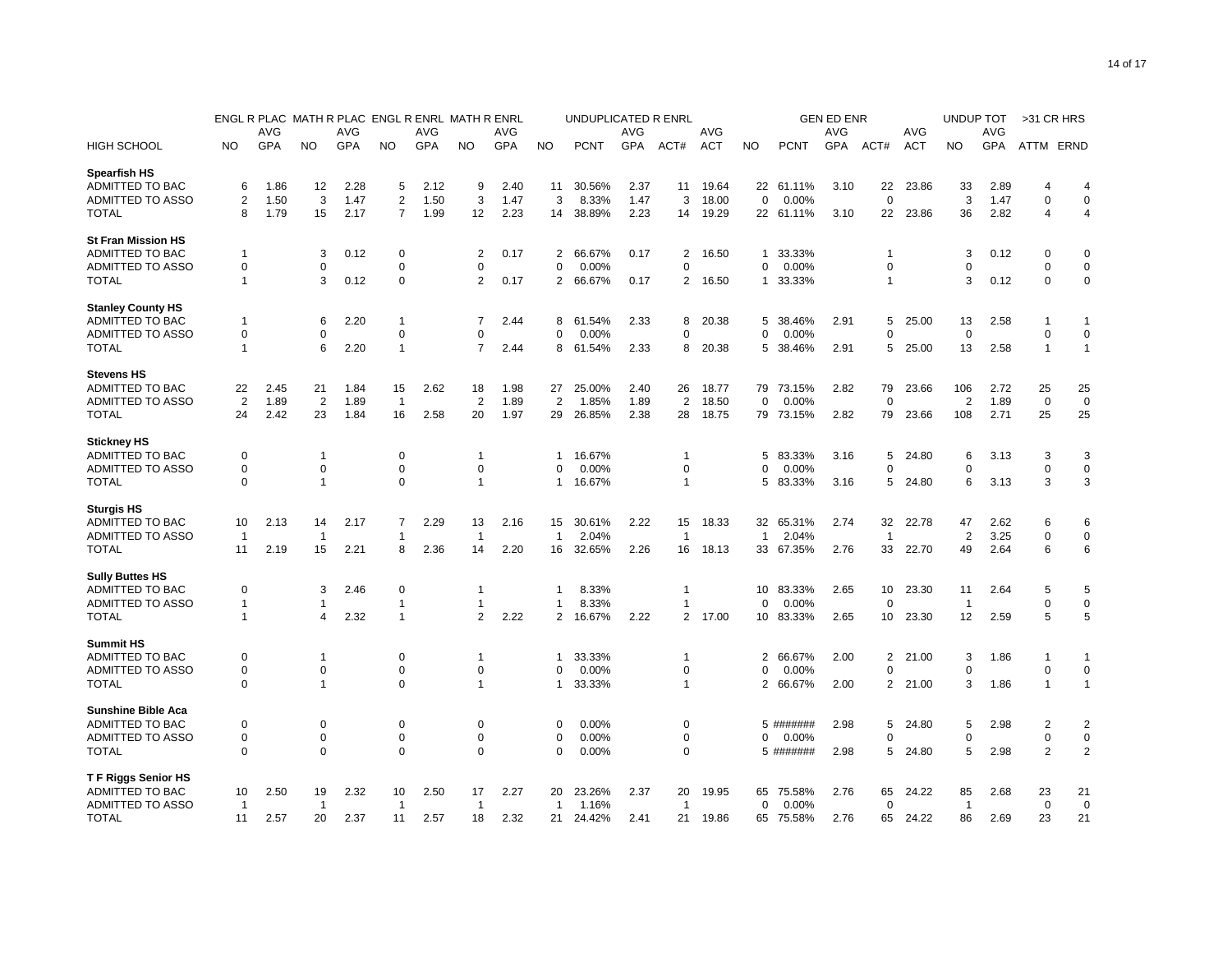|                           |                         | ENGL R PLAC MATH R PLAC ENGL R ENRL MATH R ENRL |                |      |                |      |                |            |                | UNDUPLICATED R ENRL |            |                |       | <b>GEN ED ENR</b> |             |            |                |            |                | <b>UNDUP TOT</b> |                | >31 CR HRS     |
|---------------------------|-------------------------|-------------------------------------------------|----------------|------|----------------|------|----------------|------------|----------------|---------------------|------------|----------------|-------|-------------------|-------------|------------|----------------|------------|----------------|------------------|----------------|----------------|
|                           |                         | AVG                                             |                | AVG  |                | AVG  |                | AVG        |                |                     | AVG        |                | AVG   |                   |             | <b>AVG</b> |                | AVG        |                | AVG              |                |                |
| HIGH SCHOOL               | NO                      | <b>GPA</b>                                      | NO.            | GPA  | NO.            | GPA  | NO.            | <b>GPA</b> | <b>NO</b>      | <b>PCNT</b>         | <b>GPA</b> | ACT#           | ACT   | NO                | <b>PCNT</b> | <b>GPA</b> | ACT#           | <b>ACT</b> | NO             | <b>GPA</b>       | ATTM ERND      |                |
| <b>Spearfish HS</b>       |                         |                                                 |                |      |                |      |                |            |                |                     |            |                |       |                   |             |            |                |            |                |                  |                |                |
| ADMITTED TO BAC           | 6                       | 1.86                                            | 12             | 2.28 | 5              | 2.12 | 9              | 2.40       | 11             | 30.56%              | 2.37       | 11             | 19.64 |                   | 22 61.11%   | 3.10       | 22             | 23.86      | 33             | 2.89             | 4              | 4              |
| <b>ADMITTED TO ASSO</b>   | $\overline{\mathbf{c}}$ | 1.50                                            | 3              | 1.47 | $\overline{2}$ | 1.50 | 3              | 1.47       | 3              | 8.33%               | 1.47       | 3              | 18.00 | $\mathbf 0$       | 0.00%       |            | $\mathbf 0$    |            | 3              | 1.47             | $\mathbf 0$    | $\mathbf 0$    |
| <b>TOTAL</b>              | 8                       | 1.79                                            | 15             | 2.17 | 7              | 1.99 | 12             | 2.23       | 14             | 38.89%              | 2.23       | 14             | 19.29 |                   | 22 61.11%   | 3.10       | 22             | 23.86      | 36             | 2.82             | $\overline{4}$ | 4              |
| <b>St Fran Mission HS</b> |                         |                                                 |                |      |                |      |                |            |                |                     |            |                |       |                   |             |            |                |            |                |                  |                |                |
| ADMITTED TO BAC           | 1                       |                                                 | 3              | 0.12 | 0              |      | 2              | 0.17       | 2              | 66.67%              | 0.17       | 2              | 16.50 | $\mathbf{1}$      | 33.33%      |            | 1              |            | 3              | 0.12             | 0              | $\mathbf 0$    |
| ADMITTED TO ASSO          | 0                       |                                                 | 0              |      | 0              |      | 0              |            | $\mathbf 0$    | 0.00%               |            | 0              |       | 0                 | 0.00%       |            | 0              |            | $\Omega$       |                  | 0              | $\mathbf 0$    |
| <b>TOTAL</b>              | 1                       |                                                 | 3              | 0.12 | $\mathbf 0$    |      | $\overline{2}$ | 0.17       | $\overline{2}$ | 66.67%              | 0.17       | $\overline{2}$ | 16.50 | $\mathbf{1}$      | 33.33%      |            | 1              |            | 3              | 0.12             | $\mathbf 0$    | $\pmb{0}$      |
| <b>Stanley County HS</b>  |                         |                                                 |                |      |                |      |                |            |                |                     |            |                |       |                   |             |            |                |            |                |                  |                |                |
| ADMITTED TO BAC           | 1                       |                                                 | 6              | 2.20 | 1              |      | 7              | 2.44       | 8              | 61.54%              | 2.33       | 8              | 20.38 | 5                 | 38.46%      | 2.91       | 5              | 25.00      | 13             | 2.58             | 1              | 1              |
| ADMITTED TO ASSO          | $\mathbf 0$             |                                                 | 0              |      | $\mathbf 0$    |      | $\Omega$       |            | $\mathbf 0$    | 0.00%               |            | 0              |       | 0                 | 0.00%       |            | 0              |            | $\mathbf 0$    |                  | $\mathbf 0$    | $\mathbf 0$    |
| TOTAL                     | 1                       |                                                 | 6              | 2.20 | $\overline{1}$ |      | $\overline{7}$ | 2.44       | 8              | 61.54%              | 2.33       | 8              | 20.38 | 5                 | 38.46%      | 2.91       | 5              | 25.00      | 13             | 2.58             | $\mathbf{1}$   | $\mathbf{1}$   |
| <b>Stevens HS</b>         |                         |                                                 |                |      |                |      |                |            |                |                     |            |                |       |                   |             |            |                |            |                |                  |                |                |
| <b>ADMITTED TO BAC</b>    | 22                      | 2.45                                            | 21             | 1.84 | 15             | 2.62 | 18             | 1.98       | 27             | 25.00%              | 2.40       | 26             | 18.77 | 79                | 73.15%      | 2.82       | 79             | 23.66      | 106            | 2.72             | 25             | 25             |
| ADMITTED TO ASSO          | $\overline{2}$          | 1.89                                            | $\overline{2}$ | 1.89 | $\overline{1}$ |      | $\overline{2}$ | 1.89       | $\overline{2}$ | 1.85%               | 1.89       | $\overline{2}$ | 18.50 | $\mathbf 0$       | 0.00%       |            | $\mathbf 0$    |            | $\overline{2}$ | 1.89             | $\mathbf 0$    | $\mathbf 0$    |
| <b>TOTAL</b>              | 24                      | 2.42                                            | 23             | 1.84 | 16             | 2.58 | 20             | 1.97       | 29             | 26.85%              | 2.38       | 28             | 18.75 | 79                | 73.15%      | 2.82       | 79             | 23.66      | 108            | 2.71             | 25             | 25             |
| <b>Stickney HS</b>        |                         |                                                 |                |      |                |      |                |            |                |                     |            |                |       |                   |             |            |                |            |                |                  |                |                |
| ADMITTED TO BAC           | 0                       |                                                 | $\mathbf{1}$   |      | $\mathbf 0$    |      | 1              |            | 1              | 16.67%              |            | 1              |       | 5                 | 83.33%      | 3.16       | 5              | 24.80      | 6              | 3.13             | 3              | 3              |
| ADMITTED TO ASSO          | $\mathbf 0$             |                                                 | $\mathbf 0$    |      | $\mathbf 0$    |      | $\Omega$       |            | $\Omega$       | 0.00%               |            | 0              |       | $\Omega$          | 0.00%       |            | 0              |            | $\Omega$       |                  | $\mathbf 0$    | $\mathbf 0$    |
| <b>TOTAL</b>              | 0                       |                                                 | 1              |      | $\mathbf 0$    |      | $\overline{1}$ |            | $\mathbf{1}$   | 16.67%              |            | 1              |       | 5                 | 83.33%      | 3.16       | 5              | 24.80      | 6              | 3.13             | 3              | 3              |
| <b>Sturgis HS</b>         |                         |                                                 |                |      |                |      |                |            |                |                     |            |                |       |                   |             |            |                |            |                |                  |                |                |
| ADMITTED TO BAC           | 10                      | 2.13                                            | 14             | 2.17 | 7              | 2.29 | 13             | 2.16       | 15             | 30.61%              | 2.22       | 15             | 18.33 | 32                | 65.31%      | 2.74       | 32             | 22.78      | 47             | 2.62             | 6              | 6              |
| <b>ADMITTED TO ASSO</b>   | $\mathbf{1}$            |                                                 | -1             |      | 1              |      | -1             |            | $\mathbf{1}$   | 2.04%               |            | -1             |       | $\mathbf{1}$      | 2.04%       |            | -1             |            | $\overline{2}$ | 3.25             | $\mathbf 0$    | $\mathbf 0$    |
| TOTAL                     | 11                      | 2.19                                            | 15             | 2.21 | 8              | 2.36 | 14             | 2.20       | 16             | 32.65%              | 2.26       | 16             | 18.13 | 33                | 67.35%      | 2.76       | 33             | 22.70      | 49             | 2.64             | 6              | 6              |
| <b>Sully Buttes HS</b>    |                         |                                                 |                |      |                |      |                |            |                |                     |            |                |       |                   |             |            |                |            |                |                  |                |                |
| ADMITTED TO BAC           | 0                       |                                                 | 3              | 2.46 | $\mathbf 0$    |      | -1             |            | 1              | 8.33%               |            | 1              |       | 10                | 83.33%      | 2.65       | 10             | 23.30      | 11             | 2.64             | 5              | 5              |
| ADMITTED TO ASSO          | 1                       |                                                 | -1             |      | 1              |      | -1             |            | 1              | 8.33%               |            | 1              |       | 0                 | 0.00%       |            | 0              |            | -1             |                  | $\mathbf 0$    | 0              |
| <b>TOTAL</b>              | 1                       |                                                 | 4              | 2.32 | $\overline{1}$ |      | $\overline{2}$ | 2.22       | $\overline{2}$ | 16.67%              | 2.22       | $\overline{2}$ | 17.00 | 10                | 83.33%      | 2.65       | 10             | 23.30      | 12             | 2.59             | 5              | 5              |
| <b>Summit HS</b>          |                         |                                                 |                |      |                |      |                |            |                |                     |            |                |       |                   |             |            |                |            |                |                  |                |                |
| ADMITTED TO BAC           | 0                       |                                                 | $\mathbf{1}$   |      | $\mathbf 0$    |      | $\mathbf 1$    |            | 1              | 33.33%              |            | 1              |       | 2                 | 66.67%      | 2.00       | $\overline{2}$ | 21.00      | 3              | 1.86             | 1              | $\mathbf{1}$   |
| ADMITTED TO ASSO          | 0                       |                                                 | 0              |      | $\mathbf 0$    |      | 0              |            | $\Omega$       | 0.00%               |            | 0              |       | O                 | 0.00%       |            | 0              |            | $\Omega$       |                  | $\mathbf 0$    | 0              |
| <b>TOTAL</b>              | 0                       |                                                 | 1              |      | $\mathbf 0$    |      | $\mathbf 1$    |            | 1              | 33.33%              |            | 1              |       | 2                 | 66.67%      | 2.00       | 2              | 21.00      | 3              | 1.86             | $\overline{1}$ | $\mathbf{1}$   |
| <b>Sunshine Bible Aca</b> |                         |                                                 |                |      |                |      |                |            |                |                     |            |                |       |                   |             |            |                |            |                |                  |                |                |
| ADMITTED TO BAC           | 0                       |                                                 | 0              |      | 0              |      | $\Omega$       |            | 0              | 0.00%               |            | 0              |       |                   | 5 #######   | 2.98       | 5              | 24.80      | 5              | 2.98             | $\overline{2}$ | $\overline{2}$ |
| ADMITTED TO ASSO          | 0                       |                                                 | 0              |      | $\mathbf 0$    |      | $\Omega$       |            | 0              | 0.00%               |            | 0              |       | $\Omega$          | 0.00%       |            | 0              |            | $\Omega$       |                  | $\mathbf 0$    | $\pmb{0}$      |
| <b>TOTAL</b>              | $\Omega$                |                                                 | 0              |      | $\Omega$       |      | 0              |            | $\Omega$       | 0.00%               |            | 0              |       |                   | 5 #######   | 2.98       | 5              | 24.80      | 5              | 2.98             | $\overline{2}$ | $\overline{2}$ |
| <b>TF Riggs Senior HS</b> |                         |                                                 |                |      |                |      |                |            |                |                     |            |                |       |                   |             |            |                |            |                |                  |                |                |
| ADMITTED TO BAC           | 10                      | 2.50                                            | 19             | 2.32 | 10             | 2.50 | 17             | 2.27       | 20             | 23.26%              | 2.37       | 20             | 19.95 | 65                | 75.58%      | 2.76       | 65             | 24.22      | 85             | 2.68             | 23             | 21             |
| ADMITTED TO ASSO          | $\overline{1}$          |                                                 | -1             |      | -1             |      | -1             |            | -1             | 1.16%               |            | -1             |       | 0                 | 0.00%       |            | 0              |            | -1             |                  | $\mathbf 0$    | $\mathbf 0$    |
| <b>TOTAL</b>              | 11                      | 2.57                                            | 20             | 2.37 | 11             | 2.57 | 18             | 2.32       | 21             | 24.42%              | 2.41       | 21             | 19.86 | 65                | 75.58%      | 2.76       | 65             | 24.22      | 86             | 2.69             | 23             | 21             |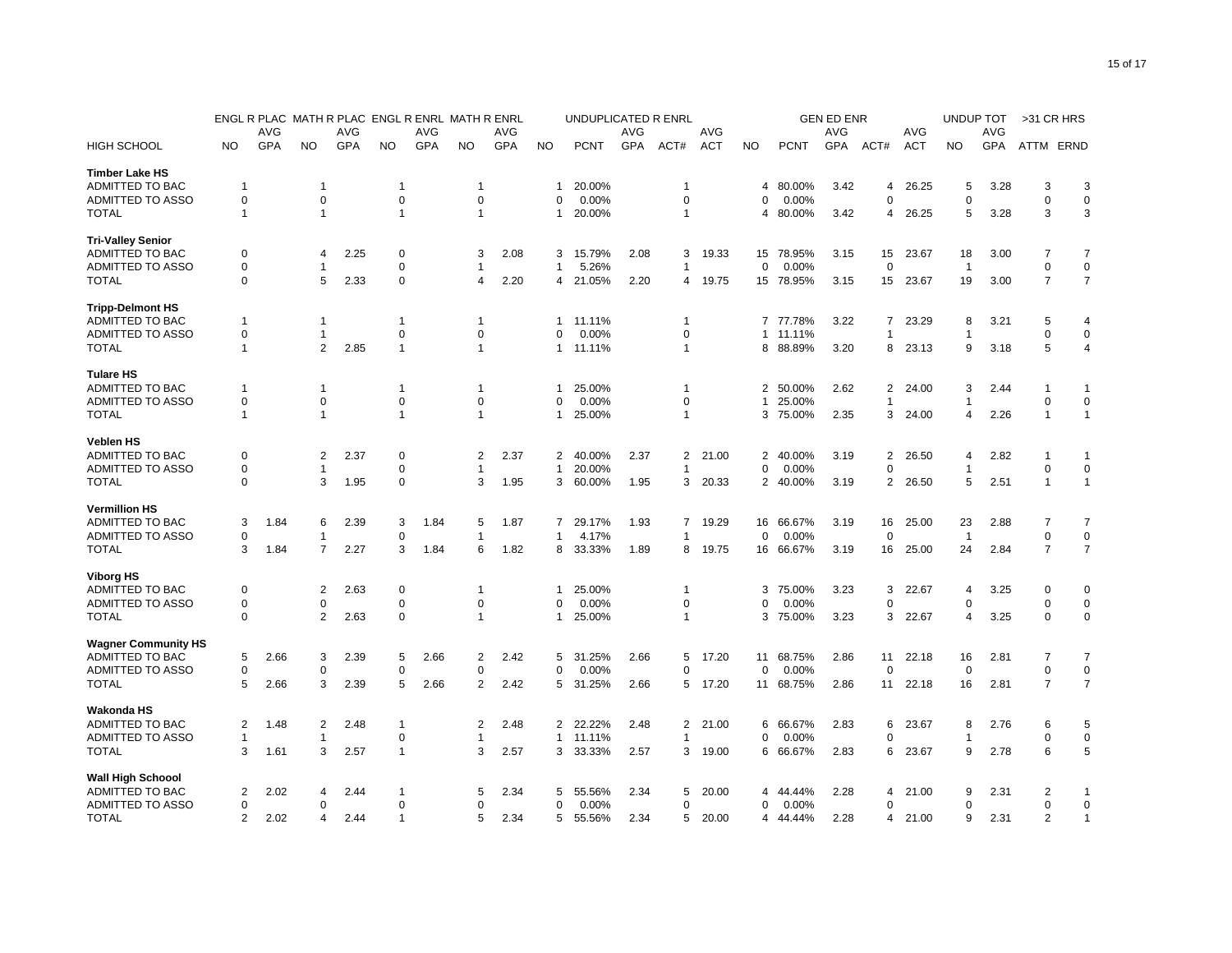|                            |               | ENGL R PLAC |                |      |                |      | MATH R PLAC ENGL R ENRL MATH R ENRL |            | UNDUPLICATED R ENRL |             |      |              |            |                | <b>GEN ED ENR</b> |      |                         |            |                |      | >31 CR HRS     |                |
|----------------------------|---------------|-------------|----------------|------|----------------|------|-------------------------------------|------------|---------------------|-------------|------|--------------|------------|----------------|-------------------|------|-------------------------|------------|----------------|------|----------------|----------------|
|                            |               | AVG         |                | AVG  |                | AVG  |                                     | AVG        |                     |             | AVG  |              | AVG        |                |                   | AVG  |                         | AVG        |                | AVG  |                |                |
| <b>HIGH SCHOOL</b>         | NO            | GPA         | NO.            | GPA  | NO.            | GPA  | <b>NO</b>                           | <b>GPA</b> | <b>NO</b>           | <b>PCNT</b> | GPA  | ACT#         | <b>ACT</b> | <b>NO</b>      | <b>PCNT</b>       | GPA  | ACT#                    | <b>ACT</b> | <b>NO</b>      | GPA  | ATTM ERND      |                |
| <b>Timber Lake HS</b>      |               |             |                |      |                |      |                                     |            |                     |             |      |              |            |                |                   |      |                         |            |                |      |                |                |
| ADMITTED TO BAC            | -1            |             | -1             |      | -1             |      | -1                                  |            | -1                  | 20.00%      |      | 1            |            | 4              | 80.00%            | 3.42 | 4                       | 26.25      | 5              | 3.28 | 3              | 3              |
| ADMITTED TO ASSO           | $\mathbf 0$   |             | $\mathbf 0$    |      | 0              |      | $\mathbf 0$                         |            | 0                   | 0.00%       |      | 0            |            | 0              | 0.00%             |      | $\mathbf 0$             |            | $\mathbf 0$    |      | $\mathbf 0$    | $\mathbf 0$    |
| <b>TOTAL</b>               | 1             |             | $\overline{1}$ |      | $\overline{1}$ |      | $\mathbf{1}$                        |            | $\mathbf{1}$        | 20.00%      |      | 1            |            | 4              | 80.00%            | 3.42 | 4                       | 26.25      | 5              | 3.28 | 3              | 3              |
| <b>Tri-Valley Senior</b>   |               |             |                |      |                |      |                                     |            |                     |             |      |              |            |                |                   |      |                         |            |                |      |                |                |
| ADMITTED TO BAC            | 0             |             | $\overline{a}$ | 2.25 | 0              |      | 3                                   | 2.08       | 3                   | 15.79%      | 2.08 | 3            | 19.33      | 15             | 78.95%            | 3.15 | 15                      | 23.67      | 18             | 3.00 | 7              | 7              |
| <b>ADMITTED TO ASSO</b>    | 0             |             | -1             |      | 0              |      | 1                                   |            | $\mathbf{1}$        | 5.26%       |      | 1            |            | $\mathbf 0$    | 0.00%             |      | 0                       |            | $\overline{1}$ |      | 0              | $\mathbf 0$    |
| <b>TOTAL</b>               | $\mathbf 0$   |             | 5              | 2.33 | 0              |      | 4                                   | 2.20       | 4                   | 21.05%      | 2.20 | 4            | 19.75      | 15             | 78.95%            | 3.15 | 15                      | 23.67      | 19             | 3.00 | $\overline{7}$ | $\overline{7}$ |
| <b>Tripp-Delmont HS</b>    |               |             |                |      |                |      |                                     |            |                     |             |      |              |            |                |                   |      |                         |            |                |      |                |                |
| ADMITTED TO BAC            | -1            |             | -1             |      | $\mathbf 1$    |      | 1                                   |            | -1                  | 11.11%      |      | 1            |            | $\overline{7}$ | 77.78%            | 3.22 | $\overline{7}$          | 23.29      | 8              | 3.21 | 5              | $\overline{4}$ |
| <b>ADMITTED TO ASSO</b>    | 0             |             | -1             |      | 0              |      | 0                                   |            | 0                   | 0.00%       |      | 0            |            | $\mathbf{1}$   | 11.11%            |      | 1                       |            |                |      | $\Omega$       | $\Omega$       |
| <b>TOTAL</b>               | 1             |             | $\overline{2}$ | 2.85 | $\mathbf{1}$   |      | $\overline{1}$                      |            | 1                   | 11.11%      |      | 1            |            | 8              | 88.89%            | 3.20 | 8                       | 23.13      | 9              | 3.18 | 5              | 4              |
| <b>Tulare HS</b>           |               |             |                |      |                |      |                                     |            |                     |             |      |              |            |                |                   |      |                         |            |                |      |                |                |
| ADMITTED TO BAC            | 1             |             | -1             |      | 1              |      | 1                                   |            | -1                  | 25.00%      |      | 1            |            | 2              | 50.00%            | 2.62 | $\overline{\mathbf{c}}$ | 24.00      | 3              | 2.44 |                | -1             |
| <b>ADMITTED TO ASSO</b>    | 0             |             | $\mathbf 0$    |      | 0              |      | $\mathbf 0$                         |            | 0                   | 0.00%       |      | 0            |            |                | 25.00%            |      | 1                       |            |                |      | $\mathbf 0$    | $\Omega$       |
| <b>TOTAL</b>               | 1             |             | $\overline{1}$ |      | $\overline{1}$ |      | $\overline{1}$                      |            | $\mathbf{1}$        | 25.00%      |      | 1            |            | 3              | 75.00%            | 2.35 | 3                       | 24.00      | 4              | 2.26 | $\overline{1}$ | $\mathbf{1}$   |
| <b>Veblen HS</b>           |               |             |                |      |                |      |                                     |            |                     |             |      |              |            |                |                   |      |                         |            |                |      |                |                |
| ADMITTED TO BAC            | 0             |             | $\overline{2}$ | 2.37 | 0              |      | 2                                   | 2.37       | 2                   | 40.00%      | 2.37 | 2            | 21.00      | 2              | 40.00%            | 3.19 | $\overline{\mathbf{c}}$ | 26.50      | $\overline{4}$ | 2.82 |                | -1             |
| <b>ADMITTED TO ASSO</b>    | $\Omega$      |             | -1             |      | 0              |      | -1                                  |            | 1                   | 20.00%      |      | 1            |            | 0              | 0.00%             |      | $\Omega$                |            |                |      | $\Omega$       | $\overline{0}$ |
| <b>TOTAL</b>               | 0             |             | 3              | 1.95 | 0              |      | 3                                   | 1.95       | 3                   | 60.00%      | 1.95 | 3            | 20.33      | 2              | 40.00%            | 3.19 | $\overline{2}$          | 26.50      | 5              | 2.51 | $\mathbf{1}$   | $\mathbf{1}$   |
| <b>Vermillion HS</b>       |               |             |                |      |                |      |                                     |            |                     |             |      |              |            |                |                   |      |                         |            |                |      |                |                |
| ADMITTED TO BAC            | 3             | 1.84        | 6              | 2.39 | 3              | 1.84 | 5                                   | 1.87       | $\overline{7}$      | 29.17%      | 1.93 | 7            | 19.29      | 16             | 66.67%            | 3.19 | 16                      | 25.00      | 23             | 2.88 | 7              | 7              |
| <b>ADMITTED TO ASSO</b>    | 0             |             | -1             |      | 0              |      | 1                                   |            | $\mathbf{1}$        | 4.17%       |      | 1            |            | 0              | 0.00%             |      | 0                       |            | -1             |      | 0              | 0              |
| <b>TOTAL</b>               | 3             | 1.84        | $\overline{7}$ | 2.27 | 3              | 1.84 | 6                                   | 1.82       | 8                   | 33.33%      | 1.89 | 8            | 19.75      | 16             | 66.67%            | 3.19 | 16                      | 25.00      | 24             | 2.84 | $\overline{7}$ | $\overline{7}$ |
| <b>Viborg HS</b>           |               |             |                |      |                |      |                                     |            |                     |             |      |              |            |                |                   |      |                         |            |                |      |                |                |
| ADMITTED TO BAC            | 0             |             | $\overline{2}$ | 2.63 | $\mathbf 0$    |      | -1                                  |            | $\mathbf{1}$        | 25.00%      |      | 1            |            | 3              | 75.00%            | 3.23 | 3                       | 22.67      | $\overline{4}$ | 3.25 | $\Omega$       | $\overline{0}$ |
| <b>ADMITTED TO ASSO</b>    | 0             |             | $\mathbf 0$    |      | 0              |      | 0                                   |            | 0                   | 0.00%       |      | 0            |            | 0              | 0.00%             |      | $\mathbf 0$             |            | 0              |      | 0              | $\mathbf 0$    |
| <b>TOTAL</b>               | $\Omega$      |             | $\overline{2}$ | 2.63 | 0              |      | $\mathbf{1}$                        |            | 1                   | 25.00%      |      | $\mathbf{1}$ |            | 3              | 75.00%            | 3.23 | 3                       | 22.67      | 4              | 3.25 | $\Omega$       | $\mathbf 0$    |
| <b>Wagner Community HS</b> |               |             |                |      |                |      |                                     |            |                     |             |      |              |            |                |                   |      |                         |            |                |      |                |                |
| ADMITTED TO BAC            | 5             | 2.66        | 3              | 2.39 | 5              | 2.66 | 2                                   | 2.42       | 5                   | 31.25%      | 2.66 | 5            | 17.20      | 11             | 68.75%            | 2.86 | 11                      | 22.18      | 16             | 2.81 | 7              | $\overline{7}$ |
| <b>ADMITTED TO ASSO</b>    | 0             |             | $\mathbf 0$    |      | 0              |      | $\Omega$                            |            | 0                   | 0.00%       |      | $\Omega$     |            | $\Omega$       | 0.00%             |      | 0                       |            | $\Omega$       |      | $\mathbf 0$    | $\mathbf 0$    |
| <b>TOTAL</b>               | 5             | 2.66        | 3              | 2.39 | 5              | 2.66 | 2                                   | 2.42       | 5                   | 31.25%      | 2.66 | 5            | 17.20      | 11             | 68.75%            | 2.86 | 11                      | 22.18      | 16             | 2.81 | $\overline{7}$ | $\overline{7}$ |
| <b>Wakonda HS</b>          |               |             |                |      |                |      |                                     |            |                     |             |      |              |            |                |                   |      |                         |            |                |      |                |                |
| ADMITTED TO BAC            | 2             | 1.48        | $\overline{2}$ | 2.48 | $\overline{1}$ |      | 2                                   | 2.48       | 2                   | 22.22%      | 2.48 | 2            | 21.00      | 6              | 66.67%            | 2.83 | 6                       | 23.67      | 8              | 2.76 | 6              | 5              |
| <b>ADMITTED TO ASSO</b>    | 1             |             | $\overline{1}$ |      | 0              |      | -1                                  |            | 1                   | 11.11%      |      | 1            |            | 0              | 0.00%             |      | $\Omega$                |            |                |      | 0              | $\mathbf 0$    |
| <b>TOTAL</b>               | 3             | 1.61        | 3              | 2.57 | $\overline{1}$ |      | 3                                   | 2.57       | 3                   | 33.33%      | 2.57 | 3            | 19.00      |                | 6 66.67%          | 2.83 | 6                       | 23.67      | 9              | 2.78 | 6              | 5              |
| <b>Wall High Schoool</b>   |               |             |                |      |                |      |                                     |            |                     |             |      |              |            |                |                   |      |                         |            |                |      |                |                |
| ADMITTED TO BAC            | 2             | 2.02        | $\overline{a}$ | 2.44 | $\mathbf 1$    |      | 5                                   | 2.34       | 5                   | 55.56%      | 2.34 | 5            | 20.00      | 4              | 44.44%            | 2.28 | 4                       | 21.00      | 9              | 2.31 | 2              | 1              |
| ADMITTED TO ASSO           | 0             |             | $\mathbf 0$    |      | 0              |      | 0                                   |            | 0                   | 0.00%       |      | 0            |            | 0              | 0.00%             |      | 0                       |            | 0              |      | 0              | $\mathbf 0$    |
| <b>TOTAL</b>               | $\mathcal{P}$ | 2.02        | $\Delta$       | 2.44 | 1              |      | 5                                   | 2.34       | 5                   | 55.56%      | 2.34 | 5            | 20.00      | 4              | 44.44%            | 2.28 | 4                       | 21.00      | 9              | 2.31 | $\overline{2}$ | $\mathbf{1}$   |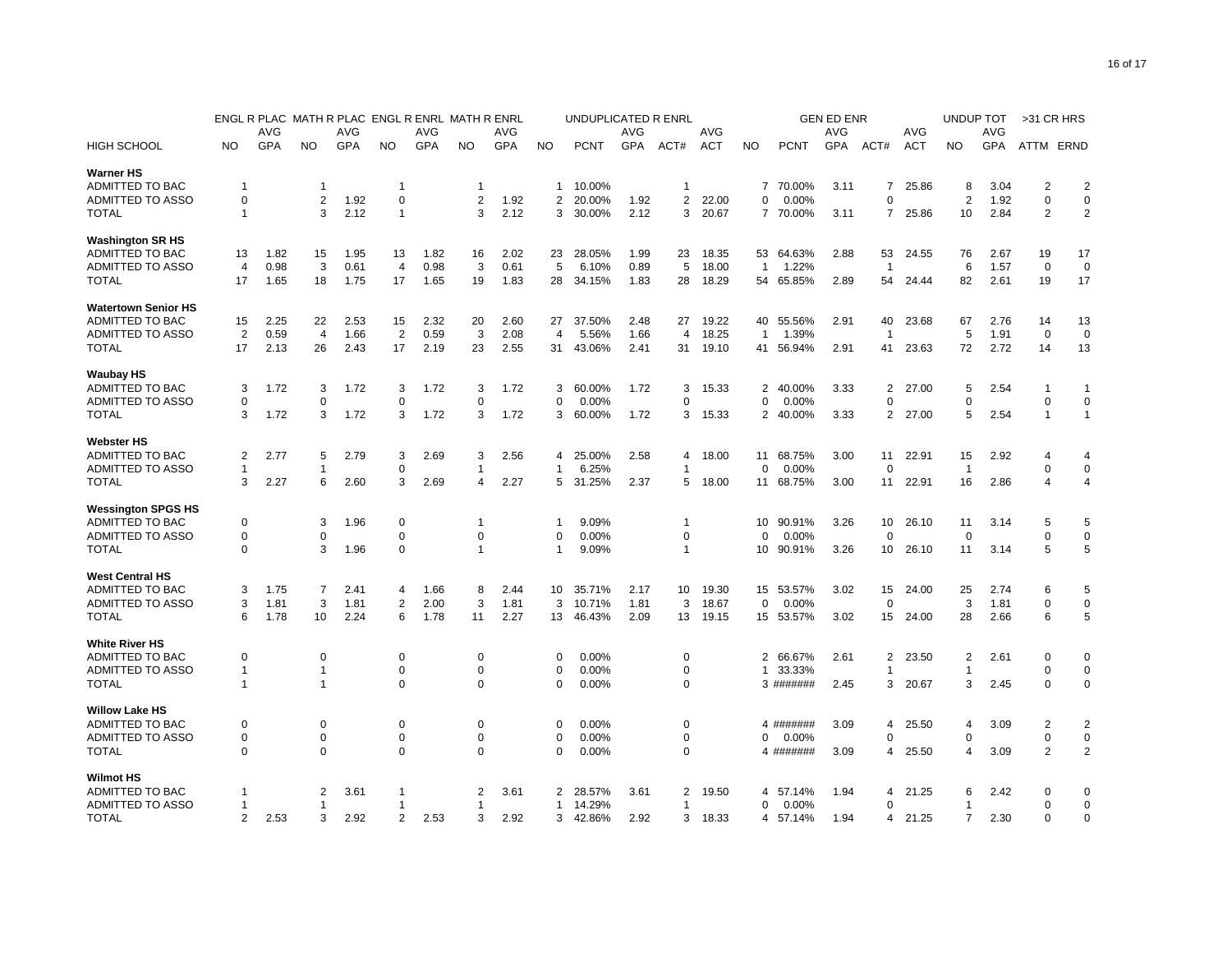|                            |                | ENGL R PLAC<br><b>MATH R PLAC</b><br>ENGL R ENRL MATH R ENRL |                |            |                |      |             |            |                | UNDUPLICATED R ENRL |      |             |            | <b>GEN ED ENR</b> |             |      |                          |            |                | UNDUP TOT  | >31 CR HRS     |                |
|----------------------------|----------------|--------------------------------------------------------------|----------------|------------|----------------|------|-------------|------------|----------------|---------------------|------|-------------|------------|-------------------|-------------|------|--------------------------|------------|----------------|------------|----------------|----------------|
|                            |                | AVG                                                          |                | <b>AVG</b> |                | AVG  |             | AVG        |                |                     | AVG  |             | AVG        |                   |             | AVG  |                          | AVG        |                | AVG        |                |                |
| <b>HIGH SCHOOL</b>         | NO             | GPA                                                          | NO.            | GPA        | NO.            | GPA  | <b>NO</b>   | <b>GPA</b> | <b>NO</b>      | <b>PCNT</b>         | GPA  | ACT#        | <b>ACT</b> | <b>NO</b>         | <b>PCNT</b> | GPA  | ACT#                     | <b>ACT</b> | <b>NO</b>      | <b>GPA</b> | ATTM ERND      |                |
| <b>Warner HS</b>           |                |                                                              |                |            |                |      |             |            |                |                     |      |             |            |                   |             |      |                          |            |                |            |                |                |
| ADMITTED TO BAC            | $\mathbf{1}$   |                                                              | -1             |            | $\mathbf 1$    |      | $\mathbf 1$ |            | 1              | 10.00%              |      | 1           |            | $\overline{7}$    | 70.00%      | 3.11 | $\overline{7}$           | 25.86      | 8              | 3.04       | $\overline{2}$ | $\overline{2}$ |
| <b>ADMITTED TO ASSO</b>    | 0              |                                                              | $\overline{2}$ | 1.92       | 0              |      | 2           | 1.92       | 2              | 20.00%              | 1.92 | 2           | 22.00      | 0                 | 0.00%       |      | 0                        |            | 2              | 1.92       | 0              | $\overline{0}$ |
| <b>TOTAL</b>               | $\mathbf 1$    |                                                              | 3              | 2.12       | $\mathbf{1}$   |      | 3           | 2.12       | 3              | 30.00%              | 2.12 | 3           | 20.67      |                   | 7 70.00%    | 3.11 | 7                        | 25.86      | 10             | 2.84       | $\overline{2}$ | $\overline{2}$ |
| <b>Washington SR HS</b>    |                |                                                              |                |            |                |      |             |            |                |                     |      |             |            |                   |             |      |                          |            |                |            |                |                |
| ADMITTED TO BAC            | 13             | 1.82                                                         | 15             | 1.95       | 13             | 1.82 | 16          | 2.02       | 23             | 28.05%              | 1.99 | 23          | 18.35      |                   | 53 64.63%   | 2.88 | 53                       | 24.55      | 76             | 2.67       | 19             | 17             |
| <b>ADMITTED TO ASSO</b>    | 4              | 0.98                                                         | 3              | 0.61       | 4              | 0.98 | 3           | 0.61       | 5              | 6.10%               | 0.89 | 5           | 18.00      | $\mathbf{1}$      | 1.22%       |      | -1                       |            | 6              | 1.57       | 0              | $\mathbf 0$    |
| <b>TOTAL</b>               | 17             | 1.65                                                         | 18             | 1.75       | 17             | 1.65 | 19          | 1.83       | 28             | 34.15%              | 1.83 | 28          | 18.29      | 54                | 65.85%      | 2.89 | 54                       | 24.44      | 82             | 2.61       | 19             | 17             |
| <b>Watertown Senior HS</b> |                |                                                              |                |            |                |      |             |            |                |                     |      |             |            |                   |             |      |                          |            |                |            |                |                |
| <b>ADMITTED TO BAC</b>     | 15             | 2.25                                                         | 22             | 2.53       | 15             | 2.32 | 20          | 2.60       | 27             | 37.50%              | 2.48 | 27          | 19.22      |                   | 40 55.56%   | 2.91 | 40                       | 23.68      | 67             | 2.76       | 14             | 13             |
| <b>ADMITTED TO ASSO</b>    | $\overline{2}$ | 0.59                                                         | $\overline{4}$ | 1.66       | $\overline{2}$ | 0.59 | 3           | 2.08       | $\overline{4}$ | 5.56%               | 1.66 | 4           | 18.25      | 1                 | 1.39%       |      | $\overline{\phantom{a}}$ |            | 5              | 1.91       | 0              | $\mathbf 0$    |
| <b>TOTAL</b>               | 17             | 2.13                                                         | 26             | 2.43       | 17             | 2.19 | 23          | 2.55       | 31             | 43.06%              | 2.41 | 31          | 19.10      |                   | 41 56.94%   | 2.91 | 41                       | 23.63      | 72             | 2.72       | 14             | 13             |
| <b>Waubay HS</b>           |                |                                                              |                |            |                |      |             |            |                |                     |      |             |            |                   |             |      |                          |            |                |            |                |                |
| ADMITTED TO BAC            | 3              | 1.72                                                         | 3              | 1.72       | 3              | 1.72 | 3           | 1.72       | 3              | 60.00%              | 1.72 | 3           | 15.33      | 2                 | 40.00%      | 3.33 | 2                        | 27.00      | 5              | 2.54       |                | -1             |
| <b>ADMITTED TO ASSO</b>    | 0              |                                                              | $\mathbf 0$    |            | 0              |      | $\Omega$    |            | $\mathbf 0$    | 0.00%               |      | 0           |            | 0                 | 0.00%       |      | $\mathbf 0$              |            | $\Omega$       |            | $\Omega$       | $\mathbf 0$    |
| <b>TOTAL</b>               | 3              | 1.72                                                         | 3              | 1.72       | 3              | 1.72 | 3           | 1.72       | 3              | 60.00%              | 1.72 | 3           | 15.33      | $\mathbf{2}$      | 40.00%      | 3.33 | 2                        | 27.00      | 5              | 2.54       | $\mathbf{1}$   | $\mathbf{1}$   |
| <b>Webster HS</b>          |                |                                                              |                |            |                |      |             |            |                |                     |      |             |            |                   |             |      |                          |            |                |            |                |                |
| ADMITTED TO BAC            | 2              | 2.77                                                         | 5              | 2.79       | 3              | 2.69 | 3           | 2.56       | 4              | 25.00%              | 2.58 | 4           | 18.00      | 11                | 68.75%      | 3.00 | 11                       | 22.91      | 15             | 2.92       | 4              | $\overline{4}$ |
| <b>ADMITTED TO ASSO</b>    | 1              |                                                              | 1              |            | 0              |      | 1           |            | $\mathbf{1}$   | 6.25%               |      | 1           |            | 0                 | 0.00%       |      | $\mathbf 0$              |            |                |            | $\mathbf 0$    | $\mathbf 0$    |
| <b>TOTAL</b>               | 3              | 2.27                                                         | 6              | 2.60       | 3              | 2.69 | 4           | 2.27       | 5              | 31.25%              | 2.37 | 5           | 18.00      | 11                | 68.75%      | 3.00 | 11                       | 22.91      | 16             | 2.86       | $\overline{4}$ | $\overline{4}$ |
| <b>Wessington SPGS HS</b>  |                |                                                              |                |            |                |      |             |            |                |                     |      |             |            |                   |             |      |                          |            |                |            |                |                |
| ADMITTED TO BAC            | 0              |                                                              | 3              | 1.96       | 0              |      | -1          |            | -1             | 9.09%               |      | 1           |            | 10                | 90.91%      | 3.26 | 10                       | 26.10      | 11             | 3.14       | 5              | 5              |
| ADMITTED TO ASSO           | $\Omega$       |                                                              | 0              |            | 0              |      | $\Omega$    |            | $\Omega$       | 0.00%               |      | $\Omega$    |            | $\Omega$          | 0.00%       |      | $\Omega$                 |            | $\Omega$       |            | $\Omega$       | 0              |
| <b>TOTAL</b>               | 0              |                                                              | 3              | 1.96       | 0              |      | 1           |            | $\mathbf{1}$   | 9.09%               |      | 1           |            | 10                | 90.91%      | 3.26 | 10                       | 26.10      | 11             | 3.14       | 5              | 5              |
| <b>West Central HS</b>     |                |                                                              |                |            |                |      |             |            |                |                     |      |             |            |                   |             |      |                          |            |                |            |                |                |
| ADMITTED TO BAC            | 3              | 1.75                                                         | 7              | 2.41       | 4              | 1.66 | 8           | 2.44       | 10             | 35.71%              | 2.17 | 10          | 19.30      | 15                | 53.57%      | 3.02 | 15                       | 24.00      | 25             | 2.74       | 6              | 5              |
| <b>ADMITTED TO ASSO</b>    | 3              | 1.81                                                         | 3              | 1.81       | $\overline{2}$ | 2.00 | 3           | 1.81       | 3              | 10.71%              | 1.81 | 3           | 18.67      | $\Omega$          | 0.00%       |      | $\mathbf 0$              |            | 3              | 1.81       | $\mathbf 0$    | $\mathbf 0$    |
| <b>TOTAL</b>               | 6              | 1.78                                                         | 10             | 2.24       | 6              | 1.78 | 11          | 2.27       | 13             | 46.43%              | 2.09 | 13          | 19.15      |                   | 15 53.57%   | 3.02 | 15                       | 24.00      | 28             | 2.66       | 6              | 5              |
| <b>White River HS</b>      |                |                                                              |                |            |                |      |             |            |                |                     |      |             |            |                   |             |      |                          |            |                |            |                |                |
| ADMITTED TO BAC            | $\Omega$       |                                                              | 0              |            | 0              |      | 0           |            | 0              | 0.00%               |      | 0           |            | 2                 | 66.67%      | 2.61 | 2                        | 23.50      | 2              | 2.61       | $\Omega$       | 0              |
| <b>ADMITTED TO ASSO</b>    | 1              |                                                              | $\overline{1}$ |            | 0              |      | 0           |            | $\mathbf 0$    | 0.00%               |      | 0           |            | 1                 | 33.33%      |      | 1                        |            | $\overline{1}$ |            | $\Omega$       | $\mathbf 0$    |
| <b>TOTAL</b>               | $\overline{1}$ |                                                              | $\overline{1}$ |            | $\mathbf 0$    |      | $\mathbf 0$ |            | $\mathbf 0$    | 0.00%               |      | 0           |            |                   | 3 #######   | 2.45 | 3                        | 20.67      | 3              | 2.45       | $\mathbf 0$    | $\overline{0}$ |
| <b>Willow Lake HS</b>      |                |                                                              |                |            |                |      |             |            |                |                     |      |             |            |                   |             |      |                          |            |                |            |                |                |
| ADMITTED TO BAC            | 0              |                                                              | 0              |            | 0              |      | 0           |            | 0              | 0.00%               |      | 0           |            |                   | 4 #######   | 3.09 | 4                        | 25.50      | 4              | 3.09       | $\overline{2}$ | 2              |
| <b>ADMITTED TO ASSO</b>    | 0              |                                                              | $\mathbf 0$    |            | 0              |      | 0           |            | 0              | 0.00%               |      | 0           |            | 0                 | 0.00%       |      | $\Omega$                 |            | $\Omega$       |            | 0              | $\mathbf 0$    |
| <b>TOTAL</b>               | $\Omega$       |                                                              | $\mathbf 0$    |            | 0              |      | $\Omega$    |            | $\mathbf 0$    | 0.00%               |      | $\mathbf 0$ |            |                   | 4 #######   | 3.09 | 4                        | 25.50      | $\overline{4}$ | 3.09       | 2              | $\mathbf 2$    |
| <b>Wilmot HS</b>           |                |                                                              |                |            |                |      |             |            |                |                     |      |             |            |                   |             |      |                          |            |                |            |                |                |
| ADMITTED TO BAC            | 1              |                                                              | $\overline{2}$ | 3.61       | $\mathbf 1$    |      | 2           | 3.61       | 2              | 28.57%              | 3.61 | 2           | 19.50      | 4                 | 57.14%      | 1.94 | 4                        | 21.25      | 6              | 2.42       | $\Omega$       | $\overline{0}$ |
| ADMITTED TO ASSO           | 1              |                                                              | $\overline{1}$ |            | 1              |      | -1          |            | $\mathbf{1}$   | 14.29%              |      | 1           |            | 0                 | 0.00%       |      | 0                        |            |                |            | $\Omega$       | $\mathbf 0$    |
| <b>TOTAL</b>               | $\mathcal{P}$  | 2.53                                                         | 3              | 2.92       | $\overline{2}$ | 2.53 | 3           | 2.92       | 3              | 42.86%              | 2.92 | 3           | 18.33      | 4                 | 57.14%      | 1.94 | 4                        | 21.25      | $\overline{7}$ | 2.30       | $\Omega$       | $\Omega$       |